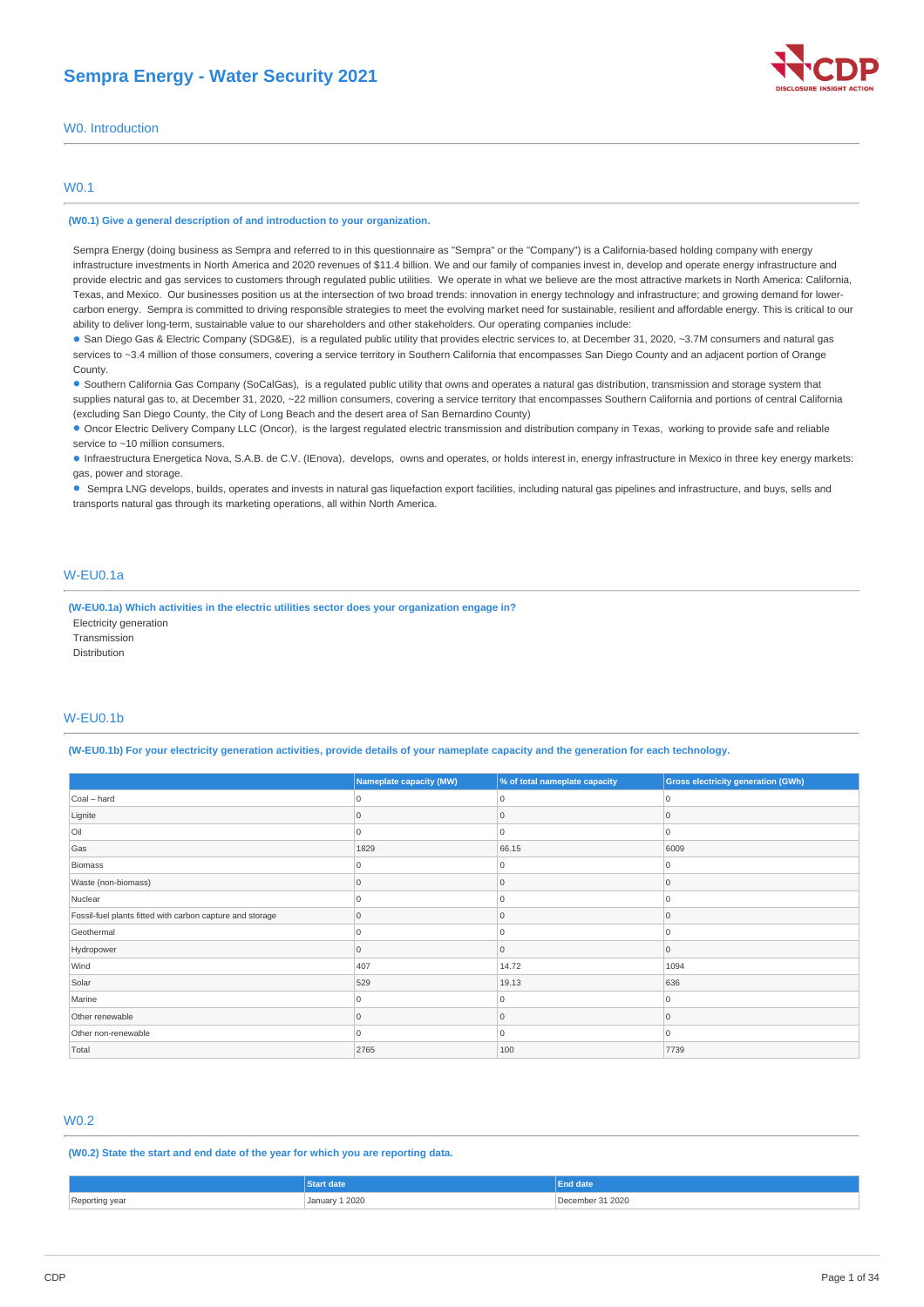# **Sempra Energy - Water Security 2021**



W0. Introduction

## W0.1

### **(W0.1) Give a general description of and introduction to your organization.**

Sempra Energy (doing business as Sempra and referred to in this questionnaire as "Sempra" or the "Company") is a California-based holding company with energy infrastructure investments in North America and 2020 revenues of \$11.4 billion. We and our family of companies invest in, develop and operate energy infrastructure and provide electric and gas services to customers through regulated public utilities. We operate in what we believe are the most attractive markets in North America: California, Texas, and Mexico. Our businesses position us at the intersection of two broad trends: innovation in energy technology and infrastructure; and growing demand for lowercarbon energy. Sempra is committed to driving responsible strategies to meet the evolving market need for sustainable, resilient and affordable energy. This is critical to our ability to deliver long-term, sustainable value to our shareholders and other stakeholders. Our operating companies include:

• San Diego Gas & Electric Company (SDG&E), is a regulated public utility that provides electric services to, at December 31, 2020, ~3.7M consumers and natural gas services to ~3.4 million of those consumers, covering a service territory in Southern California that encompasses San Diego County and an adjacent portion of Orange County.

. Southern California Gas Company (SoCalGas), is a regulated public utility that owns and operates a natural gas distribution, transmission and storage system that supplies natural gas to, at December 31, 2020, ~22 million consumers, covering a service territory that encompasses Southern California and portions of central California (excluding San Diego County, the City of Long Beach and the desert area of San Bernardino County)

• Oncor Electric Delivery Company LLC (Oncor), is the largest regulated electric transmission and distribution company in Texas, working to provide safe and reliable service to ~10 million consumers.

Infraestructura Energetica Nova, S.A.B. de C.V. (IEnova), develops, owns and operates, or holds interest in, energy infrastructure in Mexico in three key energy markets: • gas, power and storage.

● Sempra LNG develops, builds, operates and invests in natural gas liquefaction export facilities, including natural gas pipelines and infrastructure, and buys, sells and transports natural gas through its marketing operations, all within North America.

# W-EU0.1a

**(W-EU0.1a) Which activities in the electric utilities sector does your organization engage in?** Electricity generation

Transmission Distribution

## W-EU0.1b

(W-EU0.1b) For your electricity generation activities, provide details of your nameplate capacity and the generation for each technology.

|                                                           | <b>Nameplate capacity (MW)</b> | % of total nameplate capacity | <b>Gross electricity generation (GWh)</b> |
|-----------------------------------------------------------|--------------------------------|-------------------------------|-------------------------------------------|
| Coal - hard                                               | U                              |                               | 0                                         |
| Lignite                                                   |                                |                               | $\Omega$                                  |
| Oil                                                       | U                              | Ω                             | 0                                         |
| Gas                                                       | 1829                           | 66.15                         | 6009                                      |
| Biomass                                                   | 0                              | 0                             | 0                                         |
| Waste (non-biomass)                                       | 0                              | 0                             | 0                                         |
| Nuclear                                                   | U                              |                               | O                                         |
| Fossil-fuel plants fitted with carbon capture and storage | 0                              |                               | $\Omega$                                  |
| Geothermal                                                | 0                              | O                             | 0                                         |
| Hydropower                                                | $\Omega$                       | 0                             | 0                                         |
| Wind                                                      | 407                            | 14.72                         | 1094                                      |
| Solar                                                     | 529                            | 19.13                         | 636                                       |
| Marine                                                    |                                |                               |                                           |
| Other renewable                                           | 0                              | 0                             | 0                                         |
| Other non-renewable                                       | 0                              | 0                             | 0                                         |
| Total                                                     | 2765                           | 100                           | 7739                                      |

## W0.2

### **(W0.2) State the start and end date of the year for which you are reporting data.**

|                | <b>dat</b>     |                |
|----------------|----------------|----------------|
| Reporting year | January 1 2020 | 2020<br>remher |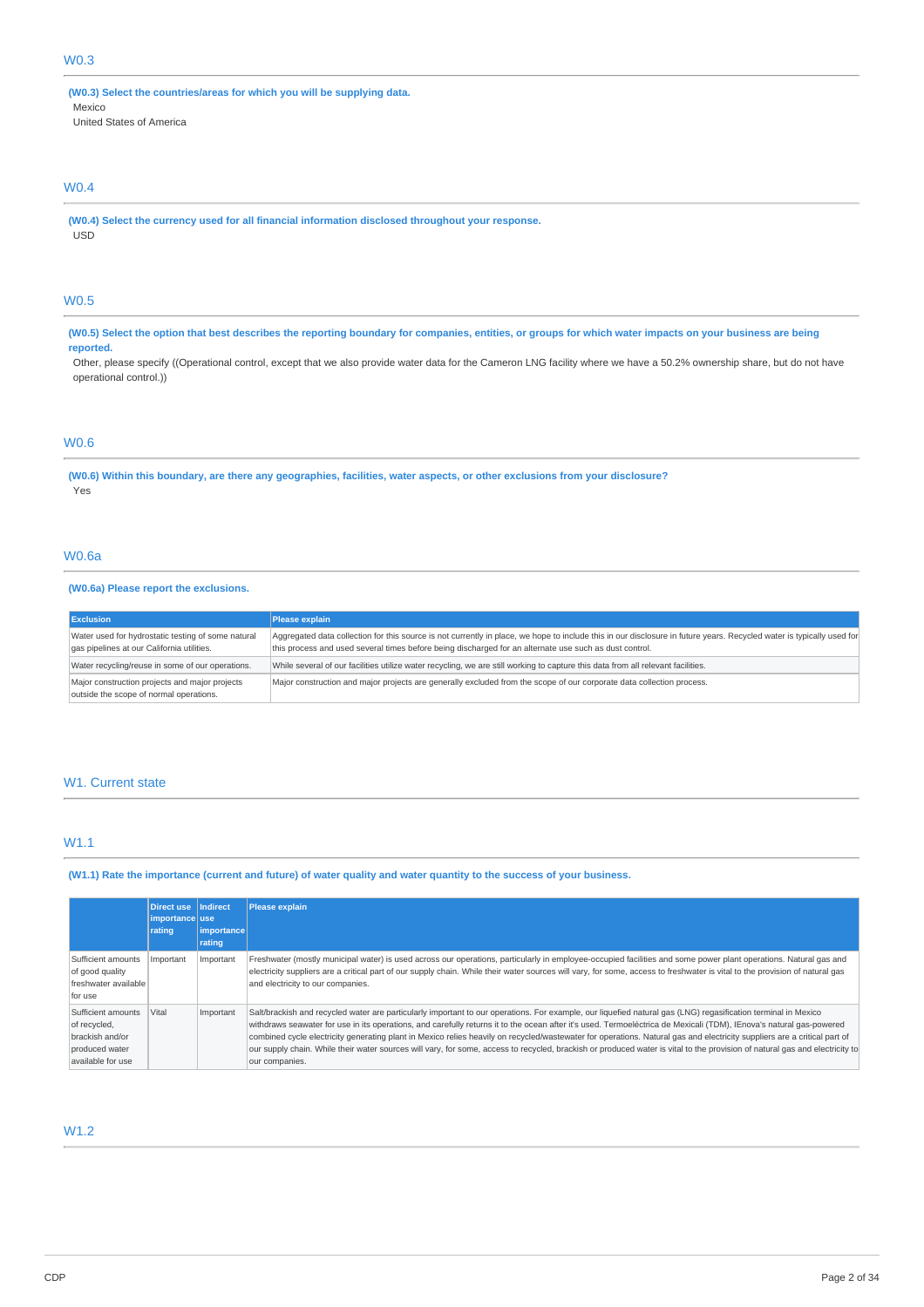# **(W0.3) Select the countries/areas for which you will be supplying data.** Mexico

United States of America

# W0.4

**(W0.4) Select the currency used for all financial information disclosed throughout your response.** USD

# W0.5

(W0.5) Select the option that best describes the reporting boundary for companies, entities, or groups for which water impacts on your business are being **reported.**

Other, please specify ((Operational control, except that we also provide water data for the Cameron LNG facility where we have a 50.2% ownership share, but do not have operational control.))

# W0.6

(W0.6) Within this boundary, are there any geographies, facilities, water aspects, or other exclusions from your disclosure? Yes

# W0.6a

## **(W0.6a) Please report the exclusions.**

| <b>Exclusion</b>                                                                                 | Please explain                                                                                                                                                                                                                                                                  |
|--------------------------------------------------------------------------------------------------|---------------------------------------------------------------------------------------------------------------------------------------------------------------------------------------------------------------------------------------------------------------------------------|
| Water used for hydrostatic testing of some natural<br>gas pipelines at our California utilities. | Aggregated data collection for this source is not currently in place, we hope to include this in our disclosure in future years. Recycled water is typically used for<br>this process and used several times before being discharged for an alternate use such as dust control. |
| Water recycling/reuse in some of our operations.                                                 | While several of our facilities utilize water recycling, we are still working to capture this data from all relevant facilities.                                                                                                                                                |
| Major construction projects and major projects<br>outside the scope of normal operations.        | Major construction and major projects are generally excluded from the scope of our corporate data collection process.                                                                                                                                                           |

## W1. Current state

# W1.1

(W1.1) Rate the importance (current and future) of water quality and water quantity to the success of your business.

|                                                                                              | Direct use Indirect<br>importance use<br>rating | importance  <br>rating | <b>Please explain</b>                                                                                                                                                                                                                                                                                                                                                                                                                                                                                                                                                                                                                                                                                             |
|----------------------------------------------------------------------------------------------|-------------------------------------------------|------------------------|-------------------------------------------------------------------------------------------------------------------------------------------------------------------------------------------------------------------------------------------------------------------------------------------------------------------------------------------------------------------------------------------------------------------------------------------------------------------------------------------------------------------------------------------------------------------------------------------------------------------------------------------------------------------------------------------------------------------|
| Sufficient amounts<br>of good quality<br>freshwater available<br>for use                     | Important                                       | Important              | Freshwater (mostly municipal water) is used across our operations, particularly in employee-occupied facilities and some power plant operations. Natural gas and<br>electricity suppliers are a critical part of our supply chain. While their water sources will vary, for some, access to freshwater is vital to the provision of natural gas<br>and electricity to our companies.                                                                                                                                                                                                                                                                                                                              |
| Sufficient amounts<br>of recycled,<br>brackish and/or<br>produced water<br>available for use | Vital                                           | Important              | Salt/brackish and recycled water are particularly important to our operations. For example, our liquefied natural qas (LNG) regasification terminal in Mexico<br>withdraws seawater for use in its operations, and carefully returns it to the ocean after it's used. Termoeléctrica de Mexicali (TDM), IEnova's natural qas-powered<br>combined cycle electricity generating plant in Mexico relies heavily on recycled/wastewater for operations. Natural gas and electricity suppliers are a critical part of<br>our supply chain. While their water sources will vary, for some, access to recycled, brackish or produced water is vital to the provision of natural gas and electricity to<br>our companies. |

# W1.2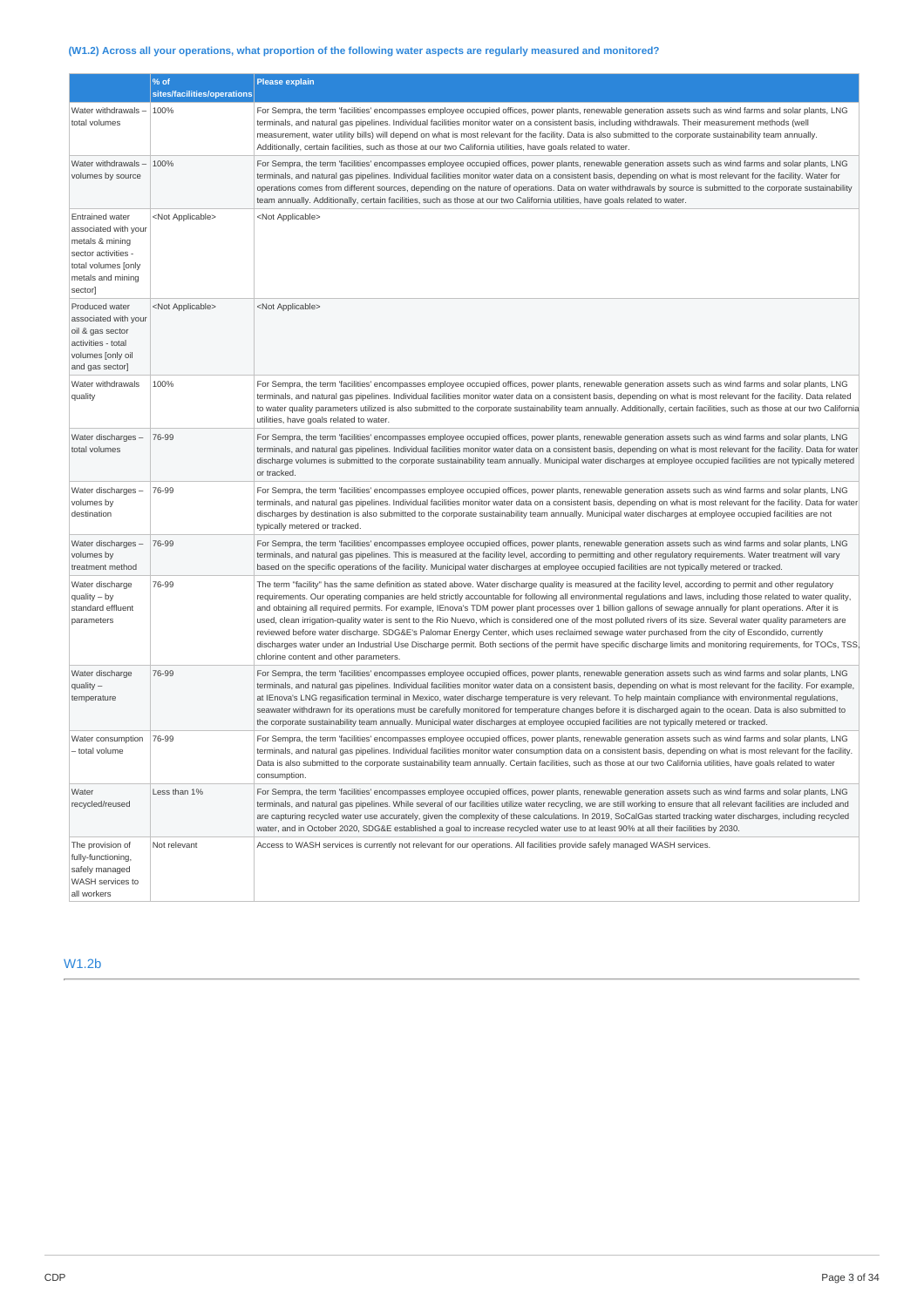# (W1.2) Across all your operations, what proportion of the following water aspects are regularly measured and monitored?

|                                                                                                                                                 | % of<br>sites/facilities/operations | <b>Please explain</b>                                                                                                                                                                                                                                                                                                                                                                                                                                                                                                                                                                                                                                                                                                                                                                                                                                                                                                                                                                                                                                  |
|-------------------------------------------------------------------------------------------------------------------------------------------------|-------------------------------------|--------------------------------------------------------------------------------------------------------------------------------------------------------------------------------------------------------------------------------------------------------------------------------------------------------------------------------------------------------------------------------------------------------------------------------------------------------------------------------------------------------------------------------------------------------------------------------------------------------------------------------------------------------------------------------------------------------------------------------------------------------------------------------------------------------------------------------------------------------------------------------------------------------------------------------------------------------------------------------------------------------------------------------------------------------|
| Water withdrawals -<br>total volumes                                                                                                            | 100%                                | For Sempra, the term 'facilities' encompasses employee occupied offices, power plants, renewable generation assets such as wind farms and solar plants, LNG<br>terminals, and natural gas pipelines. Individual facilities monitor water on a consistent basis, including withdrawals. Their measurement methods (well<br>measurement, water utility bills) will depend on what is most relevant for the facility. Data is also submitted to the corporate sustainability team annually.<br>Additionally, certain facilities, such as those at our two California utilities, have goals related to water.                                                                                                                                                                                                                                                                                                                                                                                                                                              |
| Water withdrawals -<br>volumes by source                                                                                                        | 100%                                | For Sempra, the term 'facilities' encompasses employee occupied offices, power plants, renewable generation assets such as wind farms and solar plants, LNG<br>terminals, and natural gas pipelines. Individual facilities monitor water data on a consistent basis, depending on what is most relevant for the facility. Water for<br>operations comes from different sources, depending on the nature of operations. Data on water withdrawals by source is submitted to the corporate sustainability<br>team annually. Additionally, certain facilities, such as those at our two California utilities, have goals related to water.                                                                                                                                                                                                                                                                                                                                                                                                                |
| <b>Entrained water</b><br>associated with your<br>metals & mining<br>sector activities -<br>total volumes [only<br>metals and mining<br>sector] | <not applicable=""></not>           | <not applicable=""></not>                                                                                                                                                                                                                                                                                                                                                                                                                                                                                                                                                                                                                                                                                                                                                                                                                                                                                                                                                                                                                              |
| Produced water<br>associated with your<br>oil & gas sector<br>activities - total<br>volumes [only oil<br>and gas sector]                        | <not applicable=""></not>           | <not applicable=""></not>                                                                                                                                                                                                                                                                                                                                                                                                                                                                                                                                                                                                                                                                                                                                                                                                                                                                                                                                                                                                                              |
| Water withdrawals<br>quality                                                                                                                    | 100%                                | For Sempra, the term 'facilities' encompasses employee occupied offices, power plants, renewable generation assets such as wind farms and solar plants, LNG<br>terminals, and natural gas pipelines. Individual facilities monitor water data on a consistent basis, depending on what is most relevant for the facility. Data related<br>to water quality parameters utilized is also submitted to the corporate sustainability team annually. Additionally, certain facilities, such as those at our two California<br>utilities, have goals related to water.                                                                                                                                                                                                                                                                                                                                                                                                                                                                                       |
| Water discharges -<br>total volumes                                                                                                             | 76-99                               | For Sempra, the term 'facilities' encompasses employee occupied offices, power plants, renewable generation assets such as wind farms and solar plants, LNG<br>terminals, and natural gas pipelines. Individual facilities monitor water data on a consistent basis, depending on what is most relevant for the facility. Data for water<br>discharge volumes is submitted to the corporate sustainability team annually. Municipal water discharges at employee occupied facilities are not typically metered<br>or tracked.                                                                                                                                                                                                                                                                                                                                                                                                                                                                                                                          |
| Water discharges -<br>volumes by<br>destination                                                                                                 | 76-99                               | For Sempra, the term 'facilities' encompasses employee occupied offices, power plants, renewable generation assets such as wind farms and solar plants, LNG<br>terminals, and natural gas pipelines. Individual facilities monitor water data on a consistent basis, depending on what is most relevant for the facility. Data for water<br>discharges by destination is also submitted to the corporate sustainability team annually. Municipal water discharges at employee occupied facilities are not<br>typically metered or tracked.                                                                                                                                                                                                                                                                                                                                                                                                                                                                                                             |
| Water discharges -<br>volumes by<br>treatment method                                                                                            | 76-99                               | For Sempra, the term 'facilities' encompasses employee occupied offices, power plants, renewable generation assets such as wind farms and solar plants, LNG<br>terminals, and natural gas pipelines. This is measured at the facility level, according to permitting and other regulatory requirements. Water treatment will vary<br>based on the specific operations of the facility. Municipal water discharges at employee occupied facilities are not typically metered or tracked.                                                                                                                                                                                                                                                                                                                                                                                                                                                                                                                                                                |
| Water discharge<br>quality $-$ by<br>standard effluent<br>parameters                                                                            | 76-99                               | The term "facility" has the same definition as stated above. Water discharge quality is measured at the facility level, according to permit and other regulatory<br>requirements. Our operating companies are held strictly accountable for following all environmental regulations and laws, including those related to water quality,<br>and obtaining all required permits. For example, IEnova's TDM power plant processes over 1 billion gallons of sewage annually for plant operations. After it is<br>used, clean irrigation-quality water is sent to the Rio Nuevo, which is considered one of the most polluted rivers of its size. Several water quality parameters are<br>reviewed before water discharge. SDG&E's Palomar Energy Center, which uses reclaimed sewage water purchased from the city of Escondido, currently<br>discharges water under an Industrial Use Discharge permit. Both sections of the permit have specific discharge limits and monitoring requirements, for TOCs, TSS,<br>chlorine content and other parameters. |
| Water discharge<br>$quality -$<br>temperature                                                                                                   | 76-99                               | For Sempra, the term 'facilities' encompasses employee occupied offices, power plants, renewable generation assets such as wind farms and solar plants, LNG<br>terminals, and natural gas pipelines. Individual facilities monitor water data on a consistent basis, depending on what is most relevant for the facility. For example,<br>at IEnova's LNG regasification terminal in Mexico, water discharge temperature is very relevant. To help maintain compliance with environmental regulations,<br>seawater withdrawn for its operations must be carefully monitored for temperature changes before it is discharged again to the ocean. Data is also submitted to<br>the corporate sustainability team annually. Municipal water discharges at employee occupied facilities are not typically metered or tracked.                                                                                                                                                                                                                              |
| Water consumption<br>- total volume                                                                                                             | 76-99                               | For Sempra, the term 'facilities' encompasses employee occupied offices, power plants, renewable generation assets such as wind farms and solar plants, LNG<br>terminals, and natural gas pipelines. Individual facilities monitor water consumption data on a consistent basis, depending on what is most relevant for the facility.<br>Data is also submitted to the corporate sustainability team annually. Certain facilities, such as those at our two California utilities, have goals related to water<br>consumption.                                                                                                                                                                                                                                                                                                                                                                                                                                                                                                                          |
| Water<br>recycled/reused                                                                                                                        | Less than 1%                        | For Sempra, the term 'facilities' encompasses employee occupied offices, power plants, renewable generation assets such as wind farms and solar plants, LNG<br>terminals, and natural gas pipelines. While several of our facilities utilize water recycling, we are still working to ensure that all relevant facilities are included and<br>are capturing recycled water use accurately, given the complexity of these calculations. In 2019, SoCalGas started tracking water discharges, including recycled<br>water, and in October 2020, SDG&E established a goal to increase recycled water use to at least 90% at all their facilities by 2030.                                                                                                                                                                                                                                                                                                                                                                                                 |
| The provision of<br>fully-functioning,<br>safely managed<br>WASH services to<br>all workers                                                     | Not relevant                        | Access to WASH services is currently not relevant for our operations. All facilities provide safely managed WASH services.                                                                                                                                                                                                                                                                                                                                                                                                                                                                                                                                                                                                                                                                                                                                                                                                                                                                                                                             |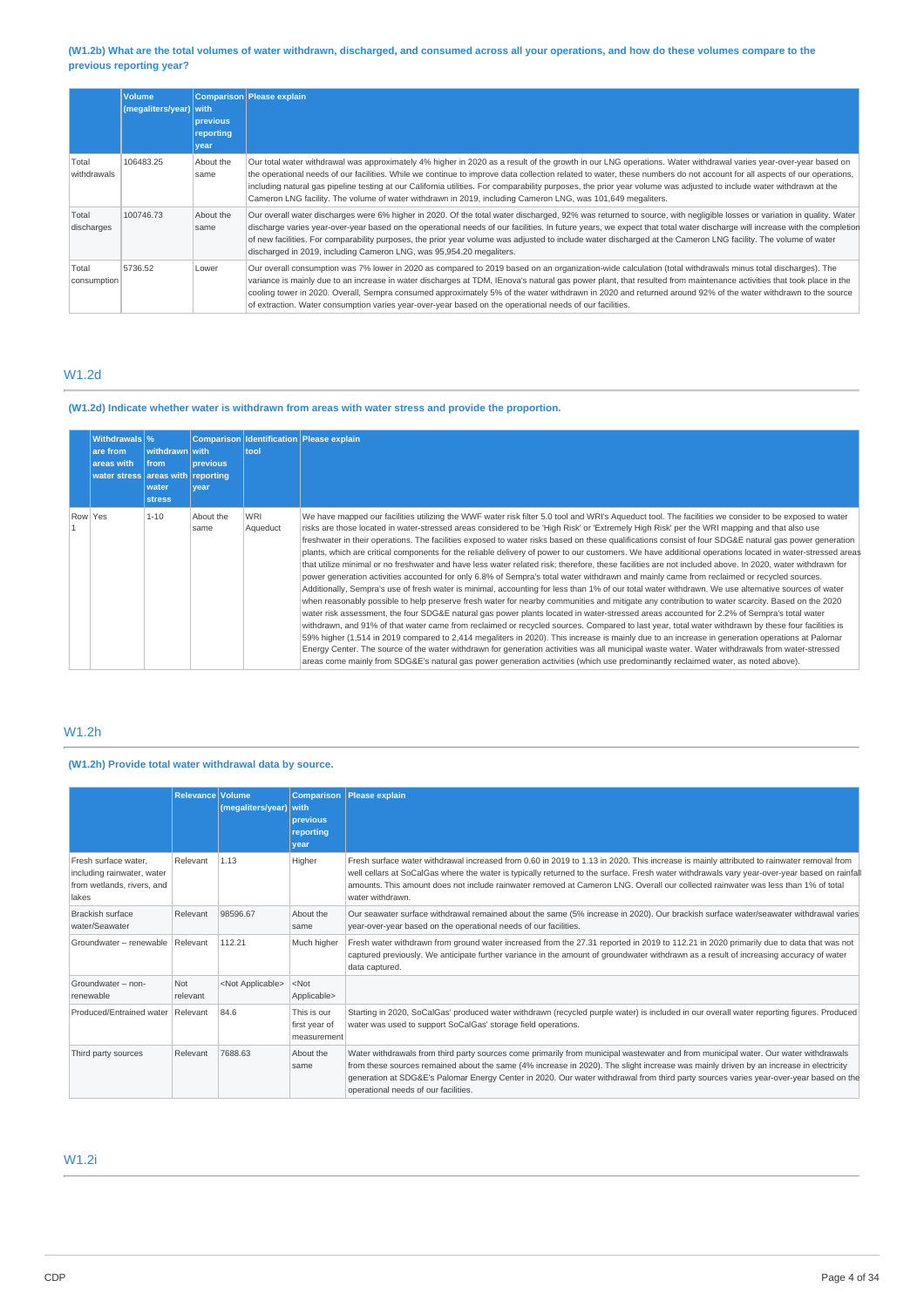## (W1.2b) What are the total volumes of water withdrawn, discharged, and consumed across all your operations, and how do these volumes compare to the **previous reporting year?**

|                      | <b>Volume</b><br>(megaliters/year) with | previous<br>reporting<br>vear | Comparison Please explain                                                                                                                                                                                                                                                                                                                                                                                                                                                                                                                                                                                                         |
|----------------------|-----------------------------------------|-------------------------------|-----------------------------------------------------------------------------------------------------------------------------------------------------------------------------------------------------------------------------------------------------------------------------------------------------------------------------------------------------------------------------------------------------------------------------------------------------------------------------------------------------------------------------------------------------------------------------------------------------------------------------------|
| Total<br>withdrawals | 106483.25                               | About the<br>same             | Our total water withdrawal was approximately 4% higher in 2020 as a result of the growth in our LNG operations. Water withdrawal varies year-over-year based on<br>the operational needs of our facilities. While we continue to improve data collection related to water, these numbers do not account for all aspects of our operations,<br>including natural gas pipeline testing at our California utilities. For comparability purposes, the prior year volume was adjusted to include water withdrawn at the<br>Cameron LNG facility. The volume of water withdrawn in 2019, including Cameron LNG, was 101,649 megaliters. |
| Total<br>discharges  | 100746.73                               | About the<br>same             | Our overall water discharges were 6% higher in 2020. Of the total water discharged, 92% was returned to source, with negligible losses or variation in quality. Water<br>discharge varies year-over-year based on the operational needs of our facilities. In future years, we expect that total water discharge will increase with the completion<br>of new facilities. For comparability purposes, the prior year volume was adjusted to include water discharged at the Cameron LNG facility. The volume of water<br>discharged in 2019, including Cameron LNG, was 95,954.20 megaliters.                                      |
| Total<br>consumption | 5736.52                                 | Lower                         | Our overall consumption was 7% lower in 2020 as compared to 2019 based on an organization-wide calculation (total withdrawals minus total discharges). The<br>variance is mainly due to an increase in water discharges at TDM, IEnova's natural gas power plant, that resulted from maintenance activities that took place in the<br>cooling tower in 2020. Overall, Sempra consumed approximately 5% of the water withdrawn in 2020 and returned around 92% of the water withdrawn to the source<br>of extraction. Water consumption varies year-over-year based on the operational needs of our facilities.                    |

# W1.2d

**(W1.2d) Indicate whether water is withdrawn from areas with water stress and provide the proportion.**

| Withdrawals \%<br>are from<br>areas with<br>water stress areas with reporting | withdrawn with<br>from<br>water<br><b>stress</b> | <b>previous</b><br>year | tool            | Comparison Identification Please explain                                                                                                                                                                                                                                                                                                                                                                                                                                                                                                                                                                                                                                                                                                                                                                                                                                                                                                                                                                                                                                                                                                                                                                                                                                                                                                                                                                                                                                                                                                                                                                                                                                                                                                                                                                                                                                                                                                                                                    |
|-------------------------------------------------------------------------------|--------------------------------------------------|-------------------------|-----------------|---------------------------------------------------------------------------------------------------------------------------------------------------------------------------------------------------------------------------------------------------------------------------------------------------------------------------------------------------------------------------------------------------------------------------------------------------------------------------------------------------------------------------------------------------------------------------------------------------------------------------------------------------------------------------------------------------------------------------------------------------------------------------------------------------------------------------------------------------------------------------------------------------------------------------------------------------------------------------------------------------------------------------------------------------------------------------------------------------------------------------------------------------------------------------------------------------------------------------------------------------------------------------------------------------------------------------------------------------------------------------------------------------------------------------------------------------------------------------------------------------------------------------------------------------------------------------------------------------------------------------------------------------------------------------------------------------------------------------------------------------------------------------------------------------------------------------------------------------------------------------------------------------------------------------------------------------------------------------------------------|
| Row Yes                                                                       | $1 - 10$                                         | About the<br>same       | WRI<br>Aqueduct | We have mapped our facilities utilizing the WWF water risk filter 5.0 tool and WRI's Aqueduct tool. The facilities we consider to be exposed to water<br>risks are those located in water-stressed areas considered to be 'High Risk' or 'Extremely High Risk' per the WRI mapping and that also use<br>freshwater in their operations. The facilities exposed to water risks based on these qualifications consist of four SDG&E natural gas power generation<br>plants, which are critical components for the reliable delivery of power to our customers. We have additional operations located in water-stressed areas<br>that utilize minimal or no freshwater and have less water related risk; therefore, these facilities are not included above. In 2020, water withdrawn for<br>power generation activities accounted for only 6.8% of Sempra's total water withdrawn and mainly came from reclaimed or recycled sources.<br>Additionally, Sempra's use of fresh water is minimal, accounting for less than 1% of our total water withdrawn. We use alternative sources of water<br>when reasonably possible to help preserve fresh water for nearby communities and mitigate any contribution to water scarcity. Based on the 2020<br>water risk assessment, the four SDG&E natural gas power plants located in water-stressed areas accounted for 2.2% of Sempra's total water<br>withdrawn, and 91% of that water came from reclaimed or recycled sources. Compared to last year, total water withdrawn by these four facilities is<br>59% higher (1,514 in 2019 compared to 2,414 megaliters in 2020). This increase is mainly due to an increase in generation operations at Palomar<br>Energy Center. The source of the water withdrawn for generation activities was all municipal waste water. Water withdrawals from water-stressed<br>areas come mainly from SDG&E's natural gas power generation activities (which use predominantly reclaimed water, as noted above). |

# W1.2h

# **(W1.2h) Provide total water withdrawal data by source.**

|                                                                                           | <b>Relevance Volume</b> | (megaliters/year)         | <b>Comparison</b><br>with<br>previous<br>reporting<br>vear | Please explain                                                                                                                                                                                                                                                                                                                                                                                                                                                |
|-------------------------------------------------------------------------------------------|-------------------------|---------------------------|------------------------------------------------------------|---------------------------------------------------------------------------------------------------------------------------------------------------------------------------------------------------------------------------------------------------------------------------------------------------------------------------------------------------------------------------------------------------------------------------------------------------------------|
| Fresh surface water.<br>including rainwater, water<br>from wetlands, rivers, and<br>lakes | Relevant                | 1.13                      | Higher                                                     | Fresh surface water withdrawal increased from 0.60 in 2019 to 1.13 in 2020. This increase is mainly attributed to rainwater removal from<br>well cellars at SoCalGas where the water is typically returned to the surface. Fresh water withdrawals vary year-over-year based on rainfall<br>amounts. This amount does not include rainwater removed at Cameron LNG. Overall our collected rainwater was less than 1% of total<br>water withdrawn.             |
| <b>Brackish surface</b><br>water/Seawater                                                 | Relevant                | 98596.67                  | About the<br>same                                          | Our seawater surface withdrawal remained about the same (5% increase in 2020). Our brackish surface water/seawater withdrawal varies<br>year-over-year based on the operational needs of our facilities.                                                                                                                                                                                                                                                      |
| Groundwater - renewable Relevant                                                          |                         | 112.21                    | Much higher                                                | Fresh water withdrawn from ground water increased from the 27.31 reported in 2019 to 112.21 in 2020 primarily due to data that was not<br>captured previously. We anticipate further variance in the amount of groundwater withdrawn as a result of increasing accuracy of water<br>data captured.                                                                                                                                                            |
| Groundwater - non-<br>renewable                                                           | Not<br>relevant         | <not applicable=""></not> | $<$ Not<br>Applicable>                                     |                                                                                                                                                                                                                                                                                                                                                                                                                                                               |
| Produced/Entrained water                                                                  | Relevant                | 84.6                      | This is our<br>first year of<br>measurement                | Starting in 2020, SoCalGas' produced water withdrawn (recycled purple water) is included in our overall water reporting figures. Produced<br>water was used to support SoCalGas' storage field operations.                                                                                                                                                                                                                                                    |
| Third party sources                                                                       | Relevant                | 7688.63                   | About the<br>same                                          | Water withdrawals from third party sources come primarily from municipal wastewater and from municipal water. Our water withdrawals<br>from these sources remained about the same (4% increase in 2020). The slight increase was mainly driven by an increase in electricity<br>generation at SDG&E's Palomar Energy Center in 2020. Our water withdrawal from third party sources varies year-over-year based on the<br>operational needs of our facilities. |

# W1.2i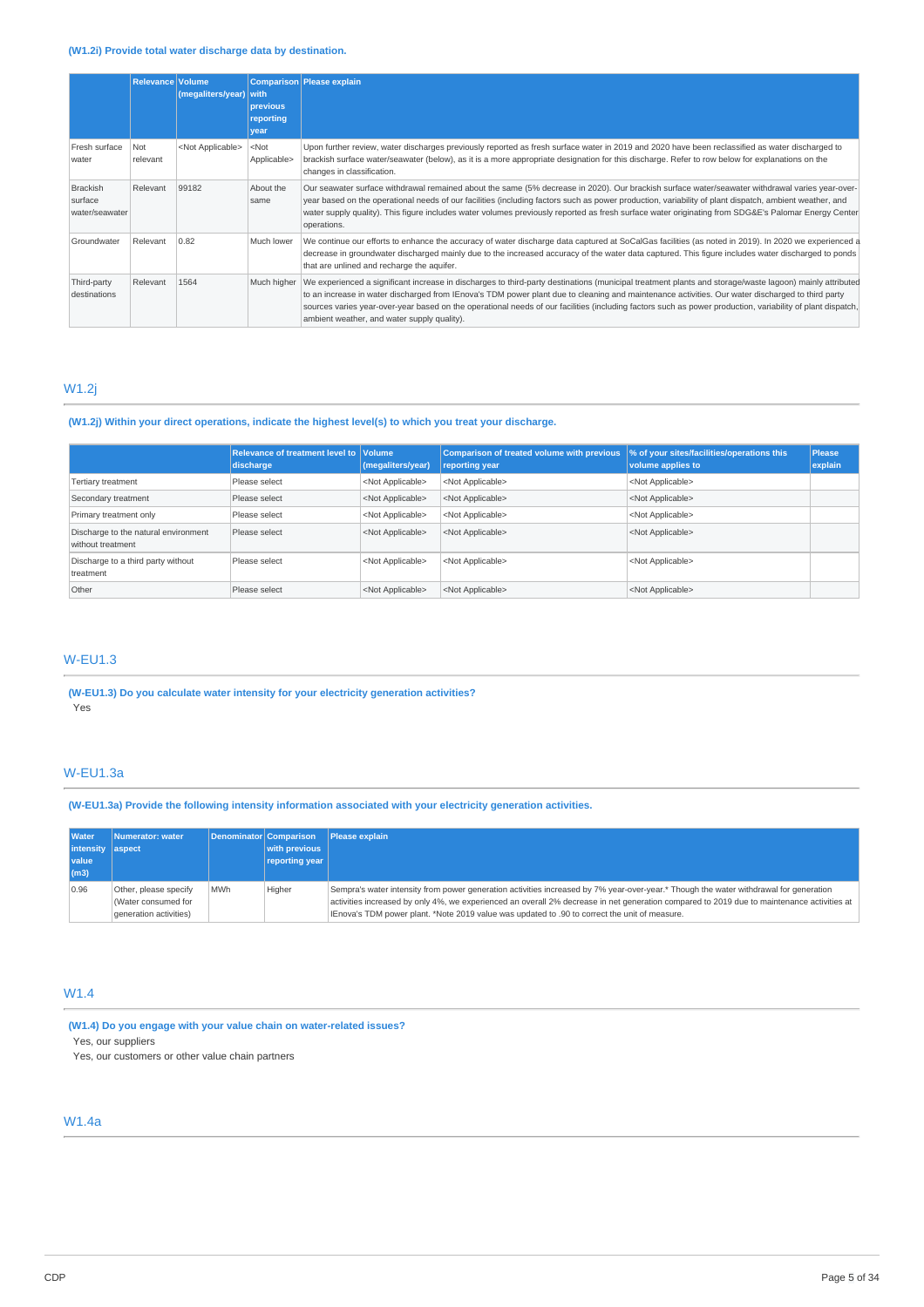## **(W1.2i) Provide total water discharge data by destination.**

|                                              | <b>Relevance Volume</b> | (megaliters/year) with    | previous<br>reporting<br>vear | Comparison Please explain                                                                                                                                                                                                                                                                                                                                                                                                                                                                                                |
|----------------------------------------------|-------------------------|---------------------------|-------------------------------|--------------------------------------------------------------------------------------------------------------------------------------------------------------------------------------------------------------------------------------------------------------------------------------------------------------------------------------------------------------------------------------------------------------------------------------------------------------------------------------------------------------------------|
| Fresh surface<br>water                       | Not<br>relevant         | <not applicable=""></not> | $<$ Not<br>Applicable>        | Upon further review, water discharges previously reported as fresh surface water in 2019 and 2020 have been reclassified as water discharged to<br>brackish surface water/seawater (below), as it is a more appropriate designation for this discharge. Refer to row below for explanations on the<br>changes in classification.                                                                                                                                                                                         |
| <b>Brackish</b><br>surface<br>water/seawater | Relevant                | 99182                     | About the<br>same             | Our seawater surface withdrawal remained about the same (5% decrease in 2020). Our brackish surface water/seawater withdrawal varies year-over-<br>year based on the operational needs of our facilities (including factors such as power production, variability of plant dispatch, ambient weather, and<br>water supply quality). This figure includes water volumes previously reported as fresh surface water originating from SDG&E's Palomar Energy Center<br>operations.                                          |
| Groundwater                                  | Relevant                | 0.82                      | Much lower                    | We continue our efforts to enhance the accuracy of water discharge data captured at SoCalGas facilities (as noted in 2019). In 2020 we experienced a<br>decrease in groundwater discharged mainly due to the increased accuracy of the water data captured. This figure includes water discharged to ponds<br>that are unlined and recharge the aquifer.                                                                                                                                                                 |
| Third-party<br>destinations                  | Relevant                | 1564                      | Much higher                   | We experienced a significant increase in discharges to third-party destinations (municipal treatment plants and storage/waste lagoon) mainly attributed<br>to an increase in water discharged from IEnova's TDM power plant due to cleaning and maintenance activities. Our water discharged to third party<br>sources varies year-over-year based on the operational needs of our facilities (including factors such as power production, variability of plant dispatch,<br>ambient weather, and water supply quality). |

# W1.2j

# **(W1.2j) Within your direct operations, indicate the highest level(s) to which you treat your discharge.**

|                                                           | Relevance of treatment level to Volume<br>discharge | (megaliters/year)         | <b>Comparison of treated volume with previous</b><br>reporting year | % of your sites/facilities/operations this<br>volume applies to | <b>Please</b><br>explain |
|-----------------------------------------------------------|-----------------------------------------------------|---------------------------|---------------------------------------------------------------------|-----------------------------------------------------------------|--------------------------|
| <b>Tertiary treatment</b>                                 | Please select                                       | <not applicable=""></not> | <not applicable=""></not>                                           | <not applicable=""></not>                                       |                          |
| Secondary treatment                                       | Please select                                       | <not applicable=""></not> | <not applicable=""></not>                                           | <not applicable=""></not>                                       |                          |
| Primary treatment only                                    | Please select                                       | <not applicable=""></not> | <not applicable=""></not>                                           | <not applicable=""></not>                                       |                          |
| Discharge to the natural environment<br>without treatment | Please select                                       | <not applicable=""></not> | <not applicable=""></not>                                           | <not applicable=""></not>                                       |                          |
| Discharge to a third party without<br>treatment           | Please select                                       | <not applicable=""></not> | <not applicable=""></not>                                           | <not applicable=""></not>                                       |                          |
| Other                                                     | Please select                                       | <not applicable=""></not> | <not applicable=""></not>                                           | <not applicable=""></not>                                       |                          |

# W-EU1.3

## **(W-EU1.3) Do you calculate water intensity for your electricity generation activities?** Yes

# W-EU1.3a

**(W-EU1.3a) Provide the following intensity information associated with your electricity generation activities.**

| <b>Water</b>  | Numerator: water                                                       |            | Denominator Comparison | Please explain                                                                                                                                                                                                                                                                                                                                                                       |
|---------------|------------------------------------------------------------------------|------------|------------------------|--------------------------------------------------------------------------------------------------------------------------------------------------------------------------------------------------------------------------------------------------------------------------------------------------------------------------------------------------------------------------------------|
| intensity     | laspect                                                                |            | with previous          |                                                                                                                                                                                                                                                                                                                                                                                      |
| value         |                                                                        |            | reporting year         |                                                                                                                                                                                                                                                                                                                                                                                      |
| $\mathsf{m3}$ |                                                                        |            |                        |                                                                                                                                                                                                                                                                                                                                                                                      |
| 0.96          | Other, please specify<br>(Water consumed for<br>generation activities) | <b>MWh</b> | Higher                 | Sempra's water intensity from power generation activities increased by 7% year-over-year.* Though the water withdrawal for generation<br>activities increased by only 4%, we experienced an overall 2% decrease in net generation compared to 2019 due to maintenance activities at<br>IEnova's TDM power plant. *Note 2019 value was updated to .90 to correct the unit of measure. |

# W1.4

**(W1.4) Do you engage with your value chain on water-related issues?** Yes, our suppliers Yes, our customers or other value chain partners

# W1.4a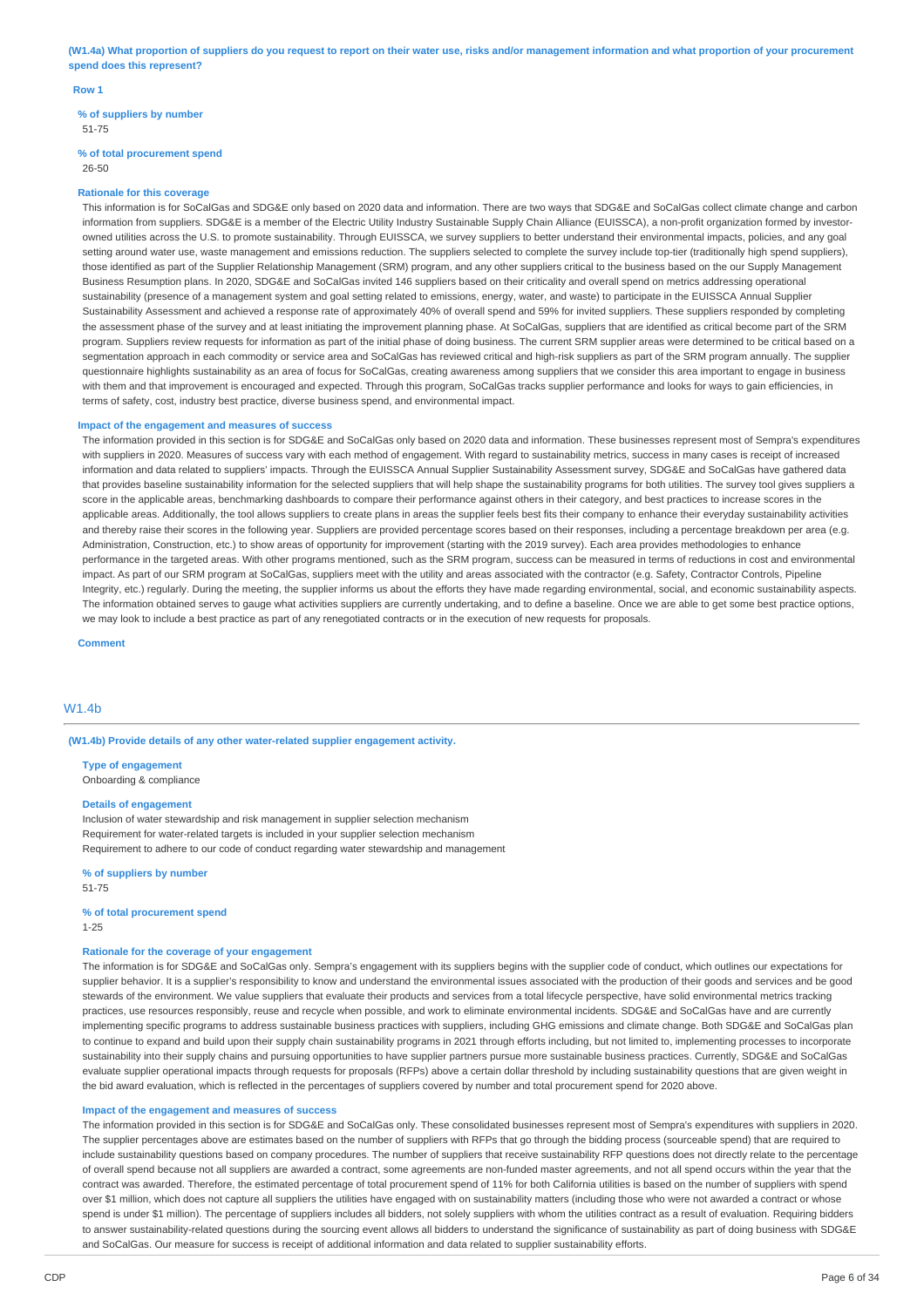(W1.4a) What proportion of suppliers do you request to report on their water use, risks and/or management information and what proportion of your procurement **spend does this represent?**

#### **Row 1**

**% of suppliers by number** 51-75

### **% of total procurement spend**

26-50

#### **Rationale for this coverage**

This information is for SoCalGas and SDG&E only based on 2020 data and information. There are two ways that SDG&E and SoCalGas collect climate change and carbon information from suppliers. SDG&E is a member of the Electric Utility Industry Sustainable Supply Chain Alliance (EUISSCA), a non-profit organization formed by investorowned utilities across the U.S. to promote sustainability. Through EUISSCA, we survey suppliers to better understand their environmental impacts, policies, and any goal setting around water use, waste management and emissions reduction. The suppliers selected to complete the survey include top-tier (traditionally high spend suppliers), those identified as part of the Supplier Relationship Management (SRM) program, and any other suppliers critical to the business based on the our Supply Management Business Resumption plans. In 2020, SDG&E and SoCalGas invited 146 suppliers based on their criticality and overall spend on metrics addressing operational sustainability (presence of a management system and goal setting related to emissions, energy, water, and waste) to participate in the EUISSCA Annual Supplier Sustainability Assessment and achieved a response rate of approximately 40% of overall spend and 59% for invited suppliers. These suppliers responded by completing the assessment phase of the survey and at least initiating the improvement planning phase. At SoCalGas, suppliers that are identified as critical become part of the SRM program. Suppliers review requests for information as part of the initial phase of doing business. The current SRM supplier areas were determined to be critical based on a segmentation approach in each commodity or service area and SoCalGas has reviewed critical and high-risk suppliers as part of the SRM program annually. The supplier questionnaire highlights sustainability as an area of focus for SoCalGas, creating awareness among suppliers that we consider this area important to engage in business with them and that improvement is encouraged and expected. Through this program, SoCalGas tracks supplier performance and looks for ways to gain efficiencies, in terms of safety, cost, industry best practice, diverse business spend, and environmental impact.

### **Impact of the engagement and measures of success**

The information provided in this section is for SDG&E and SoCalGas only based on 2020 data and information. These businesses represent most of Sempra's expenditures with suppliers in 2020. Measures of success vary with each method of engagement. With regard to sustainability metrics, success in many cases is receipt of increased information and data related to suppliers' impacts. Through the EUISSCA Annual Supplier Sustainability Assessment survey, SDG&E and SoCalGas have gathered data that provides baseline sustainability information for the selected suppliers that will help shape the sustainability programs for both utilities. The survey tool gives suppliers a score in the applicable areas, benchmarking dashboards to compare their performance against others in their category, and best practices to increase scores in the applicable areas. Additionally, the tool allows suppliers to create plans in areas the supplier feels best fits their company to enhance their everyday sustainability activities and thereby raise their scores in the following year. Suppliers are provided percentage scores based on their responses, including a percentage breakdown per area (e.g. Administration, Construction, etc.) to show areas of opportunity for improvement (starting with the 2019 survey). Each area provides methodologies to enhance performance in the targeted areas. With other programs mentioned, such as the SRM program, success can be measured in terms of reductions in cost and environmental impact. As part of our SRM program at SoCalGas, suppliers meet with the utility and areas associated with the contractor (e.g. Safety, Contractor Controls, Pipeline Integrity, etc.) regularly. During the meeting, the supplier informs us about the efforts they have made regarding environmental, social, and economic sustainability aspects. The information obtained serves to gauge what activities suppliers are currently undertaking, and to define a baseline. Once we are able to get some best practice options, we may look to include a best practice as part of any renegotiated contracts or in the execution of new requests for proposals.

**Comment**

## W1.4b

**(W1.4b) Provide details of any other water-related supplier engagement activity.**

**Type of engagement** Onboarding & compliance

#### **Details of engagement**

Inclusion of water stewardship and risk management in supplier selection mechanism Requirement for water-related targets is included in your supplier selection mechanism Requirement to adhere to our code of conduct regarding water stewardship and management

**% of suppliers by number** 51-75

**% of total procurement spend** 1-25

#### **Rationale for the coverage of your engagement**

The information is for SDG&E and SoCalGas only. Sempra's engagement with its suppliers begins with the supplier code of conduct, which outlines our expectations for supplier behavior. It is a supplier's responsibility to know and understand the environmental issues associated with the production of their goods and services and be good stewards of the environment. We value suppliers that evaluate their products and services from a total lifecycle perspective, have solid environmental metrics tracking practices, use resources responsibly, reuse and recycle when possible, and work to eliminate environmental incidents. SDG&E and SoCalGas have and are currently implementing specific programs to address sustainable business practices with suppliers, including GHG emissions and climate change. Both SDG&E and SoCalGas plan to continue to expand and build upon their supply chain sustainability programs in 2021 through efforts including, but not limited to, implementing processes to incorporate sustainability into their supply chains and pursuing opportunities to have supplier partners pursue more sustainable business practices. Currently, SDG&E and SoCalGas evaluate supplier operational impacts through requests for proposals (RFPs) above a certain dollar threshold by including sustainability questions that are given weight in the bid award evaluation, which is reflected in the percentages of suppliers covered by number and total procurement spend for 2020 above.

### **Impact of the engagement and measures of success**

The information provided in this section is for SDG&E and SoCalGas only. These consolidated businesses represent most of Sempra's expenditures with suppliers in 2020. The supplier percentages above are estimates based on the number of suppliers with RFPs that go through the bidding process (sourceable spend) that are required to include sustainability questions based on company procedures. The number of suppliers that receive sustainability RFP questions does not directly relate to the percentage of overall spend because not all suppliers are awarded a contract, some agreements are non-funded master agreements, and not all spend occurs within the year that the contract was awarded. Therefore, the estimated percentage of total procurement spend of 11% for both California utilities is based on the number of suppliers with spend over \$1 million, which does not capture all suppliers the utilities have engaged with on sustainability matters (including those who were not awarded a contract or whose spend is under \$1 million). The percentage of suppliers includes all bidders, not solely suppliers with whom the utilities contract as a result of evaluation. Requiring bidders to answer sustainability-related questions during the sourcing event allows all bidders to understand the significance of sustainability as part of doing business with SDG&E and SoCalGas. Our measure for success is receipt of additional information and data related to supplier sustainability efforts.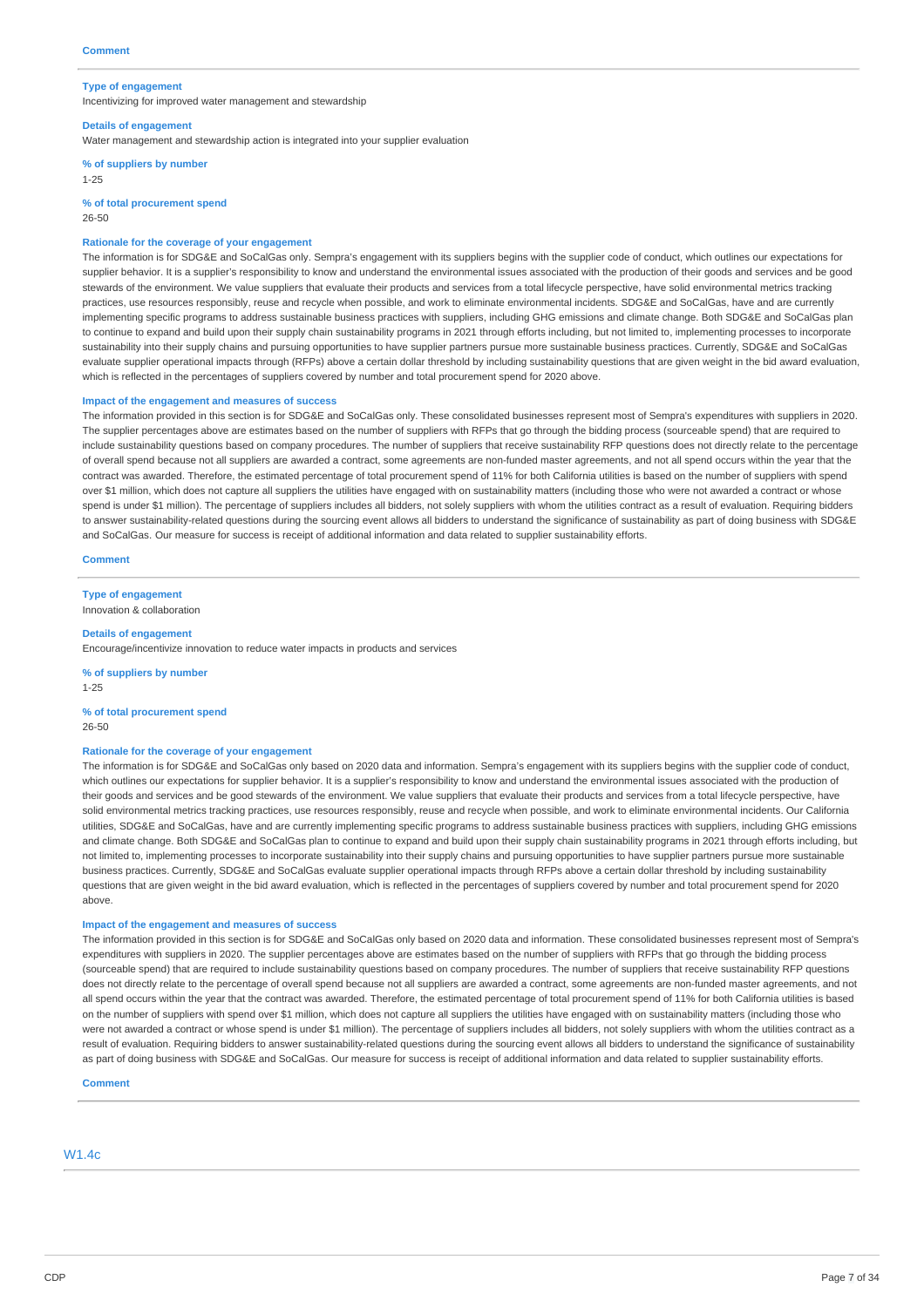## **Type of engagement**

Incentivizing for improved water management and stewardship

## **Details of engagement**

Water management and stewardship action is integrated into your supplier evaluation

**% of suppliers by number** 1-25

**% of total procurement spend** 26-50

#### **Rationale for the coverage of your engagement**

The information is for SDG&E and SoCalGas only. Sempra's engagement with its suppliers begins with the supplier code of conduct, which outlines our expectations for supplier behavior. It is a supplier's responsibility to know and understand the environmental issues associated with the production of their goods and services and be good stewards of the environment. We value suppliers that evaluate their products and services from a total lifecycle perspective, have solid environmental metrics tracking practices, use resources responsibly, reuse and recycle when possible, and work to eliminate environmental incidents. SDG&E and SoCalGas, have and are currently implementing specific programs to address sustainable business practices with suppliers, including GHG emissions and climate change. Both SDG&E and SoCalGas plan to continue to expand and build upon their supply chain sustainability programs in 2021 through efforts including, but not limited to, implementing processes to incorporate sustainability into their supply chains and pursuing opportunities to have supplier partners pursue more sustainable business practices. Currently, SDG&E and SoCalGas evaluate supplier operational impacts through (RFPs) above a certain dollar threshold by including sustainability questions that are given weight in the bid award evaluation, which is reflected in the percentages of suppliers covered by number and total procurement spend for 2020 above.

## **Impact of the engagement and measures of success**

The information provided in this section is for SDG&E and SoCalGas only. These consolidated businesses represent most of Sempra's expenditures with suppliers in 2020. The supplier percentages above are estimates based on the number of suppliers with RFPs that go through the bidding process (sourceable spend) that are required to include sustainability questions based on company procedures. The number of suppliers that receive sustainability RFP questions does not directly relate to the percentage of overall spend because not all suppliers are awarded a contract, some agreements are non-funded master agreements, and not all spend occurs within the year that the contract was awarded. Therefore, the estimated percentage of total procurement spend of 11% for both California utilities is based on the number of suppliers with spend over \$1 million, which does not capture all suppliers the utilities have engaged with on sustainability matters (including those who were not awarded a contract or whose spend is under \$1 million). The percentage of suppliers includes all bidders, not solely suppliers with whom the utilities contract as a result of evaluation. Requiring bidders to answer sustainability-related questions during the sourcing event allows all bidders to understand the significance of sustainability as part of doing business with SDG&E and SoCalGas. Our measure for success is receipt of additional information and data related to supplier sustainability efforts.

#### **Comment**

**Type of engagement** Innovation & collaboration

### **Details of engagement**

Encourage/incentivize innovation to reduce water impacts in products and services

**% of suppliers by number** 1-25

### **% of total procurement spend** 26-50

### **Rationale for the coverage of your engagement**

The information is for SDG&E and SoCalGas only based on 2020 data and information. Sempra's engagement with its suppliers begins with the supplier code of conduct, which outlines our expectations for supplier behavior. It is a supplier's responsibility to know and understand the environmental issues associated with the production of their goods and services and be good stewards of the environment. We value suppliers that evaluate their products and services from a total lifecycle perspective, have solid environmental metrics tracking practices, use resources responsibly, reuse and recycle when possible, and work to eliminate environmental incidents. Our California utilities, SDG&E and SoCalGas, have and are currently implementing specific programs to address sustainable business practices with suppliers, including GHG emissions and climate change. Both SDG&E and SoCalGas plan to continue to expand and build upon their supply chain sustainability programs in 2021 through efforts including, but not limited to, implementing processes to incorporate sustainability into their supply chains and pursuing opportunities to have supplier partners pursue more sustainable business practices. Currently, SDG&E and SoCalGas evaluate supplier operational impacts through RFPs above a certain dollar threshold by including sustainability questions that are given weight in the bid award evaluation, which is reflected in the percentages of suppliers covered by number and total procurement spend for 2020 above.

### **Impact of the engagement and measures of success**

The information provided in this section is for SDG&E and SoCalGas only based on 2020 data and information. These consolidated businesses represent most of Sempra's expenditures with suppliers in 2020. The supplier percentages above are estimates based on the number of suppliers with RFPs that go through the bidding process (sourceable spend) that are required to include sustainability questions based on company procedures. The number of suppliers that receive sustainability RFP questions does not directly relate to the percentage of overall spend because not all suppliers are awarded a contract, some agreements are non-funded master agreements, and not all spend occurs within the year that the contract was awarded. Therefore, the estimated percentage of total procurement spend of 11% for both California utilities is based on the number of suppliers with spend over \$1 million, which does not capture all suppliers the utilities have engaged with on sustainability matters (including those who were not awarded a contract or whose spend is under \$1 million). The percentage of suppliers includes all bidders, not solely suppliers with whom the utilities contract as a result of evaluation. Requiring bidders to answer sustainability-related questions during the sourcing event allows all bidders to understand the significance of sustainability as part of doing business with SDG&E and SoCalGas. Our measure for success is receipt of additional information and data related to supplier sustainability efforts.

### **Comment**

W1.4c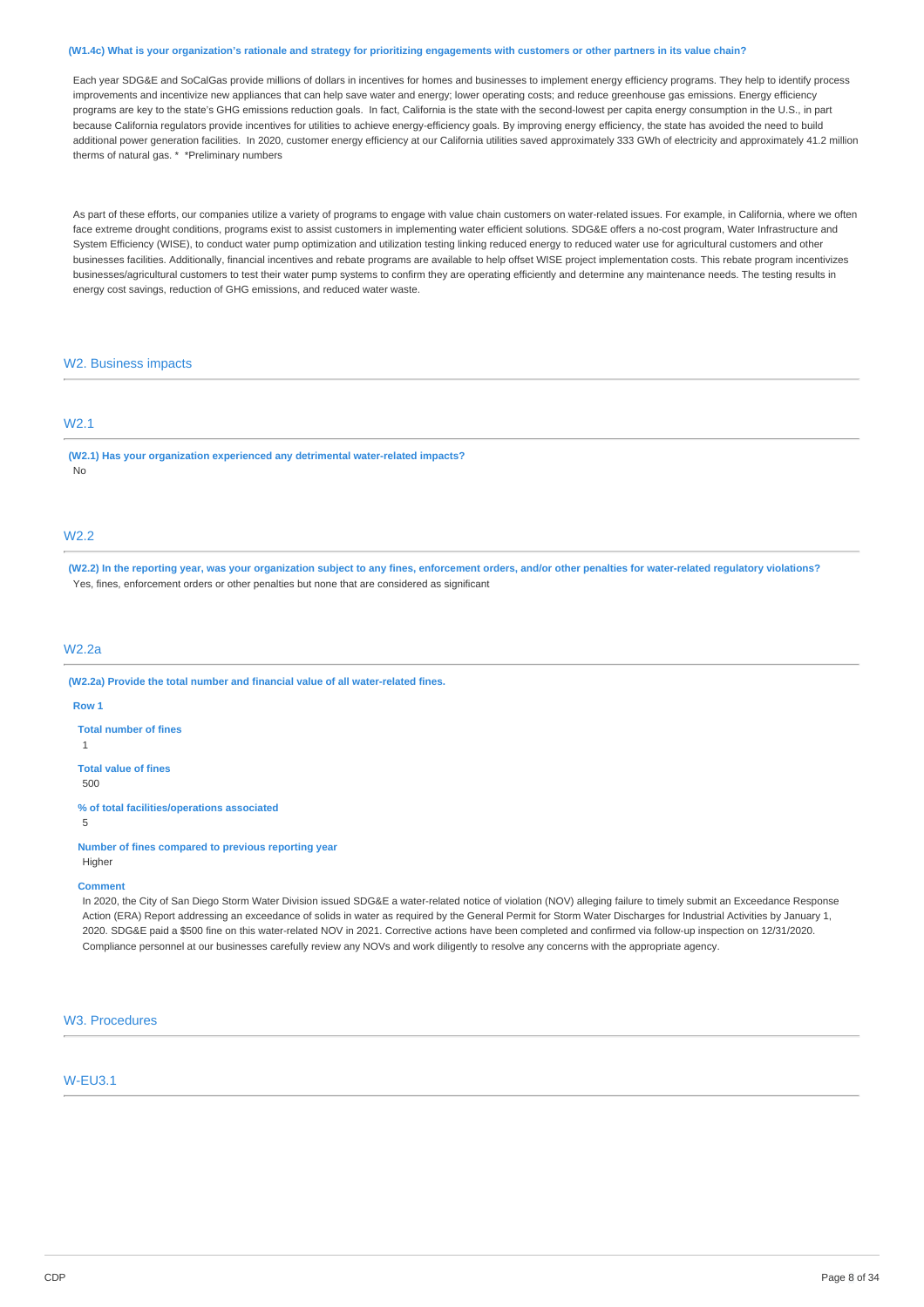### (W1.4c) What is your organization's rationale and strategy for prioritizing engagements with customers or other partners in its value chain?

Each year SDG&E and SoCalGas provide millions of dollars in incentives for homes and businesses to implement energy efficiency programs. They help to identify process improvements and incentivize new appliances that can help save water and energy; lower operating costs; and reduce greenhouse gas emissions. Energy efficiency programs are key to the state's GHG emissions reduction goals. In fact, California is the state with the second-lowest per capita energy consumption in the U.S., in part because California regulators provide incentives for utilities to achieve energy-efficiency goals. By improving energy efficiency, the state has avoided the need to build additional power generation facilities. In 2020, customer energy efficiency at our California utilities saved approximately 333 GWh of electricity and approximately 41.2 million therms of natural gas. \* \*Preliminary numbers

As part of these efforts, our companies utilize a variety of programs to engage with value chain customers on water-related issues. For example, in California, where we often face extreme drought conditions, programs exist to assist customers in implementing water efficient solutions. SDG&E offers a no-cost program, Water Infrastructure and System Efficiency (WISE), to conduct water pump optimization and utilization testing linking reduced energy to reduced water use for agricultural customers and other businesses facilities. Additionally, financial incentives and rebate programs are available to help offset WISE project implementation costs. This rebate program incentivizes businesses/agricultural customers to test their water pump systems to confirm they are operating efficiently and determine any maintenance needs. The testing results in energy cost savings, reduction of GHG emissions, and reduced water waste.

## W2. Business impacts

# W2.1

**(W2.1) Has your organization experienced any detrimental water-related impacts?** No

## W2.2

(W2.2) In the reporting year, was your organization subject to any fines, enforcement orders, and/or other penalties for water-related regulatory violations? Yes, fines, enforcement orders or other penalties but none that are considered as significant

# W2.2a

**(W2.2a) Provide the total number and financial value of all water-related fines.**

## **Row 1**

1

**Total number of fines**

**Total value of fines**

500

**% of total facilities/operations associated** 5

**Number of fines compared to previous reporting year**

**Higher** 

**Comment**

In 2020, the City of San Diego Storm Water Division issued SDG&E a water-related notice of violation (NOV) alleging failure to timely submit an Exceedance Response Action (ERA) Report addressing an exceedance of solids in water as required by the General Permit for Storm Water Discharges for Industrial Activities by January 1, 2020. SDG&E paid a \$500 fine on this water-related NOV in 2021. Corrective actions have been completed and confirmed via follow-up inspection on 12/31/2020. Compliance personnel at our businesses carefully review any NOVs and work diligently to resolve any concerns with the appropriate agency.

## W3. Procedures

# W-EU3.1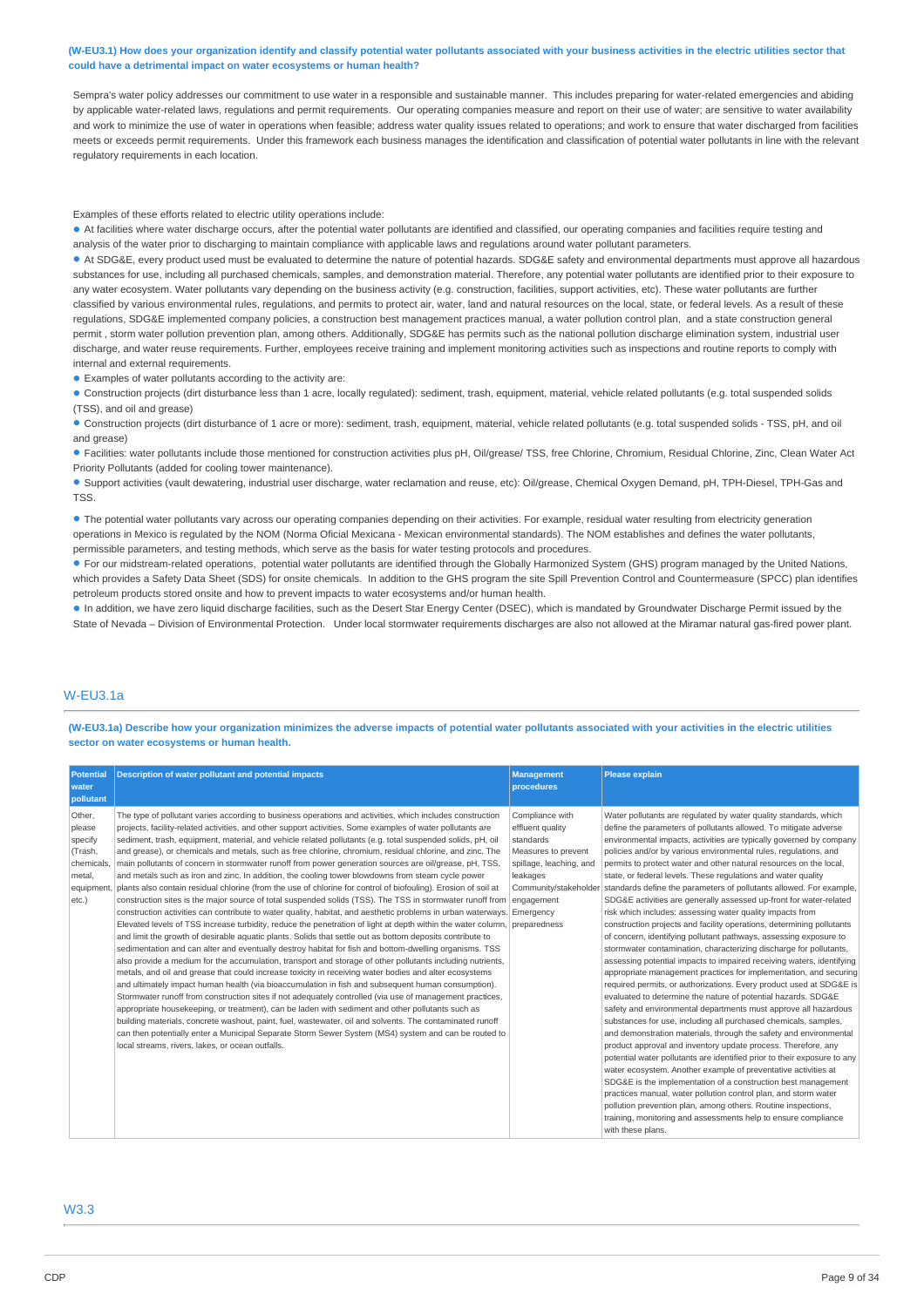## (W-EU3.1) How does your organization identify and classify potential water pollutants associated with your business activities in the electric utilities sector that **could have a detrimental impact on water ecosystems or human health?**

Sempra's water policy addresses our commitment to use water in a responsible and sustainable manner. This includes preparing for water-related emergencies and abiding by applicable water-related laws, regulations and permit requirements. Our operating companies measure and report on their use of water; are sensitive to water availability and work to minimize the use of water in operations when feasible; address water quality issues related to operations; and work to ensure that water discharged from facilities meets or exceeds permit requirements. Under this framework each business manages the identification and classification of potential water pollutants in line with the relevant regulatory requirements in each location.

### Examples of these efforts related to electric utility operations include:

At facilities where water discharge occurs, after the potential water pollutants are identified and classified, our operating companies and facilities require testing and • analysis of the water prior to discharging to maintain compliance with applicable laws and regulations around water pollutant parameters.

• At SDG&E, every product used must be evaluated to determine the nature of potential hazards. SDG&E safety and environmental departments must approve all hazardous substances for use, including all purchased chemicals, samples, and demonstration material. Therefore, any potential water pollutants are identified prior to their exposure to any water ecosystem. Water pollutants vary depending on the business activity (e.g. construction, facilities, support activities, etc). These water pollutants are further classified by various environmental rules, regulations, and permits to protect air, water, land and natural resources on the local, state, or federal levels. As a result of these regulations, SDG&E implemented company policies, a construction best management practices manual, a water pollution control plan, and a state construction general permit , storm water pollution prevention plan, among others. Additionally, SDG&E has permits such as the national pollution discharge elimination system, industrial user discharge, and water reuse requirements. Further, employees receive training and implement monitoring activities such as inspections and routine reports to comply with internal and external requirements.

Examples of water pollutants according to the activity are: •

Construction projects (dirt disturbance less than 1 acre, locally regulated): sediment, trash, equipment, material, vehicle related pollutants (e.g. total suspended solids • (TSS), and oil and grease)

. Construction projects (dirt disturbance of 1 acre or more): sediment, trash, equipment, material, vehicle related pollutants (e.g. total suspended solids - TSS, pH, and oil and grease)

• Facilities: water pollutants include those mentioned for construction activities plus pH, Oil/grease/ TSS, free Chlorine, Chromium, Residual Chlorine, Zinc, Clean Water Act Priority Pollutants (added for cooling tower maintenance).

• Support activities (vault dewatering, industrial user discharge, water reclamation and reuse, etc): Oil/grease, Chemical Oxygen Demand, pH, TPH-Diesel, TPH-Gas and TSS.

The potential water pollutants vary across our operating companies depending on their activities. For example, residual water resulting from electricity generation • operations in Mexico is regulated by the NOM (Norma Oficial Mexicana - Mexican environmental standards). The NOM establishes and defines the water pollutants, permissible parameters, and testing methods, which serve as the basis for water testing protocols and procedures.

.<br>● For our midstream-related operations, potential water pollutants are identified through the Globally Harmonized System (GHS) program managed by the United Nations, which provides a Safety Data Sheet (SDS) for onsite chemicals. In addition to the GHS program the site Spill Prevention Control and Countermeasure (SPCC) plan identifies petroleum products stored onsite and how to prevent impacts to water ecosystems and/or human health.

.<br>● In addition, we have zero liquid discharge facilities, such as the Desert Star Energy Center (DSEC), which is mandated by Groundwater Discharge Permit issued by the State of Nevada – Division of Environmental Protection. Under local stormwater requirements discharges are also not allowed at the Miramar natural gas-fired power plant.

## W-EU3.1a

(W-EU3.1a) Describe how your organization minimizes the adverse impacts of potential water pollutants associated with your activities in the electric utilities **sector on water ecosystems or human health.**

| <b>Potential</b><br>water<br>pollutant                                                | <b>Description of water pollutant and potential impacts</b>                                                                                                                                                                                                                                                                                                                                                                                                                                                                                                                                                                                                                                                                                                                                                                                                                                                                                                                                                                                                                                                                                                                                                                                                                                                                                                                                                                                                                                                                                                                                                                                                                                                                                                                                                                                                                                                                                                                                                                                                                                                                                                                                                   | <b>Management</b><br>procedures                                                                                | <b>Please explain</b>                                                                                                                                                                                                                                                                                                                                                                                                                                                                                                                                                                                                                                                                                                                                                                                                                                                                                                                                                                                                                                                                                                                                                                                                                                                                                                                                                                                                                                                                                                                                                                                                                                                                                                                                                                                                                                                                  |
|---------------------------------------------------------------------------------------|---------------------------------------------------------------------------------------------------------------------------------------------------------------------------------------------------------------------------------------------------------------------------------------------------------------------------------------------------------------------------------------------------------------------------------------------------------------------------------------------------------------------------------------------------------------------------------------------------------------------------------------------------------------------------------------------------------------------------------------------------------------------------------------------------------------------------------------------------------------------------------------------------------------------------------------------------------------------------------------------------------------------------------------------------------------------------------------------------------------------------------------------------------------------------------------------------------------------------------------------------------------------------------------------------------------------------------------------------------------------------------------------------------------------------------------------------------------------------------------------------------------------------------------------------------------------------------------------------------------------------------------------------------------------------------------------------------------------------------------------------------------------------------------------------------------------------------------------------------------------------------------------------------------------------------------------------------------------------------------------------------------------------------------------------------------------------------------------------------------------------------------------------------------------------------------------------------------|----------------------------------------------------------------------------------------------------------------|----------------------------------------------------------------------------------------------------------------------------------------------------------------------------------------------------------------------------------------------------------------------------------------------------------------------------------------------------------------------------------------------------------------------------------------------------------------------------------------------------------------------------------------------------------------------------------------------------------------------------------------------------------------------------------------------------------------------------------------------------------------------------------------------------------------------------------------------------------------------------------------------------------------------------------------------------------------------------------------------------------------------------------------------------------------------------------------------------------------------------------------------------------------------------------------------------------------------------------------------------------------------------------------------------------------------------------------------------------------------------------------------------------------------------------------------------------------------------------------------------------------------------------------------------------------------------------------------------------------------------------------------------------------------------------------------------------------------------------------------------------------------------------------------------------------------------------------------------------------------------------------|
| Other.<br>please<br>specify<br>(Trash,<br>chemicals,<br>metal,<br>equipment.<br>etc.) | The type of pollutant varies according to business operations and activities, which includes construction<br>projects, facility-related activities, and other support activities. Some examples of water pollutants are<br>sediment, trash, equipment, material, and vehicle related pollutants (e.g. total suspended solids, pH, oil<br>and grease), or chemicals and metals, such as free chlorine, chromium, residual chlorine, and zinc. The<br>main pollutants of concern in stormwater runoff from power generation sources are oil/grease, pH, TSS,<br>and metals such as iron and zinc. In addition, the cooling tower blowdowns from steam cycle power<br>plants also contain residual chlorine (from the use of chlorine for control of biofouling). Erosion of soil at<br>construction sites is the major source of total suspended solids (TSS). The TSS in stormwater runoff from engagement<br>construction activities can contribute to water quality, habitat, and aesthetic problems in urban waterways. Emergency<br>Elevated levels of TSS increase turbidity, reduce the penetration of light at depth within the water column, preparedness<br>and limit the growth of desirable aquatic plants. Solids that settle out as bottom deposits contribute to<br>sedimentation and can alter and eventually destroy habitat for fish and bottom-dwelling organisms. TSS<br>also provide a medium for the accumulation, transport and storage of other pollutants including nutrients,<br>metals, and oil and grease that could increase toxicity in receiving water bodies and alter ecosystems<br>and ultimately impact human health (via bioaccumulation in fish and subsequent human consumption).<br>Stormwater runoff from construction sites if not adequately controlled (via use of management practices,<br>appropriate housekeeping, or treatment), can be laden with sediment and other pollutants such as<br>building materials, concrete washout, paint, fuel, wastewater, oil and solvents. The contaminated runoff<br>can then potentially enter a Municipal Separate Storm Sewer System (MS4) system and can be routed to<br>local streams, rivers, lakes, or ocean outfalls. | Compliance with<br>effluent quality<br>standards<br>Measures to prevent<br>spillage, leaching, and<br>leakages | Water pollutants are regulated by water quality standards, which<br>define the parameters of pollutants allowed. To mitigate adverse<br>environmental impacts, activities are typically governed by company<br>policies and/or by various environmental rules, regulations, and<br>permits to protect water and other natural resources on the local,<br>state, or federal levels. These regulations and water quality<br>Community/stakeholder standards define the parameters of pollutants allowed. For example,<br>SDG&E activities are generally assessed up-front for water-related<br>risk which includes: assessing water quality impacts from<br>construction projects and facility operations, determining pollutants<br>of concern, identifying pollutant pathways, assessing exposure to<br>stormwater contamination, characterizing discharge for pollutants,<br>assessing potential impacts to impaired receiving waters, identifying<br>appropriate management practices for implementation, and securing<br>required permits, or authorizations. Every product used at SDG&E is<br>evaluated to determine the nature of potential hazards. SDG&E<br>safety and environmental departments must approve all hazardous<br>substances for use, including all purchased chemicals, samples,<br>and demonstration materials, through the safety and environmental<br>product approval and inventory update process. Therefore, any<br>potential water pollutants are identified prior to their exposure to any<br>water ecosystem. Another example of preventative activities at<br>SDG&E is the implementation of a construction best management<br>practices manual, water pollution control plan, and storm water<br>pollution prevention plan, among others. Routine inspections,<br>training, monitoring and assessments help to ensure compliance<br>with these plans. |

## $M3.3$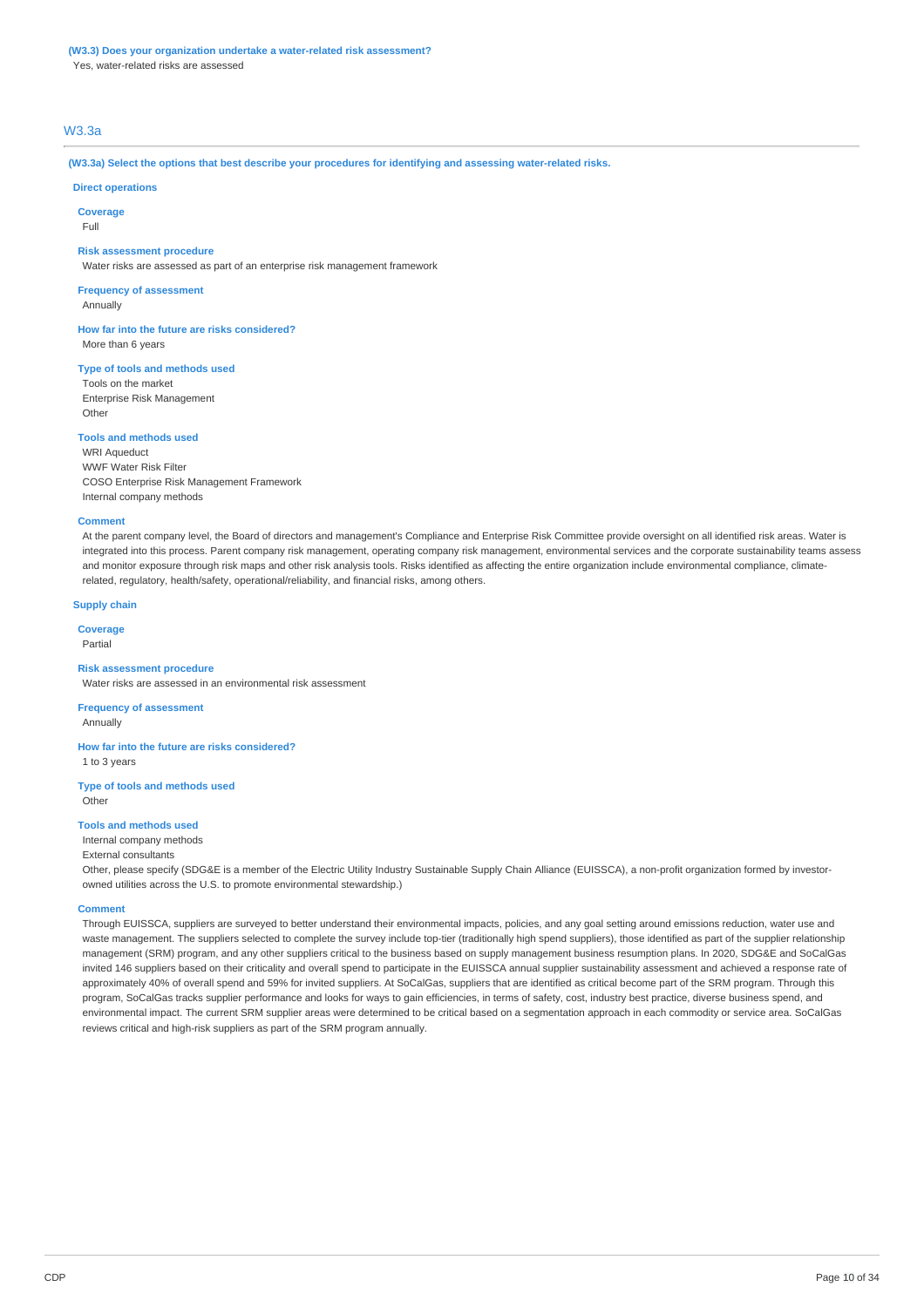# **(W3.3) Does your organization undertake a water-related risk assessment?**

Yes, water-related risks are assessed

# W3.3a

## **(W3.3a) Select the options that best describe your procedures for identifying and assessing water-related risks.**

## **Direct operations**

**Coverage**

Full

## **Risk assessment procedure**

Water risks are assessed as part of an enterprise risk management framework

## **Frequency of assessment**

Annually

**How far into the future are risks considered?** More than 6 years

### **Type of tools and methods used**

Tools on the market Enterprise Risk Management Other

### **Tools and methods used**

WRI Aqueduct WWF Water Risk Filter COSO Enterprise Risk Management Framework Internal company methods

#### **Comment**

At the parent company level, the Board of directors and management's Compliance and Enterprise Risk Committee provide oversight on all identified risk areas. Water is integrated into this process. Parent company risk management, operating company risk management, environmental services and the corporate sustainability teams assess and monitor exposure through risk maps and other risk analysis tools. Risks identified as affecting the entire organization include environmental compliance, climaterelated, regulatory, health/safety, operational/reliability, and financial risks, among others.

## **Supply chain**

**Coverage**

Partial

### **Risk assessment procedure**

Water risks are assessed in an environmental risk assessment

### **Frequency of assessment** Annually

## **How far into the future are risks considered?** 1 to 3 years

**Type of tools and methods used** Other

# **Tools and methods used**

Internal company methods External consultants

Other, please specify (SDG&E is a member of the Electric Utility Industry Sustainable Supply Chain Alliance (EUISSCA), a non-profit organization formed by investorowned utilities across the U.S. to promote environmental stewardship.)

#### **Comment**

Through EUISSCA, suppliers are surveyed to better understand their environmental impacts, policies, and any goal setting around emissions reduction, water use and waste management. The suppliers selected to complete the survey include top-tier (traditionally high spend suppliers), those identified as part of the supplier relationship management (SRM) program, and any other suppliers critical to the business based on supply management business resumption plans. In 2020, SDG&E and SoCalGas invited 146 suppliers based on their criticality and overall spend to participate in the EUISSCA annual supplier sustainability assessment and achieved a response rate of approximately 40% of overall spend and 59% for invited suppliers. At SoCalGas, suppliers that are identified as critical become part of the SRM program. Through this program, SoCalGas tracks supplier performance and looks for ways to gain efficiencies, in terms of safety, cost, industry best practice, diverse business spend, and environmental impact. The current SRM supplier areas were determined to be critical based on a segmentation approach in each commodity or service area. SoCalGas reviews critical and high-risk suppliers as part of the SRM program annually.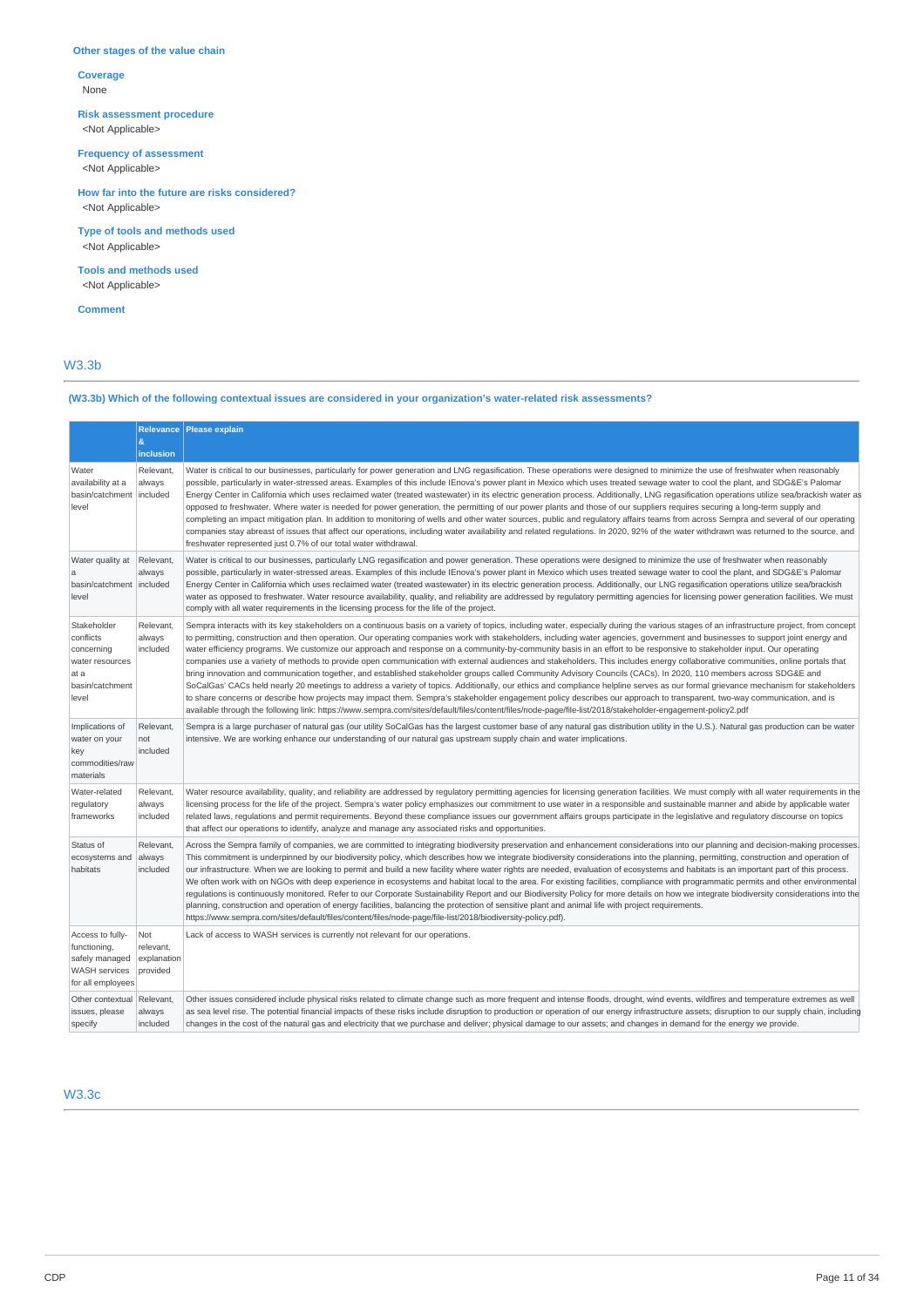## **Other stages of the value chain**

**Coverage** None

**Risk assessment procedure** <Not Applicable>

**Frequency of assessment**

<Not Applicable>

<Not Applicable> **How far into the future are risks considered?**

**Type of tools and methods used** <Not Applicable>

**Tools and methods used** <Not Applicable>

**Comment**

# W3.3b

# **(W3.3b) Which of the following contextual issues are considered in your organization's water-related risk assessments?**

|                                                                                                 | &<br>inclusion                              | Relevance Please explain                                                                                                                                                                                                                                                                                                                                                                                                                                                                                                                                                                                                                                                                                                                                                                                                                                                                                                                                                                                                                                                                                                                                                                                                                                                                                                                                                                                                                  |
|-------------------------------------------------------------------------------------------------|---------------------------------------------|-------------------------------------------------------------------------------------------------------------------------------------------------------------------------------------------------------------------------------------------------------------------------------------------------------------------------------------------------------------------------------------------------------------------------------------------------------------------------------------------------------------------------------------------------------------------------------------------------------------------------------------------------------------------------------------------------------------------------------------------------------------------------------------------------------------------------------------------------------------------------------------------------------------------------------------------------------------------------------------------------------------------------------------------------------------------------------------------------------------------------------------------------------------------------------------------------------------------------------------------------------------------------------------------------------------------------------------------------------------------------------------------------------------------------------------------|
| Water<br>availability at a<br>basin/catchment<br>level                                          | Relevant,<br>always<br>included             | Water is critical to our businesses, particularly for power generation and LNG regasification. These operations were designed to minimize the use of freshwater when reasonably<br>possible, particularly in water-stressed areas. Examples of this include IEnova's power plant in Mexico which uses treated sewage water to cool the plant, and SDG&E's Palomar<br>Energy Center in California which uses reclaimed water (treated wastewater) in its electric generation process. Additionally, LNG regasification operations utilize sea/brackish water as<br>opposed to freshwater. Where water is needed for power generation, the permitting of our power plants and those of our suppliers requires securing a long-term supply and<br>completing an impact mitigation plan. In addition to monitoring of wells and other water sources, public and regulatory affairs teams from across Sempra and several of our operating<br>companies stay abreast of issues that affect our operations, including water availability and related regulations. In 2020, 92% of the water withdrawn was returned to the source, and<br>freshwater represented just 0.7% of our total water withdrawal.                                                                                                                                                                                                                                         |
| Water quality at<br>basin/catchment included<br>level                                           | Relevant,<br>always                         | Water is critical to our businesses, particularly LNG regasification and power generation. These operations were designed to minimize the use of freshwater when reasonably<br>possible, particularly in water-stressed areas. Examples of this include IEnova's power plant in Mexico which uses treated sewage water to cool the plant, and SDG&E's Palomar<br>Energy Center in California which uses reclaimed water (treated wastewater) in its electric generation process. Additionally, our LNG regasification operations utilize sea/brackish<br>water as opposed to freshwater. Water resource availability, quality, and reliability are addressed by regulatory permitting agencies for licensing power generation facilities. We must<br>comply with all water requirements in the licensing process for the life of the project.                                                                                                                                                                                                                                                                                                                                                                                                                                                                                                                                                                                             |
| Stakeholder<br>conflicts<br>concerning<br>water resources<br>at a<br>basin/catchment<br>level   | Relevant,<br>always<br>included             | Sempra interacts with its key stakeholders on a continuous basis on a variety of topics, including water, especially during the various stages of an infrastructure project, from concept<br>to permitting, construction and then operation. Our operating companies work with stakeholders, including water agencies, government and businesses to support joint energy and<br>water efficiency programs. We customize our approach and response on a community-by-community basis in an effort to be responsive to stakeholder input. Our operating<br>companies use a variety of methods to provide open communication with external audiences and stakeholders. This includes energy collaborative communities, online portals that<br>bring innovation and communication together, and established stakeholder groups called Community Advisory Councils (CACs). In 2020, 110 members across SDG&E and<br>SoCalGas' CACs held nearly 20 meetings to address a variety of topics. Additionally, our ethics and compliance helpline serves as our formal grievance mechanism for stakeholders<br>to share concerns or describe how projects may impact them. Sempra's stakeholder engagement policy describes our approach to transparent, two-way communication, and is<br>available through the following link: https://www.sempra.com/sites/default/files/content/files/node-page/file-list/2018/stakeholder-engagement-policy2.pdf |
| Implications of<br>water on your<br>key<br>commodities/raw<br>materials                         | Relevant,<br>not<br>included                | Sempra is a large purchaser of natural gas (our utility SoCalGas has the largest customer base of any natural gas distribution utility in the U.S.). Natural gas production can be water<br>intensive. We are working enhance our understanding of our natural gas upstream supply chain and water implications.                                                                                                                                                                                                                                                                                                                                                                                                                                                                                                                                                                                                                                                                                                                                                                                                                                                                                                                                                                                                                                                                                                                          |
| Water-related<br>regulatory<br>frameworks                                                       | Relevant,<br>always<br>included             | Water resource availability, quality, and reliability are addressed by requlatory permitting agencies for licensing generation facilities. We must comply with all water requirements in the<br>licensing process for the life of the project. Sempra's water policy emphasizes our commitment to use water in a responsible and sustainable manner and abide by applicable water<br>related laws, regulations and permit requirements. Beyond these compliance issues our government affairs groups participate in the legislative and regulatory discourse on topics<br>that affect our operations to identify, analyze and manage any associated risks and opportunities.                                                                                                                                                                                                                                                                                                                                                                                                                                                                                                                                                                                                                                                                                                                                                              |
| Status of<br>ecosystems and<br>habitats                                                         | Relevant.<br>always<br>included             | Across the Sempra family of companies, we are committed to integrating biodiversity preservation and enhancement considerations into our planning and decision-making processes.<br>This commitment is underpinned by our biodiversity policy, which describes how we integrate biodiversity considerations into the planning, permitting, construction and operation of<br>our infrastructure. When we are looking to permit and build a new facility where water rights are needed, evaluation of ecosystems and habitats is an important part of this process.<br>We often work with on NGOs with deep experience in ecosystems and habitat local to the area. For existing facilities, compliance with programmatic permits and other environmental<br>requlations is continuously monitored. Refer to our Corporate Sustainability Report and our Biodiversity Policy for more details on how we integrate biodiversity considerations into the<br>planning, construction and operation of energy facilities, balancing the protection of sensitive plant and animal life with project requirements.<br>https://www.sempra.com/sites/default/files/content/files/node-page/file-list/2018/biodiversity-policy.pdf).                                                                                                                                                                                                                  |
| Access to fully-<br>functioning,<br>safely managed<br><b>WASH</b> services<br>for all employees | Not<br>relevant,<br>explanation<br>provided | Lack of access to WASH services is currently not relevant for our operations.                                                                                                                                                                                                                                                                                                                                                                                                                                                                                                                                                                                                                                                                                                                                                                                                                                                                                                                                                                                                                                                                                                                                                                                                                                                                                                                                                             |
| Other contextual<br>issues, please<br>specify                                                   | Relevant,<br>always<br>included             | Other issues considered include physical risks related to climate change such as more frequent and intense floods, drought, wind events, wildfires and temperature extremes as well<br>as sea level rise. The potential financial impacts of these risks include disruption to production or operation of our energy infrastructure assets; disruption to our supply chain, including<br>changes in the cost of the natural gas and electricity that we purchase and deliver; physical damage to our assets; and changes in demand for the energy we provide.                                                                                                                                                                                                                                                                                                                                                                                                                                                                                                                                                                                                                                                                                                                                                                                                                                                                             |

W3.3c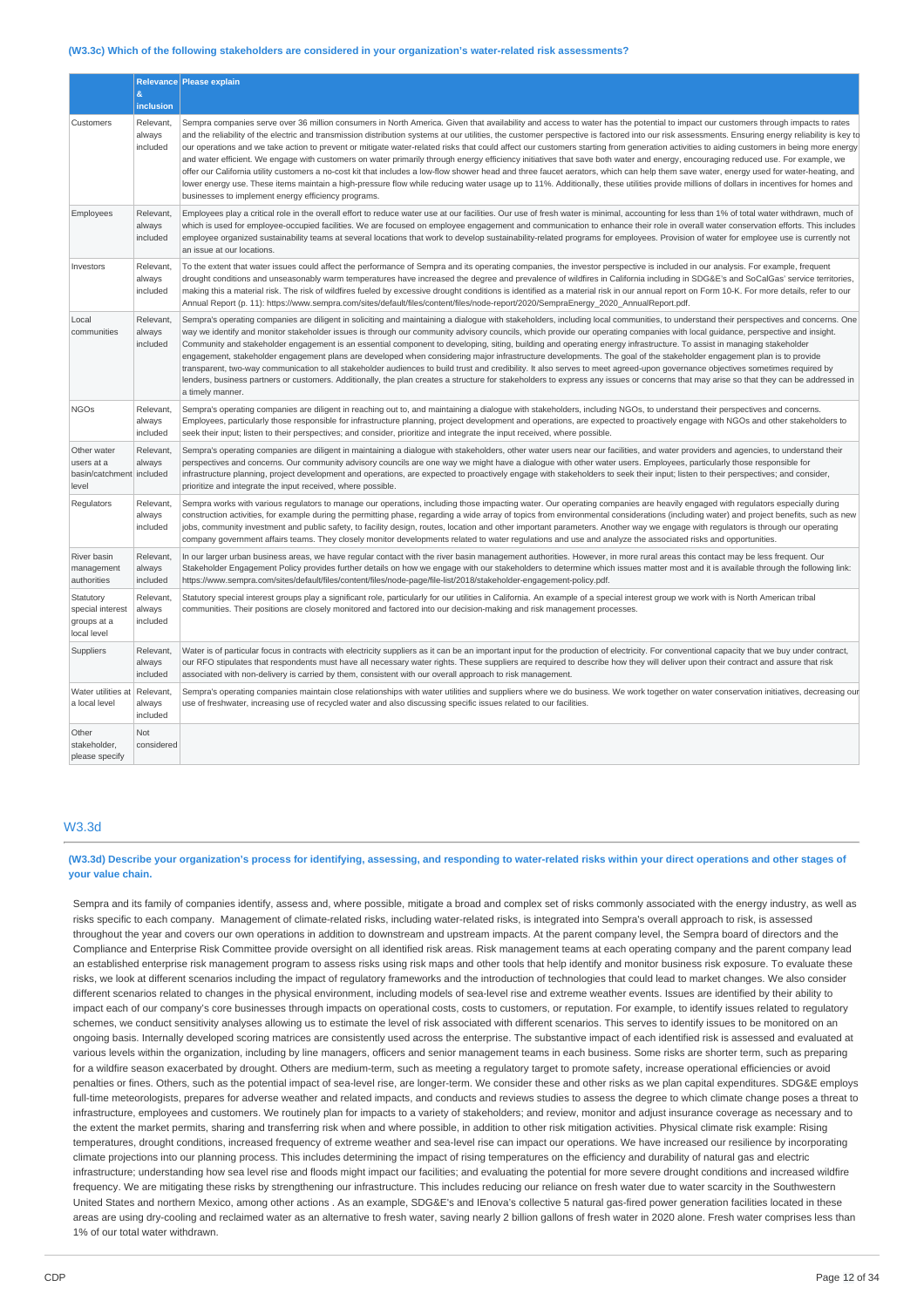### **(W3.3c) Which of the following stakeholders are considered in your organization's water-related risk assessments?**

|                                                                |                                 | Relevance Please explain                                                                                                                                                                                                                                                                                                                                                                                                                                                                                                                                                                                                                                                                                                                                                                                                                                                                                                                                                                                                                                                                                                                                                                                             |
|----------------------------------------------------------------|---------------------------------|----------------------------------------------------------------------------------------------------------------------------------------------------------------------------------------------------------------------------------------------------------------------------------------------------------------------------------------------------------------------------------------------------------------------------------------------------------------------------------------------------------------------------------------------------------------------------------------------------------------------------------------------------------------------------------------------------------------------------------------------------------------------------------------------------------------------------------------------------------------------------------------------------------------------------------------------------------------------------------------------------------------------------------------------------------------------------------------------------------------------------------------------------------------------------------------------------------------------|
|                                                                | &<br>inclusion                  |                                                                                                                                                                                                                                                                                                                                                                                                                                                                                                                                                                                                                                                                                                                                                                                                                                                                                                                                                                                                                                                                                                                                                                                                                      |
| Customers                                                      | Relevant,<br>always<br>included | Sempra companies serve over 36 million consumers in North America. Given that availability and access to water has the potential to impact our customers through impacts to rates<br>and the reliability of the electric and transmission distribution systems at our utilities, the customer perspective is factored into our risk assessments. Ensuring energy reliability is key to<br>our operations and we take action to prevent or mitigate water-related risks that could affect our customers starting from generation activities to aiding customers in being more energy<br>and water efficient. We engage with customers on water primarily through energy efficiency initiatives that save both water and energy, encouraging reduced use. For example, we<br>offer our California utility customers a no-cost kit that includes a low-flow shower head and three faucet aerators, which can help them save water, energy used for water-heating, and<br>lower energy use. These items maintain a high-pressure flow while reducing water usage up to 11%. Additionally, these utilities provide millions of dollars in incentives for homes and<br>businesses to implement energy efficiency programs. |
| Employees                                                      | Relevant,<br>always<br>included | Employees play a critical role in the overall effort to reduce water use at our facilities. Our use of fresh water is minimal, accounting for less than 1% of total water withdrawn, much of<br>which is used for employee-occupied facilities. We are focused on employee engagement and communication to enhance their role in overall water conservation efforts. This includes<br>employee organized sustainability teams at several locations that work to develop sustainability-related programs for employees. Provision of water for employee use is currently not<br>an issue at our locations.                                                                                                                                                                                                                                                                                                                                                                                                                                                                                                                                                                                                            |
| Investors                                                      | Relevant,<br>always<br>included | To the extent that water issues could affect the performance of Sempra and its operating companies, the investor perspective is included in our analysis. For example, frequent<br>drought conditions and unseasonably warm temperatures have increased the degree and prevalence of wildfires in California including in SDG&E's and SoCalGas' service territories,<br>making this a material risk. The risk of wildfires fueled by excessive drought conditions is identified as a material risk in our annual report on Form 10-K. For more details, refer to our<br>Annual Report (p. 11): https://www.sempra.com/sites/default/files/content/files/node-report/2020/SempraEnergy 2020 AnnualReport.pdf.                                                                                                                                                                                                                                                                                                                                                                                                                                                                                                         |
| Local<br>communities                                           | Relevant,<br>always<br>included | Sempra's operating companies are diligent in soliciting and maintaining a dialogue with stakeholders, including local communities, to understand their perspectives and concerns. One<br>way we identify and monitor stakeholder issues is through our community advisory councils, which provide our operating companies with local guidance, perspective and insight.<br>Community and stakeholder engagement is an essential component to developing, siting, building and operating energy infrastructure. To assist in managing stakeholder<br>engagement, stakeholder engagement plans are developed when considering major infrastructure developments. The goal of the stakeholder engagement plan is to provide<br>transparent, two-way communication to all stakeholder audiences to build trust and credibility. It also serves to meet agreed-upon governance objectives sometimes required by<br>lenders, business partners or customers. Additionally, the plan creates a structure for stakeholders to express any issues or concerns that may arise so that they can be addressed in<br>a timely manner.                                                                                             |
| <b>NGOs</b>                                                    | Relevant,<br>always<br>included | Sempra's operating companies are diligent in reaching out to, and maintaining a dialogue with stakeholders, including NGOs, to understand their perspectives and concerns.<br>Employees, particularly those responsible for infrastructure planning, project development and operations, are expected to proactively engage with NGOs and other stakeholders to<br>seek their input; listen to their perspectives; and consider, prioritize and integrate the input received, where possible.                                                                                                                                                                                                                                                                                                                                                                                                                                                                                                                                                                                                                                                                                                                        |
| Other water<br>users at a<br>basin/catchment included<br>level | Relevant,<br>always             | Sempra's operating companies are diligent in maintaining a dialogue with stakeholders, other water users near our facilities, and water providers and agencies, to understand their<br>perspectives and concerns. Our community advisory councils are one way we might have a dialoque with other water users. Employees, particularly those responsible for<br>infrastructure planning, project development and operations, are expected to proactively engage with stakeholders to seek their input; listen to their perspectives; and consider,<br>prioritize and integrate the input received, where possible.                                                                                                                                                                                                                                                                                                                                                                                                                                                                                                                                                                                                   |
| Regulators                                                     | Relevant,<br>always<br>included | Sempra works with various regulators to manage our operations, including those impacting water. Our operating companies are heavily engaged with regulators especially during<br>construction activities, for example during the permitting phase, regarding a wide array of topics from environmental considerations (including water) and project benefits, such as new<br>jobs, community investment and public safety, to facility design, routes, location and other important parameters. Another way we engage with regulators is through our operating<br>company government affairs teams. They closely monitor developments related to water regulations and use and analyze the associated risks and opportunities.                                                                                                                                                                                                                                                                                                                                                                                                                                                                                       |
| River basin<br>management<br>authorities                       | Relevant,<br>always<br>included | In our larger urban business areas, we have regular contact with the river basin management authorities. However, in more rural areas this contact may be less frequent. Our<br>Stakeholder Engagement Policy provides further details on how we engage with our stakeholders to determine which issues matter most and it is available through the following link:<br>https://www.sempra.com/sites/default/files/content/files/node-page/file-list/2018/stakeholder-engagement-policy.pdf.                                                                                                                                                                                                                                                                                                                                                                                                                                                                                                                                                                                                                                                                                                                          |
| Statutory<br>special interest<br>groups at a<br>local level    | Relevant,<br>always<br>included | Statutory special interest groups play a significant role, particularly for our utilities in California. An example of a special interest group we work with is North American tribal<br>communities. Their positions are closely monitored and factored into our decision-making and risk management processes.                                                                                                                                                                                                                                                                                                                                                                                                                                                                                                                                                                                                                                                                                                                                                                                                                                                                                                     |
| Suppliers                                                      | Relevant,<br>always<br>included | Water is of particular focus in contracts with electricity suppliers as it can be an important input for the production of electricity. For conventional capacity that we buy under contract,<br>our RFO stipulates that respondents must have all necessary water rights. These suppliers are required to describe how they will deliver upon their contract and assure that risk<br>associated with non-delivery is carried by them, consistent with our overall approach to risk management.                                                                                                                                                                                                                                                                                                                                                                                                                                                                                                                                                                                                                                                                                                                      |
| Water utilities at<br>a local level                            | Relevant,<br>always<br>included | Sempra's operating companies maintain close relationships with water utilities and suppliers where we do business. We work together on water conservation initiatives, decreasing our<br>use of freshwater, increasing use of recycled water and also discussing specific issues related to our facilities.                                                                                                                                                                                                                                                                                                                                                                                                                                                                                                                                                                                                                                                                                                                                                                                                                                                                                                          |
| Other<br>stakeholder,<br>please specify                        | Not<br>considered               |                                                                                                                                                                                                                                                                                                                                                                                                                                                                                                                                                                                                                                                                                                                                                                                                                                                                                                                                                                                                                                                                                                                                                                                                                      |

# W3.3d

## (W3.3d) Describe your organization's process for identifying, assessing, and responding to water-related risks within your direct operations and other stages of **your value chain.**

Sempra and its family of companies identify, assess and, where possible, mitigate a broad and complex set of risks commonly associated with the energy industry, as well as risks specific to each company. Management of climate-related risks, including water-related risks, is integrated into Sempra's overall approach to risk, is assessed throughout the year and covers our own operations in addition to downstream and upstream impacts. At the parent company level, the Sempra board of directors and the Compliance and Enterprise Risk Committee provide oversight on all identified risk areas. Risk management teams at each operating company and the parent company lead an established enterprise risk management program to assess risks using risk maps and other tools that help identify and monitor business risk exposure. To evaluate these risks, we look at different scenarios including the impact of regulatory frameworks and the introduction of technologies that could lead to market changes. We also consider different scenarios related to changes in the physical environment, including models of sea-level rise and extreme weather events. Issues are identified by their ability to impact each of our company's core businesses through impacts on operational costs, costs to customers, or reputation. For example, to identify issues related to regulatory schemes, we conduct sensitivity analyses allowing us to estimate the level of risk associated with different scenarios. This serves to identify issues to be monitored on an ongoing basis. Internally developed scoring matrices are consistently vised across the rate are equipment of each identified risk is assessed and evaluated to the substantive impact of each identified risk is assessed and various levels within the organization, including by line managers, officers and senior management teams in each business. Some risks are shorter term, such as preparing for a wildfire season exacerbated by drought. Others are medium-term, such as meeting a regulatory target to promote safety, increase operational efficiencies or avoid penalties or fines. Others, such as the potential impact of sea-level rise, are longer-term. We consider these and other risks as we plan capital expenditures. SDG&E employs full-time meteorologists, prepares for adverse weather and related impacts, and conducts and reviews studies to assess the degree to which climate change poses a threat to infrastructure, employees and customers. We routinely plan for impacts to a variety of stakeholders; and review, monitor and adjust insurance coverage as necessary and to the extent the market permits, sharing and transferring risk when and where possible, in addition to other risk mitigation activities. Physical climate risk example: Rising temperatures, drought conditions, increased frequency of extreme weather and sea-level rise can impact our operations. We have increased our resilience by incorporating climate projections into our planning process. This includes determining the impact of rising temperatures on the efficiency and durability of natural gas and electric infrastructure; understanding how sea level rise and floods might impact our facilities; and evaluating the potential for more severe drought conditions and increased wildfire frequency. We are mitigating these risks by strengthening our infrastructure. This includes reducing our reliance on fresh water due to water scarcity in the Southwestern United States and northern Mexico, among other actions . As an example, SDG&E's and IEnova's collective 5 natural gas-fired power generation facilities located in these areas are using dry-cooling and reclaimed water as an alternative to fresh water, saving nearly 2 billion gallons of fresh water in 2020 alone. Fresh water comprises less than 1% of our total water withdrawn.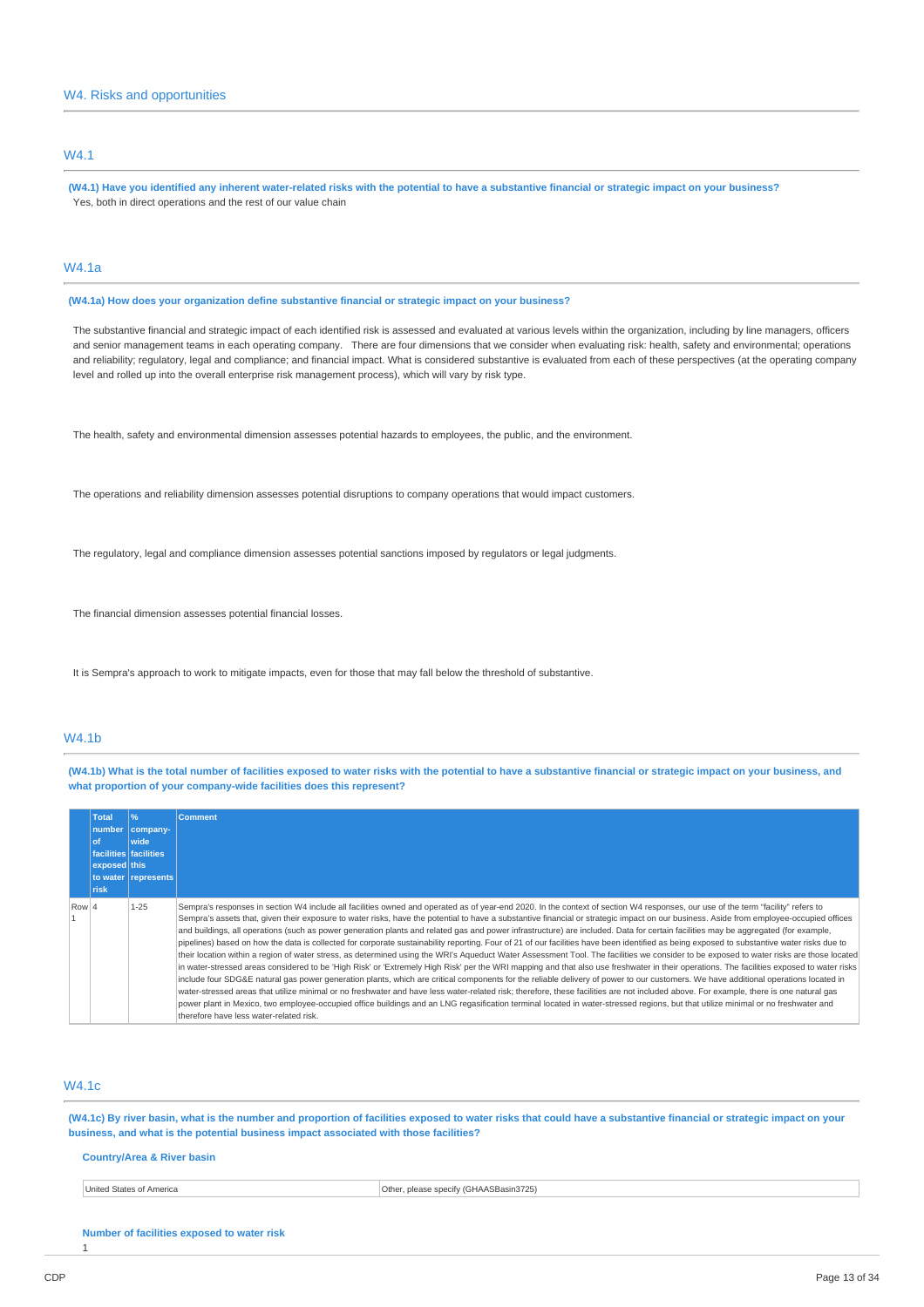# W4. Risks and opportunities

# **W4.1**

(W4.1) Have you identified any inherent water-related risks with the potential to have a substantive financial or strategic impact on your business? Yes, both in direct operations and the rest of our value chain

# W4.1a

**(W4.1a) How does your organization define substantive financial or strategic impact on your business?**

The substantive financial and strategic impact of each identified risk is assessed and evaluated at various levels within the organization, including by line managers, officers and senior management teams in each operating company. There are four dimensions that we consider when evaluating risk: health, safety and environmental; operations and reliability; regulatory, legal and compliance; and financial impact. What is considered substantive is evaluated from each of these perspectives (at the operating company level and rolled up into the overall enterprise risk management process), which will vary by risk type.

The health, safety and environmental dimension assesses potential hazards to employees, the public, and the environment.

The operations and reliability dimension assesses potential disruptions to company operations that would impact customers.

The regulatory, legal and compliance dimension assesses potential sanctions imposed by regulators or legal judgments.

The financial dimension assesses potential financial losses.

It is Sempra's approach to work to mitigate impacts, even for those that may fall below the threshold of substantive.

# W4.1b

(W4.1b) What is the total number of facilities exposed to water risks with the potential to have a substantive financial or strategic impact on your business, and **what proportion of your company-wide facilities does this represent?**

|       | Total<br>l of<br>facilities facilities | 96<br>number   company-<br>wide | <b>Comment</b>                                                                                                                                                                                                                                                                                                                                                                                                                                                                                                                                                                                                                                                                                                                                                                                                                                                                                                                                                                                                                                                                                                                                                                                                                                                                                                                                                                                                                                                                                                                                                                                                                                                                                                                                                           |
|-------|----------------------------------------|---------------------------------|--------------------------------------------------------------------------------------------------------------------------------------------------------------------------------------------------------------------------------------------------------------------------------------------------------------------------------------------------------------------------------------------------------------------------------------------------------------------------------------------------------------------------------------------------------------------------------------------------------------------------------------------------------------------------------------------------------------------------------------------------------------------------------------------------------------------------------------------------------------------------------------------------------------------------------------------------------------------------------------------------------------------------------------------------------------------------------------------------------------------------------------------------------------------------------------------------------------------------------------------------------------------------------------------------------------------------------------------------------------------------------------------------------------------------------------------------------------------------------------------------------------------------------------------------------------------------------------------------------------------------------------------------------------------------------------------------------------------------------------------------------------------------|
|       | exposed this                           | to water represents             |                                                                                                                                                                                                                                                                                                                                                                                                                                                                                                                                                                                                                                                                                                                                                                                                                                                                                                                                                                                                                                                                                                                                                                                                                                                                                                                                                                                                                                                                                                                                                                                                                                                                                                                                                                          |
|       | risk                                   |                                 |                                                                                                                                                                                                                                                                                                                                                                                                                                                                                                                                                                                                                                                                                                                                                                                                                                                                                                                                                                                                                                                                                                                                                                                                                                                                                                                                                                                                                                                                                                                                                                                                                                                                                                                                                                          |
| Row 4 |                                        | $1 - 25$                        | Sempra's responses in section W4 include all facilities owned and operated as of year-end 2020. In the context of section W4 responses, our use of the term "facility" refers to<br>Sempra's assets that, given their exposure to water risks, have the potential to have a substantive financial or strategic impact on our business. Aside from employee-occupied offices<br>and buildings, all operations (such as power generation plants and related gas and power infrastructure) are included. Data for certain facilities may be aggregated (for example,<br>pipelines) based on how the data is collected for corporate sustainability reporting. Four of 21 of our facilities have been identified as being exposed to substantive water risks due to<br>their location within a region of water stress, as determined using the WRI's Aqueduct Water Assessment Tool. The facilities we consider to be exposed to water risks are those located<br>in water-stressed areas considered to be 'High Risk' or 'Extremely High Risk' per the WRI mapping and that also use freshwater in their operations. The facilities exposed to water risks<br>include four SDG&E natural gas power generation plants, which are critical components for the reliable delivery of power to our customers. We have additional operations located in<br>water-stressed areas that utilize minimal or no freshwater and have less water-related risk; therefore, these facilities are not included above. For example, there is one natural gas<br>power plant in Mexico, two employee-occupied office buildings and an LNG regasification terminal located in water-stressed regions, but that utilize minimal or no freshwater and<br>therefore have less water-related risk. |

# W4.1c

1

(W4.1c) By river basin, what is the number and proportion of facilities exposed to water risks that could have a substantive financial or strategic impact on your **business, and what is the potential business impact associated with those facilities?**

### **Country/Area & River basin**

United States of America **Other, please specify (GHAASBasin3725**)

**Number of facilities exposed to water risk**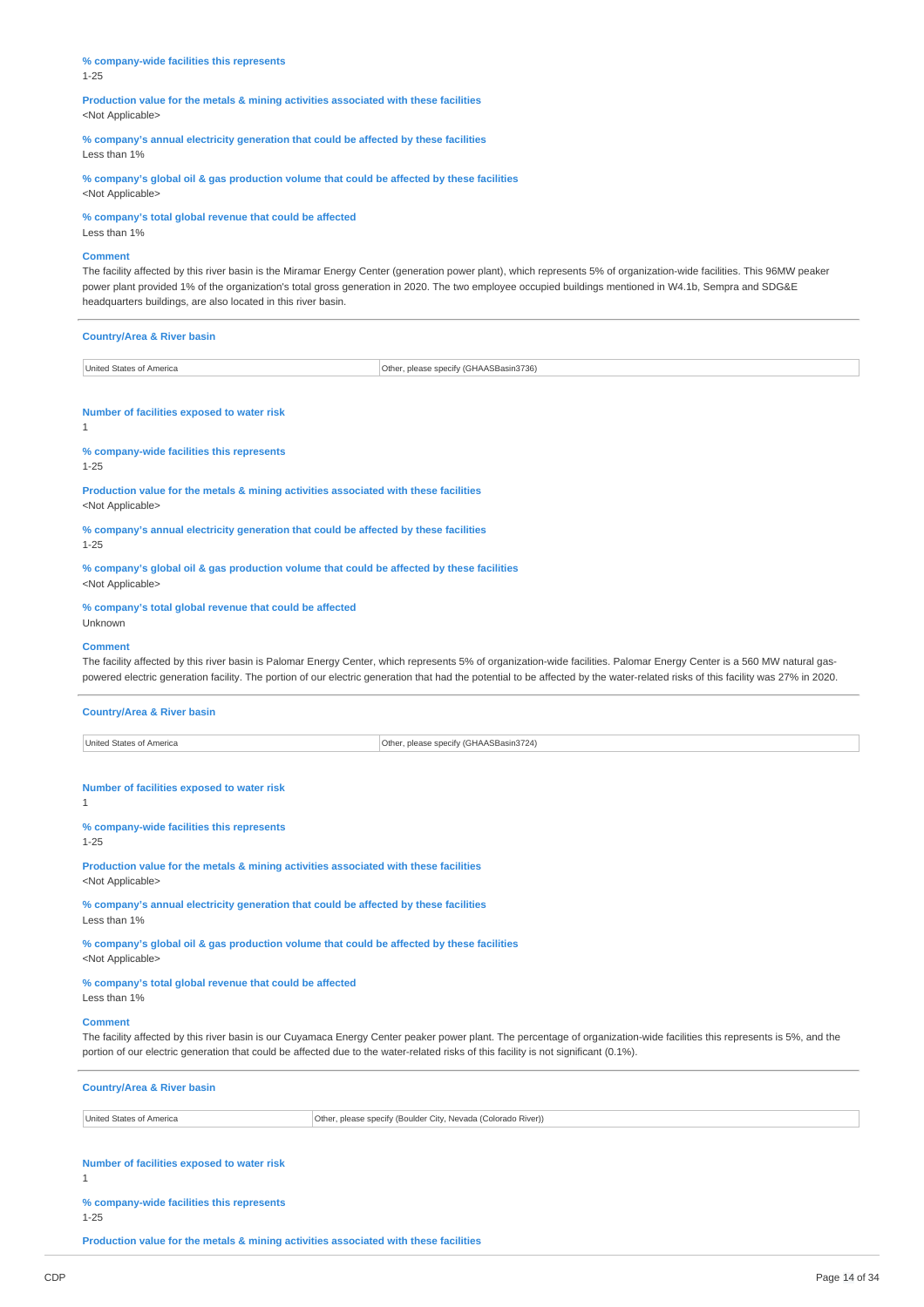### **% company-wide facilities this represents** 1-25

## **Production value for the metals & mining activities associated with these facilities** <Not Applicable>

**% company's annual electricity generation that could be affected by these facilities** Less than 1%

**% company's global oil & gas production volume that could be affected by these facilities** <Not Applicable>

**% company's total global revenue that could be affected**

Less than 1%

### **Comment**

The facility affected by this river basin is the Miramar Energy Center (generation power plant), which represents 5% of organization-wide facilities. This 96MW peaker power plant provided 1% of the organization's total gross generation in 2020. The two employee occupied buildings mentioned in W4.1b, Sempra and SDG&E headquarters buildings, are also located in this river basin.

### **Country/Area & River basin**

| <b>United</b><br>America | 3736)<br>Other<br>$ -$<br>SDPCI<br>nlosco<br>`SBasın37.<br>. |
|--------------------------|--------------------------------------------------------------|

### **Number of facilities exposed to water risk**

1

# **% company-wide facilities this represents**

1-25

**Production value for the metals & mining activities associated with these facilities** <Not Applicable>

**% company's annual electricity generation that could be affected by these facilities** 1-25

**% company's global oil & gas production volume that could be affected by these facilities** <Not Applicable>

**% company's total global revenue that could be affected**

# Unknown **Comment**

The facility affected by this river basin is Palomar Energy Center, which represents 5% of organization-wide facilities. Palomar Energy Center is a 560 MW natural gaspowered electric generation facility. The portion of our electric generation that had the potential to be affected by the water-related risks of this facility was 27% in 2020.

## **Country/Area & River basin**

United States of America **Other, please specify (GHAASBasin3724)** 

### **Number of facilities exposed to water risk**

1

### **% company-wide facilities this represents** 1-25

**Production value for the metals & mining activities associated with these facilities** <Not Applicable>

**% company's annual electricity generation that could be affected by these facilities** Less than 1%

**% company's global oil & gas production volume that could be affected by these facilities** <Not Applicable>

# **% company's total global revenue that could be affected**

Less than 1%

# **Comment**

The facility affected by this river basin is our Cuyamaca Energy Center peaker power plant. The percentage of organization-wide facilities this represents is 5%, and the portion of our electric generation that could be affected due to the water-related risks of this facility is not significant (0.1%).

| <b>Country/Area &amp; River basin</b> |                                                               |  |  |
|---------------------------------------|---------------------------------------------------------------|--|--|
|                                       |                                                               |  |  |
| United States of America              | Other, please specify (Boulder City, Nevada (Colorado River)) |  |  |
|                                       |                                                               |  |  |

## **Number of facilities exposed to water risk**

1

**% company-wide facilities this represents**

1-25

**Production value for the metals & mining activities associated with these facilities**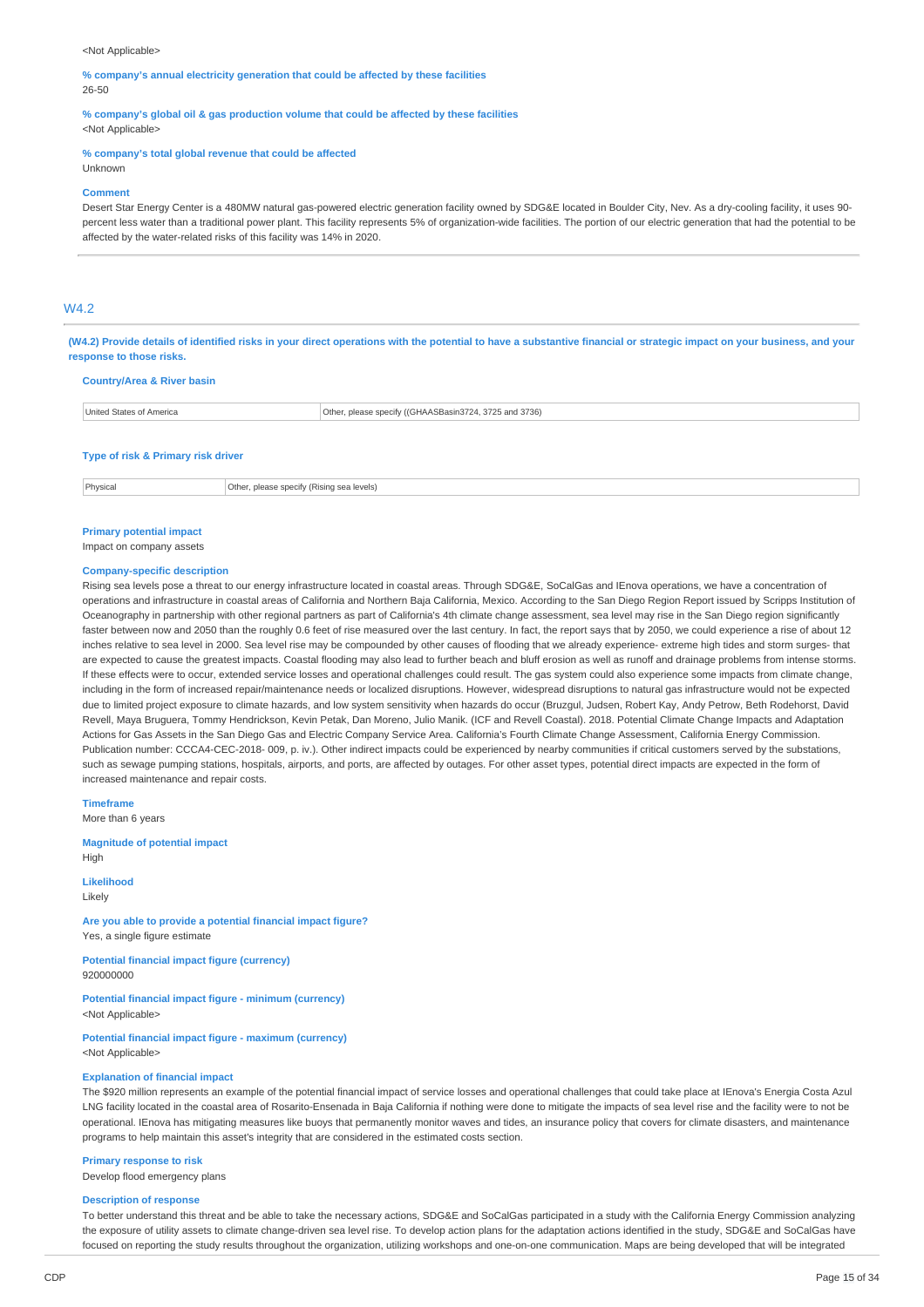### <Not Applicable>

**% company's annual electricity generation that could be affected by these facilities** 26-50

**% company's global oil & gas production volume that could be affected by these facilities** <Not Applicable>

### **% company's total global revenue that could be affected**

Unknown

#### **Comment**

Desert Star Energy Center is a 480MW natural gas-powered electric generation facility owned by SDG&E located in Boulder City, Nev. As a dry-cooling facility, it uses 90 percent less water than a traditional power plant. This facility represents 5% of organization-wide facilities. The portion of our electric generation that had the potential to be affected by the water-related risks of this facility was 14% in 2020.

### W4.2

(W4.2) Provide details of identified risks in your direct operations with the potential to have a substantive financial or strategic impact on your business, and your **response to those risks.**

## **Country/Area & River basin**

| United States of America | Other, please specify ((GHAASBasin3724, 3725 and 3736) |
|--------------------------|--------------------------------------------------------|
|                          |                                                        |

### **Type of risk & Primary risk driver**

Physical **Physical** Other, please specify (Rising sea levels)

### **Primary potential impact**

Impact on company assets

## **Company-specific description**

Rising sea levels pose a threat to our energy infrastructure located in coastal areas. Through SDG&E, SoCalGas and IEnova operations, we have a concentration of operations and infrastructure in coastal areas of California and Northern Baja California, Mexico. According to the San Diego Region Report issued by Scripps Institution of Oceanography in partnership with other regional partners as part of California's 4th climate change assessment, sea level may rise in the San Diego region significantly faster between now and 2050 than the roughly 0.6 feet of rise measured over the last century. In fact, the report says that by 2050, we could experience a rise of about 12 inches relative to sea level in 2000. Sea level rise may be compounded by other causes of flooding that we already experience- extreme high tides and storm surges- that are expected to cause the greatest impacts. Coastal flooding may also lead to further beach and bluff erosion as well as runoff and drainage problems from intense storms. If these effects were to occur, extended service losses and operational challenges could result. The gas system could also experience some impacts from climate change, including in the form of increased repair/maintenance needs or localized disruptions. However, widespread disruptions to natural gas infrastructure would not be expected due to limited project exposure to climate hazards, and low system sensitivity when hazards do occur (Bruzgul, Judsen, Robert Kay, Andy Petrow, Beth Rodehorst, David Revell, Maya Bruguera, Tommy Hendrickson, Kevin Petak, Dan Moreno, Julio Manik. (ICF and Revell Coastal). 2018. Potential Climate Change Impacts and Adaptation Actions for Gas Assets in the San Diego Gas and Electric Company Service Area. California's Fourth Climate Change Assessment, California Energy Commission. Publication number: CCCA4-CEC-2018- 009, p. iv.). Other indirect impacts could be experienced by nearby communities if critical customers served by the substations, such as sewage pumping stations, hospitals, airports, and ports, are affected by outages. For other asset types, potential direct impacts are expected in the form of increased maintenance and repair costs.

**Timeframe**

More than 6 years

**Magnitude of potential impact** High

**Likelihood** Likely

**Are you able to provide a potential financial impact figure?** Yes, a single figure estimate

**Potential financial impact figure (currency)** 920000000

**Potential financial impact figure - minimum (currency)** <Not Applicable>

**Potential financial impact figure - maximum (currency)** <Not Applicable>

### **Explanation of financial impact**

The \$920 million represents an example of the potential financial impact of service losses and operational challenges that could take place at IEnova's Energia Costa Azul LNG facility located in the coastal area of Rosarito-Ensenada in Baja California if nothing were done to mitigate the impacts of sea level rise and the facility were to not be operational. IEnova has mitigating measures like buoys that permanently monitor waves and tides, an insurance policy that covers for climate disasters, and maintenance programs to help maintain this asset's integrity that are considered in the estimated costs section.

### **Primary response to risk**

Develop flood emergency plans

### **Description of response**

To better understand this threat and be able to take the necessary actions, SDG&E and SoCalGas participated in a study with the California Energy Commission analyzing the exposure of utility assets to climate change-driven sea level rise. To develop action plans for the adaptation actions identified in the study, SDG&E and SoCalGas have focused on reporting the study results throughout the organization, utilizing workshops and one-on-one communication. Maps are being developed that will be integrated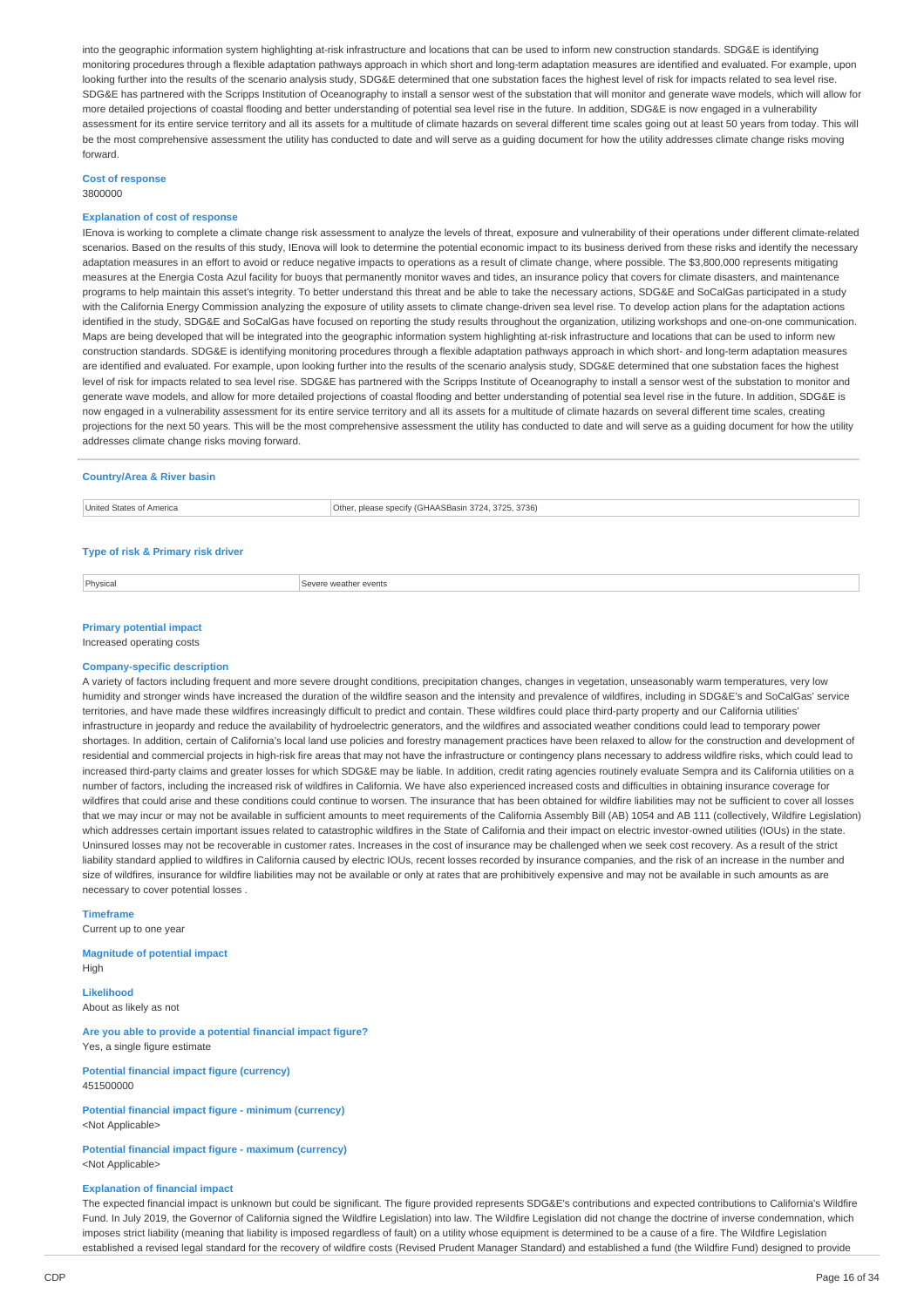into the geographic information system highlighting at-risk infrastructure and locations that can be used to inform new construction standards. SDG&E is identifying monitoring procedures through a flexible adaptation pathways approach in which short and long-term adaptation measures are identified and evaluated. For example, upon looking further into the results of the scenario analysis study, SDG&E determined that one substation faces the highest level of risk for impacts related to sea level rise. SDG&E has partnered with the Scripps Institution of Oceanography to install a sensor west of the substation that will monitor and generate wave models, which will allow for more detailed projections of coastal flooding and better understanding of potential sea level rise in the future. In addition, SDG&E is now engaged in a vulnerability assessment for its entire service territory and all its assets for a multitude of climate hazards on several different time scales going out at least 50 years from today. This will be the most comprehensive assessment the utility has conducted to date and will serve as a guiding document for how the utility addresses climate change risks moving forward.

### **Cost of response** 3800000

### **Explanation of cost of response**

IEnova is working to complete a climate change risk assessment to analyze the levels of threat, exposure and vulnerability of their operations under different climate-related scenarios. Based on the results of this study, IEnova will look to determine the potential economic impact to its business derived from these risks and identify the necessary adaptation measures in an effort to avoid or reduce negative impacts to operations as a result of climate change, where possible. The \$3,800,000 represents mitigating measures at the Energia Costa Azul facility for buoys that permanently monitor waves and tides, an insurance policy that covers for climate disasters, and maintenance programs to help maintain this asset's integrity. To better understand this threat and be able to take the necessary actions, SDG&E and SoCalGas participated in a study with the California Energy Commission analyzing the exposure of utility assets to climate change-driven sea level rise. To develop action plans for the adaptation actions identified in the study, SDG&E and SoCalGas have focused on reporting the study results throughout the organization, utilizing workshops and one-on-one communication. Maps are being developed that will be integrated into the geographic information system highlighting at-risk infrastructure and locations that can be used to inform new construction standards. SDG&E is identifying monitoring procedures through a flexible adaptation pathways approach in which short- and long-term adaptation measures are identified and evaluated. For example, upon looking further into the results of the scenario analysis study, SDG&E determined that one substation faces the highest level of risk for impacts related to sea level rise. SDG&E has partnered with the Scripps Institute of Oceanography to install a sensor west of the substation to monitor and generate wave models, and allow for more detailed projections of coastal flooding and better understanding of potential sea level rise in the future. In addition, SDG&E is now engaged in a vulnerability assessment for its entire service territory and all its assets for a multitude of climate hazards on several different time scales, creating projections for the next 50 years. This will be the most comprehensive assessment the utility has conducted to date and will serve as a guiding document for how the utility addresses climate change risks moving forward.

### **Country/Area & River basin**

United States of America **Other, please specify (GHAASBasin 3724, 3725, 3736)** 

### **Type of risk & Primary risk driver**

**Physical Physical** Severe weather events

#### **Primary potential impact**

Increased operating costs

## **Company-specific description**

A variety of factors including frequent and more severe drought conditions, precipitation changes, changes in vegetation, unseasonably warm temperatures, very low humidity and stronger winds have increased the duration of the wildfire season and the intensity and prevalence of wildfires, including in SDG&E's and SoCalGas' service territories, and have made these wildfires increasingly difficult to predict and contain. These wildfires could place third-party property and our California utilities' infrastructure in jeopardy and reduce the availability of hydroelectric generators, and the wildfires and associated weather conditions could lead to temporary power shortages. In addition, certain of California's local land use policies and forestry management practices have been relaxed to allow for the construction and development of residential and commercial projects in high-risk fire areas that may not have the infrastructure or contingency plans necessary to address wildfire risks, which could lead to increased third-party claims and greater losses for which SDG&E may be liable. In addition, credit rating agencies routinely evaluate Sempra and its California utilities on a number of factors, including the increased risk of wildfires in California. We have also experienced increased costs and difficulties in obtaining insurance coverage for wildfires that could arise and these conditions could continue to worsen. The insurance that has been obtained for wildfire liabilities may not be sufficient to cover all losses that we may incur or may not be available in sufficient amounts to meet requirements of the California Assembly Bill (AB) 1054 and AB 111 (collectively, Wildfire Legislation) which addresses certain important issues related to catastrophic wildfires in the State of California and their impact on electric investor-owned utilities (IOUs) in the state. Uninsured losses may not be recoverable in customer rates. Increases in the cost of insurance may be challenged when we seek cost recovery. As a result of the strict liability standard applied to wildfires in California caused by electric IOUs, recent losses recorded by insurance companies, and the risk of an increase in the number and size of wildfires, insurance for wildfire liabilities may not be available or only at rates that are prohibitively expensive and may not be available in such amounts as are necessary to cover potential losses .

### **Timeframe**

Current up to one year

### **Magnitude of potential impact**

High

**Likelihood** About as likely as not

**Are you able to provide a potential financial impact figure?** Yes, a single figure estimate

**Potential financial impact figure (currency)** 451500000

**Potential financial impact figure - minimum (currency)** <Not Applicable>

**Potential financial impact figure - maximum (currency)** <Not Applicable>

### **Explanation of financial impact**

The expected financial impact is unknown but could be significant. The figure provided represents SDG&E's contributions and expected contributions to California's Wildfire Fund. In July 2019, the Governor of California signed the Wildfire Legislation) into law. The Wildfire Legislation did not change the doctrine of inverse condemnation, which imposes strict liability (meaning that liability is imposed regardless of fault) on a utility whose equipment is determined to be a cause of a fire. The Wildfire Legislation established a revised legal standard for the recovery of wildfire costs (Revised Prudent Manager Standard) and established a fund (the Wildfire Fund) designed to provide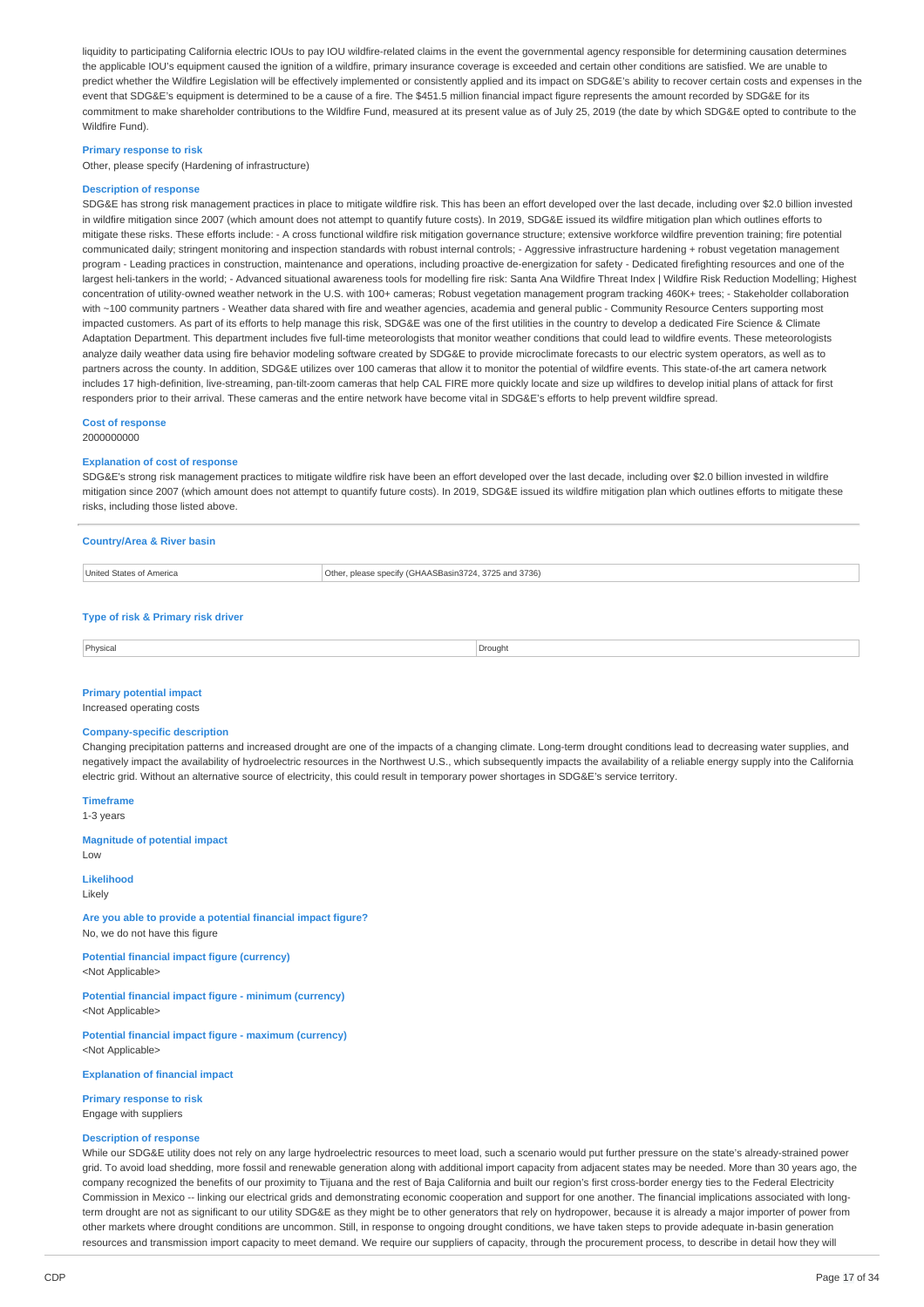liquidity to participating California electric IOUs to pay IOU wildfire-related claims in the event the governmental agency responsible for determining causation determinines the applicable IOU's equipment caused the ignition of a wildfire, primary insurance coverage is exceeded and certain other conditions are satisfied. We are unable to predict whether the Wildfire Legislation will be effectively implemented or consistently applied and its impact on SDG&E's ability to recover certain costs and expenses in the event that SDG&E's equipment is determined to be a cause of a fire. The \$451.5 million financial impact figure represents the amount recorded by SDG&E for its commitment to make shareholder contributions to the Wildfire Fund, measured at its present value as of July 25, 2019 (the date by which SDG&E opted to contribute to the Wildfire Fund).

### **Primary response to risk**

Other, please specify (Hardening of infrastructure)

## **Description of response**

SDG&E has strong risk management practices in place to mitigate wildfire risk. This has been an effort developed over the last decade, including over \$2.0 billion invested in wildfire mitigation since 2007 (which amount does not attempt to quantify future costs). In 2019, SDG&E issued its wildfire mitigation plan which outlines efforts to mitigate these risks. These efforts include: - A cross functional wildfire risk mitigation governance structure; extensive workforce wildfire prevention training; fire potential communicated daily; stringent monitoring and inspection standards with robust internal controls; - Aggressive infrastructure hardening + robust vegetation management program - Leading practices in construction, maintenance and operations, including proactive de-energization for safety - Dedicated firefighting resources and one of the largest heli-tankers in the world; - Advanced situational awareness tools for modelling fire risk: Santa Ana Wildfire Threat Index | Wildfire Risk Reduction Modelling; Highest concentration of utility-owned weather network in the U.S. with 100+ cameras; Robust vegetation management program tracking 460K+ trees; - Stakeholder collaboration with ~100 community partners - Weather data shared with fire and weather agencies, academia and general public - Community Resource Centers supporting most impacted customers. As part of its efforts to help manage this risk, SDG&E was one of the first utilities in the country to develop a dedicated Fire Science & Climate Adaptation Department. This department includes five full-time meteorologists that monitor weather conditions that could lead to wildfire events. These meteorologists analyze daily weather data using fire behavior modeling software created by SDG&E to provide microclimate forecasts to our electric system operators, as well as to partners across the county. In addition, SDG&E utilizes over 100 cameras that allow it to monitor the potential of wildfire events. This state-of-the art camera network includes 17 high-definition, live-streaming, pan-tilt-zoom cameras that help CAL FIRE more quickly locate and size up wildfires to develop initial plans of attack for first responders prior to their arrival. These cameras and the entire network have become vital in SDG&E's efforts to help prevent wildfire spread.

**Cost of response** 2000000000

# **Explanation of cost of response**

SDG&E's strong risk management practices to mitigate wildfire risk have been an effort developed over the last decade, including over \$2.0 billion invested in wildfire mitigation since 2007 (which amount does not attempt to quantify future costs). In 2019, SDG&E issued its wildfire mitigation plan which outlines efforts to mitigate these risks, including those listed above.

| <b>Country/Area &amp; River basin</b> |                                                       |         |  |
|---------------------------------------|-------------------------------------------------------|---------|--|
| United States of America              | Other, please specify (GHAASBasin3724, 3725 and 3736) |         |  |
| Type of risk & Primary risk driver    |                                                       |         |  |
| Physical                              |                                                       | Drought |  |

### **Primary potential impact**

Increased operating costs

### **Company-specific description**

Changing precipitation patterns and increased drought are one of the impacts of a changing climate. Long-term drought conditions lead to decreasing water supplies, and negatively impact the availability of hydroelectric resources in the Northwest U.S., which subsequently impacts the availability of a reliable energy supply into the California electric grid. Without an alternative source of electricity, this could result in temporary power shortages in SDG&E's service territory.

# **Timeframe**

1-3 years

# **Magnitude of potential impact**

Low

**Likelihood** Likely

**Are you able to provide a potential financial impact figure?** No, we do not have this figure

**Potential financial impact figure (currency)** <Not Applicable>

### **Potential financial impact figure - minimum (currency)** <Not Applicable>

**Potential financial impact figure - maximum (currency)** <Not Applicable>

**Explanation of financial impact**

**Primary response to risk** Engage with suppliers

## **Description of response**

While our SDG&E utility does not rely on any large hydroelectric resources to meet load, such a scenario would put further pressure on the state's already-strained power grid. To avoid load shedding, more fossil and renewable generation along with additional import capacity from adjacent states may be needed. More than 30 years ago, the company recognized the benefits of our proximity to Tijuana and the rest of Baja California and built our region's first cross-border energy ties to the Federal Electricity Commission in Mexico -- linking our electrical grids and demonstrating economic cooperation and support for one another. The financial implications associated with longterm drought are not as significant to our utility SDG&E as they might be to other generators that rely on hydropower, because it is already a major importer of power from other markets where drought conditions are uncommon. Still, in response to ongoing drought conditions, we have taken steps to provide adequate in-basin generation resources and transmission import capacity to meet demand. We require our suppliers of capacity, through the procurement process, to describe in detail how they will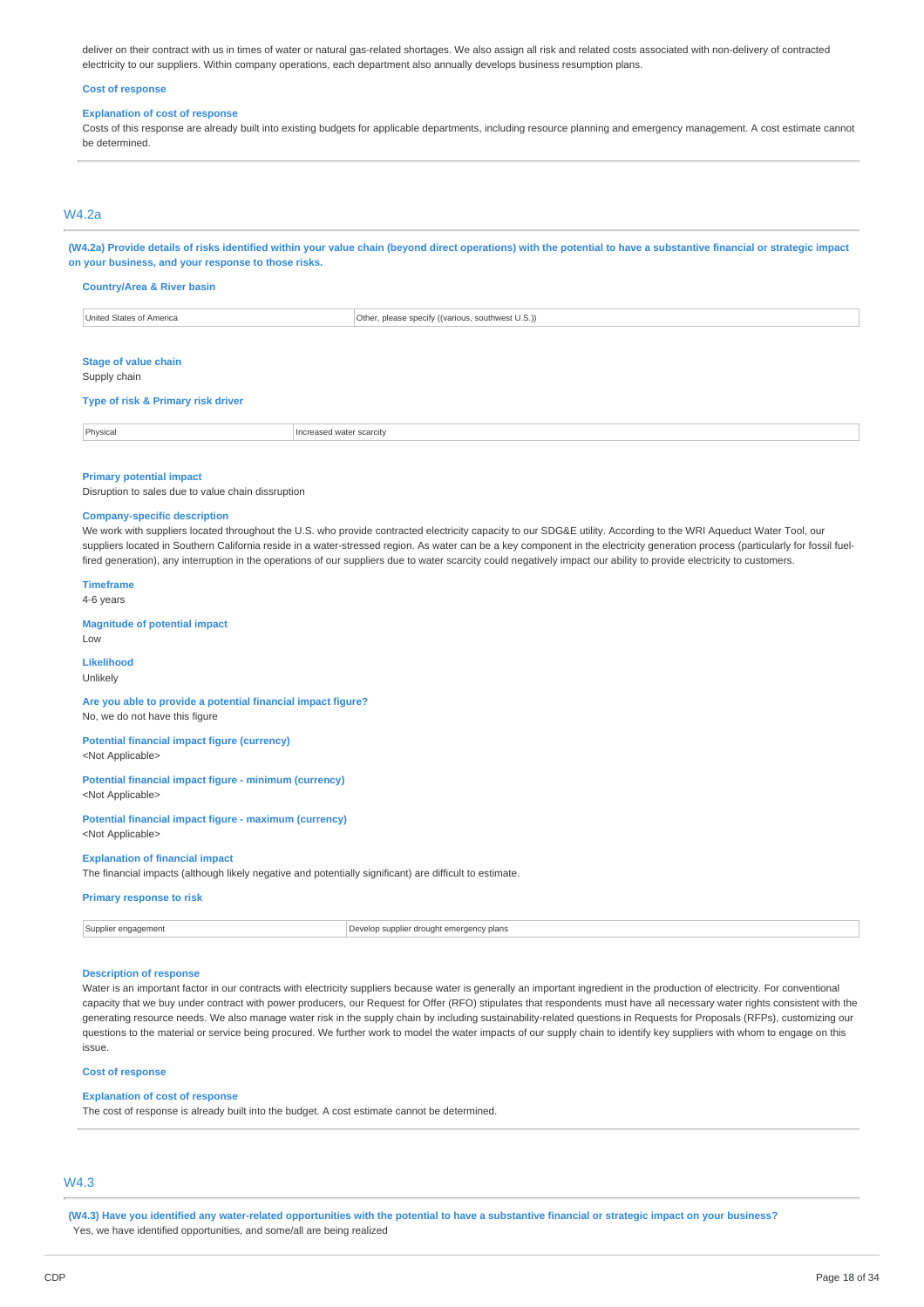deliver on their contract with us in times of water or natural gas-related shortages. We also assign all risk and related costs associated with non-delivery of contracted electricity to our suppliers. Within company operations, each department also annually develops business resumption plans.

### **Cost of response**

## **Explanation of cost of response**

Costs of this response are already built into existing budgets for applicable departments, including resource planning and emergency management. A cost estimate cannot be determined.

## W4.2a

(W4.2a) Provide details of risks identified within your value chain (beyond direct operations) with the potential to have a substantive financial or strategic impact **on your business, and your response to those risks.**

### **Country/Area & River basin**

| United States of America    | Other, please specify ((various, southwest U.S.)) |  |  |
|-----------------------------|---------------------------------------------------|--|--|
|                             |                                                   |  |  |
|                             |                                                   |  |  |
| <b>Stage of value chain</b> |                                                   |  |  |
| Supply chain                |                                                   |  |  |

### **Type of risk & Primary risk driver**

| Physical<br>scarcity<br>ed wate<br>150SB<br><br>. |
|---------------------------------------------------|
|---------------------------------------------------|

#### **Primary potential impact**

Disruption to sales due to value chain dissruption

### **Company-specific description**

We work with suppliers located throughout the U.S. who provide contracted electricity capacity to our SDG&E utility. According to the WRI Aqueduct Water Tool, our suppliers located in Southern California reside in a water-stressed region. As water can be a key component in the electricity generation process (particularly for fossil fuelfired generation), any interruption in the operations of our suppliers due to water scarcity could negatively impact our ability to provide electricity to customers.

### **Timeframe**

4-6 years

# **Magnitude of potential impact**

Low

#### **Likelihood** Unlikely

**Are you able to provide a potential financial impact figure?** No, we do not have this figure

**Potential financial impact figure (currency)** <Not Applicable>

**Potential financial impact figure - minimum (currency)** <Not Applicable>

### **Potential financial impact figure - maximum (currency)** <Not Applicable>

### **Explanation of financial impact**

The financial impacts (although likely negative and potentially significant) are difficult to estimate.

### **Primary response to risk**

| $\overline{\phantom{0}}$ |                                |
|--------------------------|--------------------------------|
| r engagement             | gency plans                    |
| unnller.                 | Develop supplier drought emerg |
|                          |                                |
|                          |                                |

## **Description of response**

Water is an important factor in our contracts with electricity suppliers because water is generally an important ingredient in the production of electricity. For conventional capacity that we buy under contract with power producers, our Request for Offer (RFO) stipulates that respondents must have all necessary water rights consistent with the generating resource needs. We also manage water risk in the supply chain by including sustainability-related questions in Requests for Proposals (RFPs), customizing our questions to the material or service being procured. We further work to model the water impacts of our supply chain to identify key suppliers with whom to engage on this issue.

### **Cost of response**

### **Explanation of cost of response**

The cost of response is already built into the budget. A cost estimate cannot be determined.

# W4.3

(W4.3) Have you identified any water-related opportunities with the potential to have a substantive financial or strategic impact on your business? Yes, we have identified opportunities, and some/all are being realized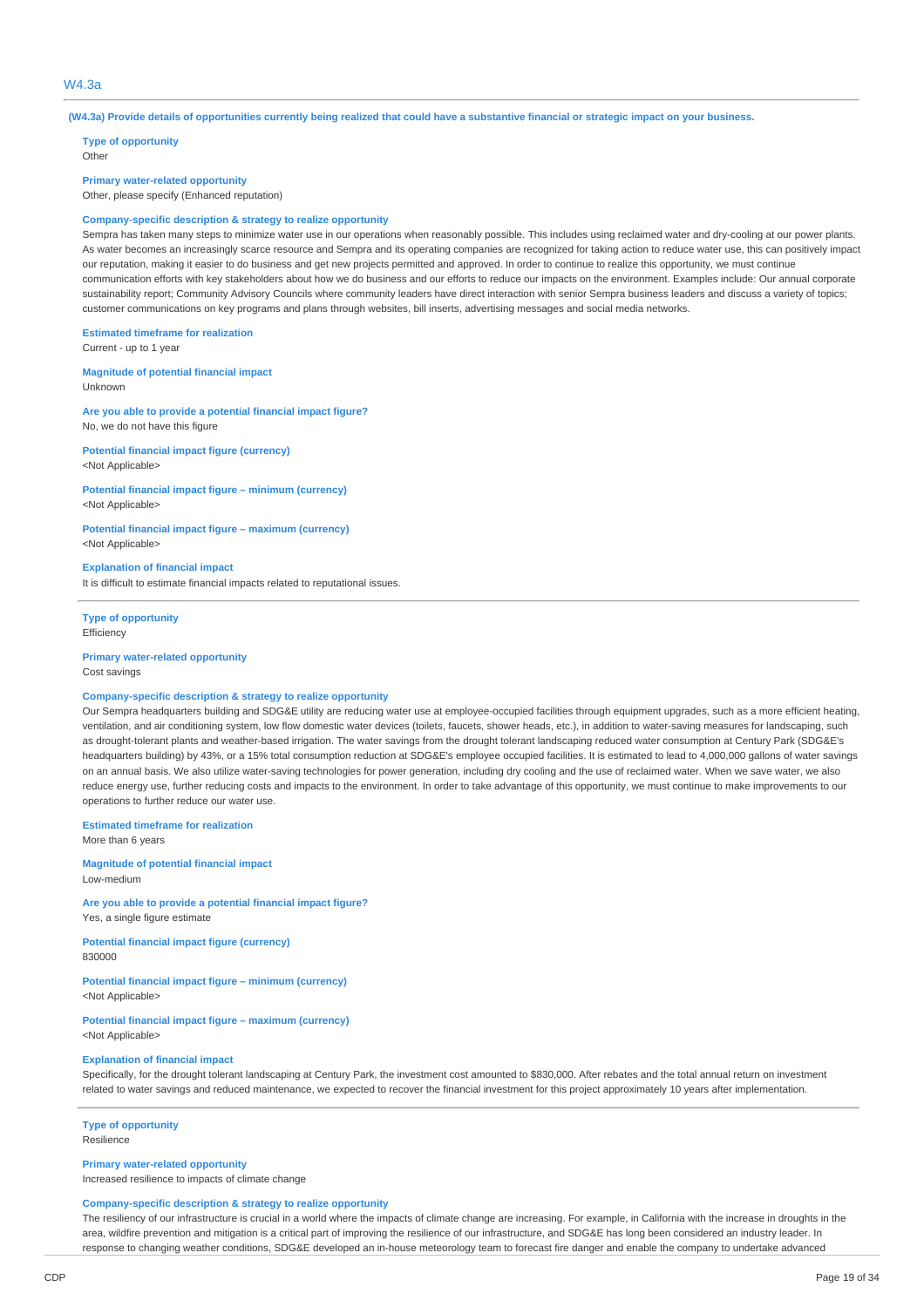(W4.3a) Provide details of opportunities currently being realized that could have a substantive financial or strategic impact on your business.

**Type of opportunity** Other

## **Primary water-related opportunity**

Other, please specify (Enhanced reputation)

### **Company-specific description & strategy to realize opportunity**

Sempra has taken many steps to minimize water use in our operations when reasonably possible. This includes using reclaimed water and dry-cooling at our power plants. As water becomes an increasingly scarce resource and Sempra and its operating companies are recognized for taking action to reduce water use, this can positively impact our reputation, making it easier to do business and get new projects permitted and approved. In order to continue to realize this opportunity, we must continue communication efforts with key stakeholders about how we do business and our efforts to reduce our impacts on the environment. Examples include: Our annual corporate sustainability report; Community Advisory Councils where community leaders have direct interaction with senior Sempra business leaders and discuss a variety of topics; customer communications on key programs and plans through websites, bill inserts, advertising messages and social media networks.

### **Estimated timeframe for realization**

Current - up to 1 year

## **Magnitude of potential financial impact**

Unknown

### **Are you able to provide a potential financial impact figure?** No, we do not have this figure

**Potential financial impact figure (currency)** <Not Applicable>

**Potential financial impact figure – minimum (currency)** <Not Applicable>

**Potential financial impact figure – maximum (currency)** <Not Applicable>

## **Explanation of financial impact**

It is difficult to estimate financial impacts related to reputational issues.

### **Type of opportunity Efficiency**

## **Primary water-related opportunity** Cost savings

### **Company-specific description & strategy to realize opportunity**

Our Sempra headquarters building and SDG&E utility are reducing water use at employee-occupied facilities through equipment upgrades, such as a more efficient heating. ventilation, and air conditioning system, low flow domestic water devices (toilets, faucets, shower heads, etc.), in addition to water-saving measures for landscaping, such as drought-tolerant plants and weather-based irrigation. The water savings from the drought tolerant landscaping reduced water consumption at Century Park (SDG&E's headquarters building) by 43%, or a 15% total consumption reduction at SDG&E's employee occupied facilities. It is estimated to lead to 4,000,000 gallons of water savings on an annual basis. We also utilize water-saving technologies for power generation, including dry cooling and the use of reclaimed water. When we save water, we also reduce energy use, further reducing costs and impacts to the environment. In order to take advantage of this opportunity, we must continue to make improvements to our operations to further reduce our water use.

### **Estimated timeframe for realization** More than 6 years

**Magnitude of potential financial impact** Low-medium

**Are you able to provide a potential financial impact figure?** Yes, a single figure estimate

**Potential financial impact figure (currency)** 830000

**Potential financial impact figure – minimum (currency)**

<Not Applicable>

**Potential financial impact figure – maximum (currency)** <Not Applicable>

### **Explanation of financial impact**

Specifically, for the drought tolerant landscaping at Century Park, the investment cost amounted to \$830,000. After rebates and the total annual return on investment related to water savings and reduced maintenance, we expected to recover the financial investment for this project approximately 10 years after implementation.

### **Type of opportunity** Resilience

### **Primary water-related opportunity**

Increased resilience to impacts of climate change

### **Company-specific description & strategy to realize opportunity**

The resiliency of our infrastructure is crucial in a world where the impacts of climate change are increasing. For example, in California with the increase in droughts in the area, wildfire prevention and mitigation is a critical part of improving the resilience of our infrastructure, and SDG&E has long been considered an industry leader. In response to changing weather conditions, SDG&E developed an in-house meteorology team to forecast fire danger and enable the company to undertake advanced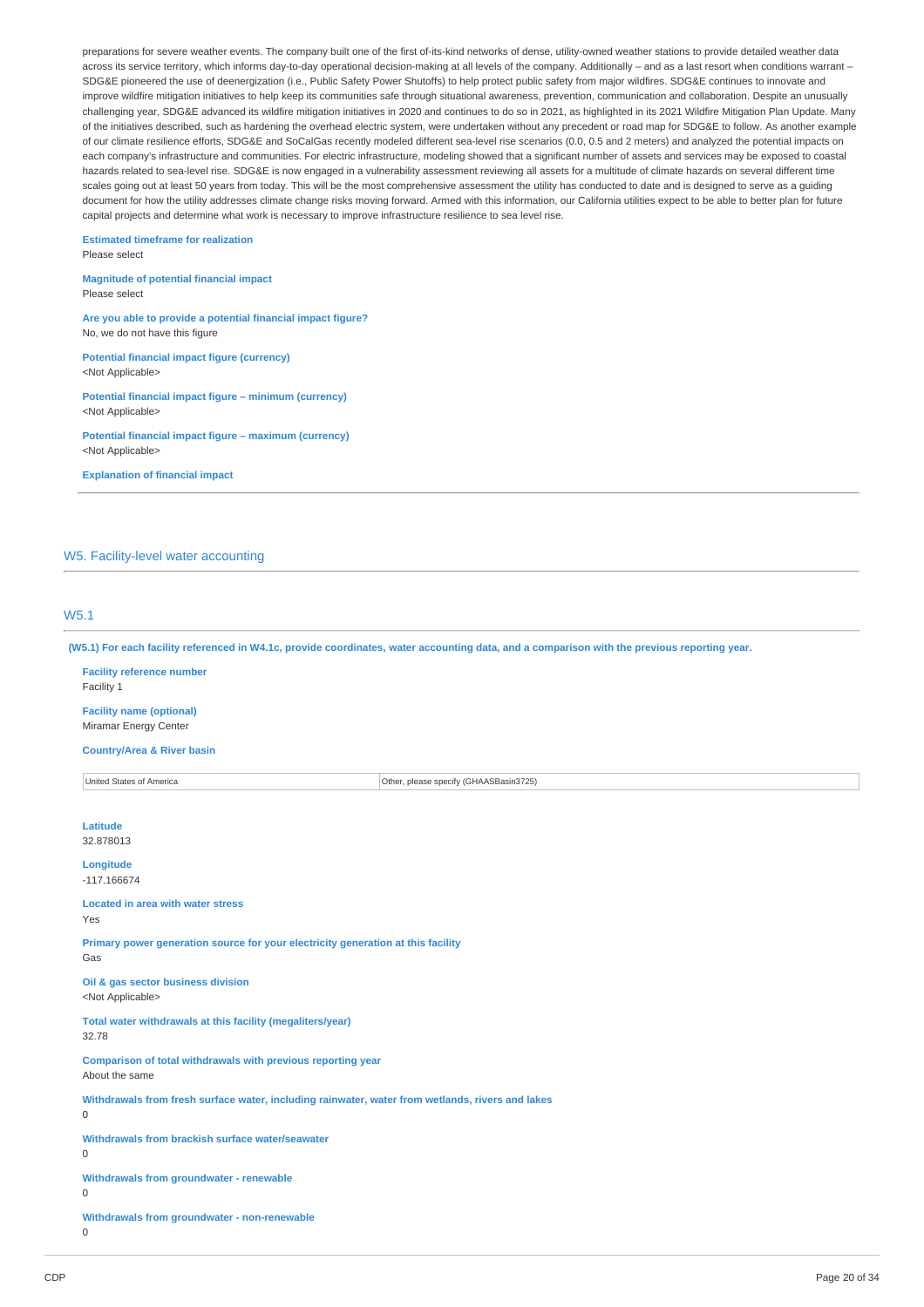preparations for severe weather events. The company built one of the first of-its-kind networks of dense, utility-owned weather stations to provide detailed weather data across its service territory, which informs day-to-day operational decision-making at all levels of the company. Additionally – and as a last resort when conditions warrant – SDG&E pioneered the use of deenergization (i.e., Public Safety Power Shutoffs) to help protect public safety from major wildfires. SDG&E continues to innovate and improve wildfire mitigation initiatives to help keep its communities safe through situational awareness, prevention, communication and collaboration. Despite an unusually challenging year, SDG&E advanced its wildfire mitigation initiatives in 2020 and continues to do so in 2021, as highlighted in its 2021 Wildfire Mitigation Plan Update. Many of the initiatives described, such as hardening the overhead electric system, were undertaken without any precedent or road map for SDG&E to follow. As another example of our climate resilience efforts, SDG&E and SoCalGas recently modeled different sea-level rise scenarios (0.0, 0.5 and 2 meters) and analyzed the potential impacts on each company's infrastructure and communities. For electric infrastructure, modeling showed that a significant number of assets and services may be exposed to coastal hazards related to sea-level rise. SDG&E is now engaged in a vulnerability assessment reviewing all assets for a multitude of climate hazards on several different time scales going out at least 50 years from today. This will be the most comprehensive assessment the utility has conducted to date and is designed to serve as a guiding document for how the utility addresses climate change risks moving forward. Armed with this information, our California utilities expect to be able to better plan for future capital projects and determine what work is necessary to improve infrastructure resilience to sea level rise.

**Estimated timeframe for realization**

Please select

**Magnitude of potential financial impact** Please select

**Are you able to provide a potential financial impact figure?** No, we do not have this figure

**Potential financial impact figure (currency)** <Not Applicable>

**Potential financial impact figure – minimum (currency)** <Not Applicable>

**Potential financial impact figure – maximum (currency)** <Not Applicable>

**Explanation of financial impact**

# W5. Facility-level water accounting

# W5.1

(W5.1) For each facility referenced in W4.1c, provide coordinates, water accounting data, and a comparison with the previous reporting year.

**Facility reference number** Facility 1 **Facility name (optional)**

Miramar Energy Center

**Country/Area & River basin**

United States of America Other, please specify (GHAASBasin3725)

| Latitude<br>32.878013                                                                                           |
|-----------------------------------------------------------------------------------------------------------------|
| Longitude<br>$-117.166674$                                                                                      |
| <b>Located in area with water stress</b><br>Yes                                                                 |
| Primary power generation source for your electricity generation at this facility<br>Gas                         |
| Oil & gas sector business division<br><not applicable=""></not>                                                 |
| Total water withdrawals at this facility (megaliters/year)<br>32.78                                             |
| Comparison of total withdrawals with previous reporting year<br>About the same                                  |
| Withdrawals from fresh surface water, including rainwater, water from wetlands, rivers and lakes<br>$\mathbf 0$ |
| Withdrawals from brackish surface water/seawater<br>$\mathbf 0$                                                 |
| Withdrawals from groundwater - renewable<br>$\Omega$                                                            |
| Withdrawals from groundwater - non-renewable<br>0                                                               |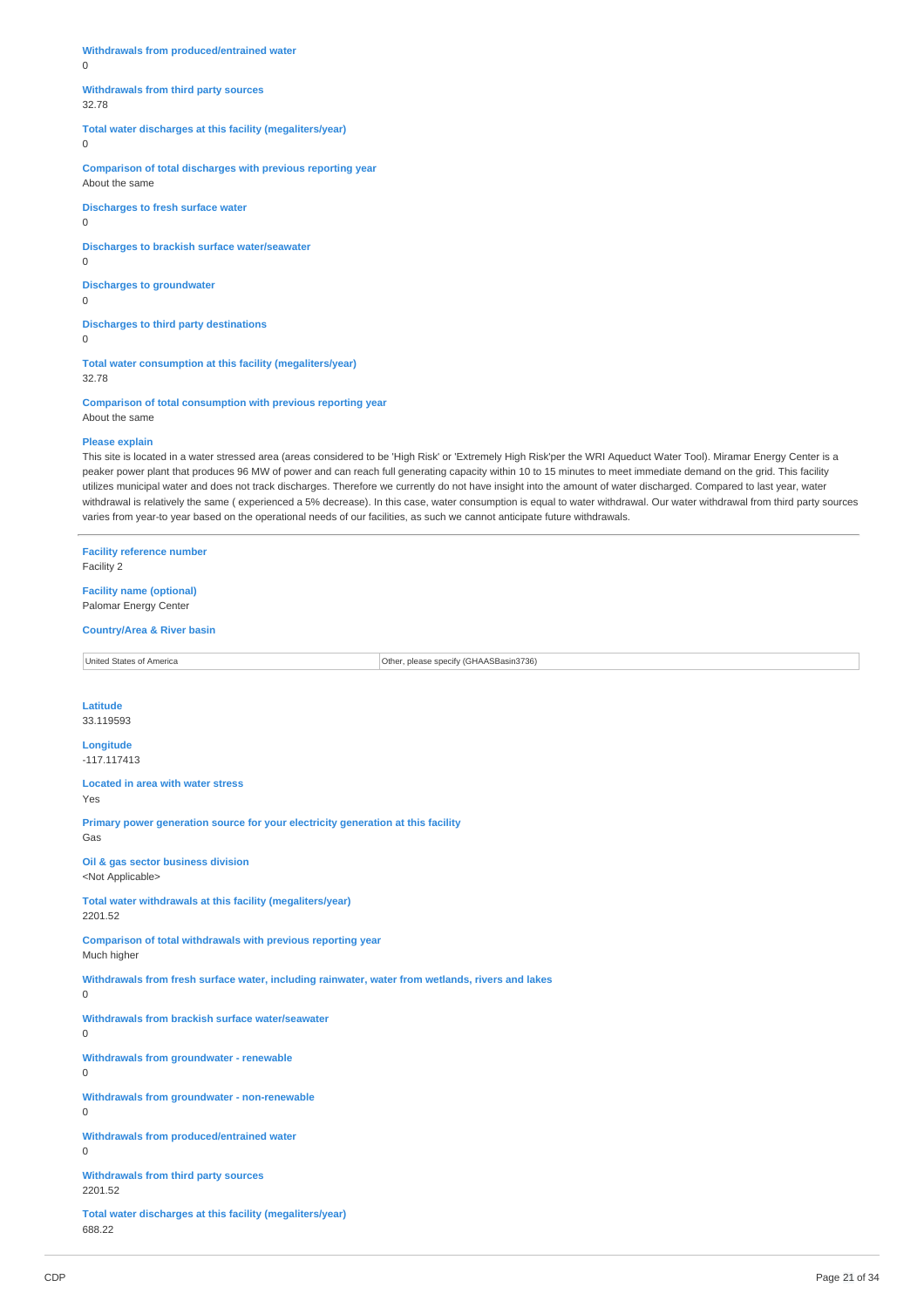**Withdrawals from produced/entrained water**

0

## **Withdrawals from third party sources**

32.78

**Total water discharges at this facility (megaliters/year)**

 $\overline{0}$ 

**Comparison of total discharges with previous reporting year** About the same

**Discharges to fresh surface water** 0

## **Discharges to brackish surface water/seawater**

0

**Discharges to groundwater** 0

**Discharges to third party destinations**  $\Omega$ 

**Total water consumption at this facility (megaliters/year)** 32.78

**Comparison of total consumption with previous reporting year** About the same

### **Please explain**

This site is located in a water stressed area (areas considered to be 'High Risk' or 'Extremely High Risk'per the WRI Aqueduct Water Tool). Miramar Energy Center is a peaker power plant that produces 96 MW of power and can reach full generating capacity within 10 to 15 minutes to meet immediate demand on the grid. This facility utilizes municipal water and does not track discharges. Therefore we currently do not have insight into the amount of water discharged. Compared to last year, water withdrawal is relatively the same ( experienced a 5% decrease). In this case, water consumption is equal to water withdrawal. Our water withdrawal from third party sources varies from year-to year based on the operational needs of our facilities, as such we cannot anticipate future withdrawals.

**Facility reference number** Facility 2

### **Facility name (optional)** Palomar Energy Center

# **Country/Area & River basin**

United States of America **Other, please specify (GHAASBasin3736**)

**Latitude** 33.119593

# **Longitude**

-117.117413

**Located in area with water stress**

Yes

**Primary power generation source for your electricity generation at this facility** Gas

**Oil & gas sector business division** <Not Applicable>

**Total water withdrawals at this facility (megaliters/year)** 2201.52

**Comparison of total withdrawals with previous reporting year** Much higher

**Withdrawals from fresh surface water, including rainwater, water from wetlands, rivers and lakes**

0

**Withdrawals from brackish surface water/seawater**

 $\overline{0}$ 

**Withdrawals from groundwater - renewable**

 $\theta$ 

**Withdrawals from groundwater - non-renewable**

0

**Withdrawals from produced/entrained water**  $\Omega$ 

**Withdrawals from third party sources** 2201.52

**Total water discharges at this facility (megaliters/year)** 688.22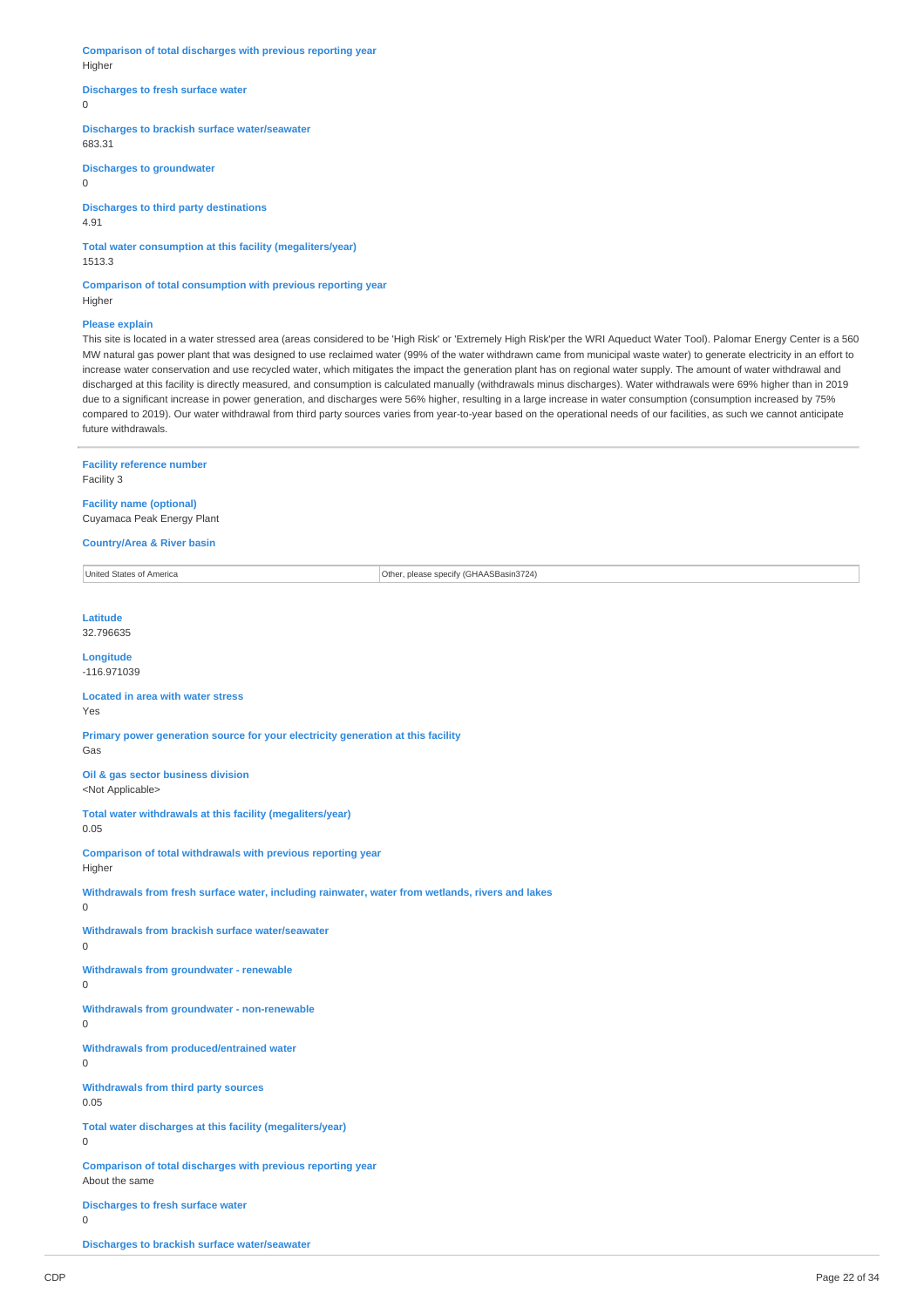**Comparison of total discharges with previous reporting year** Higher

### **Discharges to fresh surface water** 0

## **Discharges to brackish surface water/seawater** 683.31

**Discharges to groundwater**

0

## **Discharges to third party destinations**

4.91

## **Total water consumption at this facility (megaliters/year)** 1513.3

## **Comparison of total consumption with previous reporting year** Higher

### **Please explain**

This site is located in a water stressed area (areas considered to be 'High Risk' or 'Extremely High Risk'per the WRI Aqueduct Water Tool). Palomar Energy Center is a 560 MW natural gas power plant that was designed to use reclaimed water (99% of the water withdrawn came from municipal waste water) to generate electricity in an effort to increase water conservation and use recycled water, which mitigates the impact the generation plant has on regional water supply. The amount of water withdrawal and discharged at this facility is directly measured, and consumption is calculated manually (withdrawals minus discharges). Water withdrawals were 69% higher than in 2019 due to a significant increase in power generation, and discharges were 56% higher, resulting in a large increase in water consumption (consumption increased by 75% compared to 2019). Our water withdrawal from third party sources varies from year-to-year based on the operational needs of our facilities, as such we cannot anticipate future withdrawals.

| <b>Facility reference number</b><br>Facility 3                                                                          |                                        |  |  |
|-------------------------------------------------------------------------------------------------------------------------|----------------------------------------|--|--|
| <b>Facility name (optional)</b><br>Cuyamaca Peak Energy Plant                                                           |                                        |  |  |
| <b>Country/Area &amp; River basin</b>                                                                                   |                                        |  |  |
| United States of America                                                                                                | Other, please specify (GHAASBasin3724) |  |  |
| <b>Latitude</b><br>32.796635                                                                                            |                                        |  |  |
| Longitude<br>$-116.971039$                                                                                              |                                        |  |  |
| <b>Located in area with water stress</b><br>Yes                                                                         |                                        |  |  |
| Primary power generation source for your electricity generation at this facility<br>Gas                                 |                                        |  |  |
| Oil & gas sector business division<br><not applicable=""></not>                                                         |                                        |  |  |
| Total water withdrawals at this facility (megaliters/year)<br>0.05                                                      |                                        |  |  |
| Comparison of total withdrawals with previous reporting year<br>Higher                                                  |                                        |  |  |
| Withdrawals from fresh surface water, including rainwater, water from wetlands, rivers and lakes<br>$\mathsf{O}\xspace$ |                                        |  |  |
| Withdrawals from brackish surface water/seawater<br>0                                                                   |                                        |  |  |
| <b>Withdrawals from groundwater - renewable</b><br>0                                                                    |                                        |  |  |
| Withdrawals from groundwater - non-renewable<br>0                                                                       |                                        |  |  |
| Withdrawals from produced/entrained water<br>0                                                                          |                                        |  |  |
| <b>Withdrawals from third party sources</b><br>0.05                                                                     |                                        |  |  |
| Total water discharges at this facility (megaliters/year)<br>0                                                          |                                        |  |  |
| Comparison of total discharges with previous reporting year<br>About the same                                           |                                        |  |  |
| <b>Discharges to fresh surface water</b><br>0                                                                           |                                        |  |  |
| <b>Discharges to brackish surface water/seawater</b>                                                                    |                                        |  |  |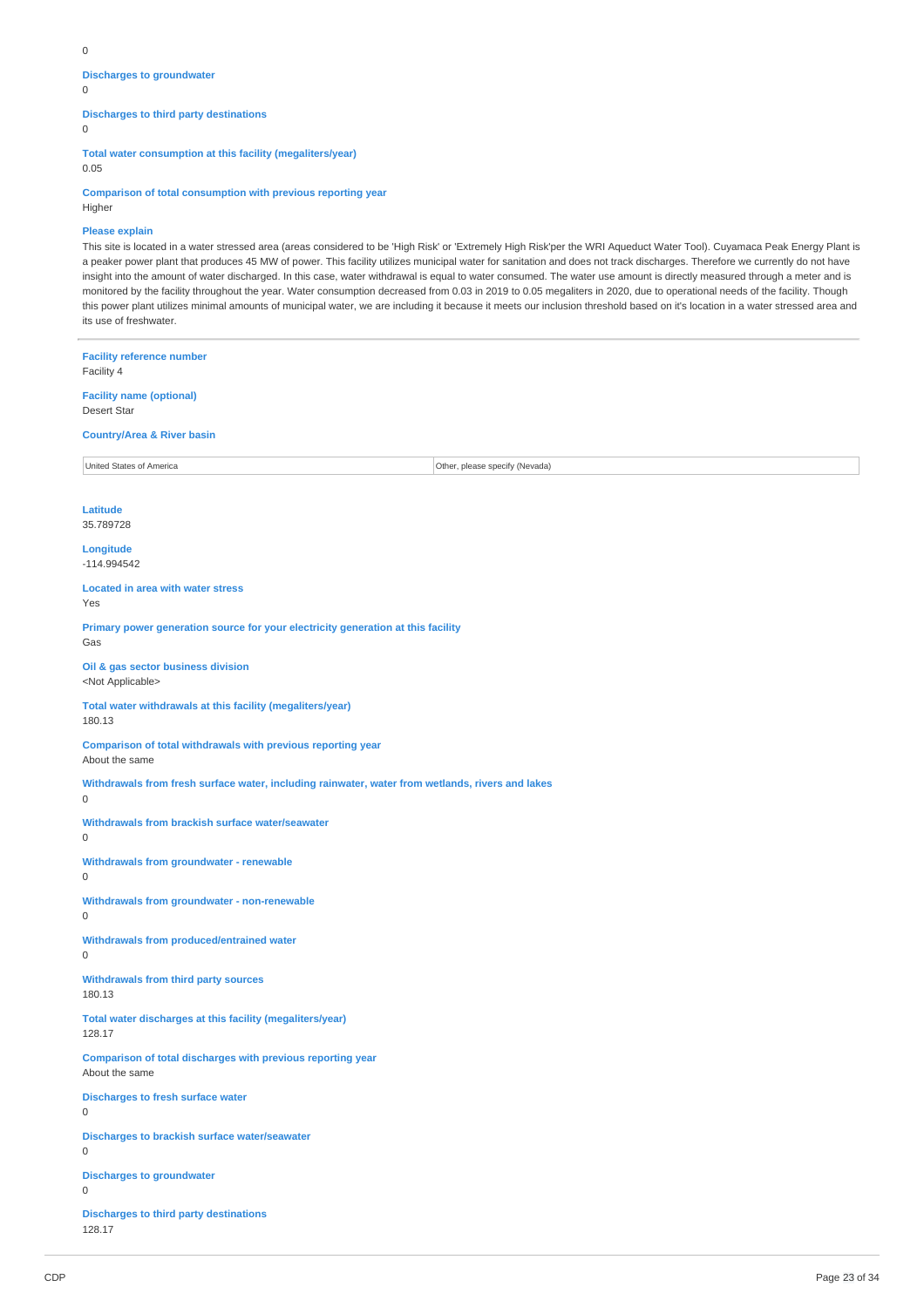#### $\Omega$

### **Discharges to groundwater**

 $\Omega$ 

**Discharges to third party destinations**

 $\theta$ 

**Total water consumption at this facility (megaliters/year)**

0.05

**Comparison of total consumption with previous reporting year**

Higher

## **Please explain**

This site is located in a water stressed area (areas considered to be 'High Risk' or 'Extremely High Risk'per the WRI Aqueduct Water Tool). Cuyamaca Peak Energy Plant is a peaker power plant that produces 45 MW of power. This facility utilizes municipal water for sanitation and does not track discharges. Therefore we currently do not have insight into the amount of water discharged. In this case, water withdrawal is equal to water consumed. The water use amount is directly measured through a meter and is monitored by the facility throughout the year. Water consumption decreased from 0.03 in 2019 to 0.05 megaliters in 2020, due to operational needs of the facility. Though this power plant utilizes minimal amounts of municipal water, we are including it because it meets our inclusion threshold based on it's location in a water stressed area and its use of freshwater.

**Facility reference number** Facility 4 **Facility name (optional)** Desert Star **Country/Area & River basin** United States of America **Other, please specify (Nevada) Latitude** 35.789728 **Longitude** -114.994542 **Located in area with water stress** Yes **Primary power generation source for your electricity generation at this facility** Gas **Oil & gas sector business division** <Not Applicable> **Total water withdrawals at this facility (megaliters/year)** 180.13 **Comparison of total withdrawals with previous reporting year** About the same **Withdrawals from fresh surface water, including rainwater, water from wetlands, rivers and lakes Withdrawals from brackish surface water/seawater Withdrawals from groundwater - renewable Withdrawals from groundwater - non-renewable** 0 **Withdrawals from produced/entrained water Withdrawals from third party sources** 180.13 **Total water discharges at this facility (megaliters/year)** 128.17 **Comparison of total discharges with previous reporting year** About the same **Discharges to fresh surface water Discharges to brackish surface water/seawater Discharges to groundwater Discharges to third party destinations** 128.17

 $\Omega$ 

 $\theta$ 

 $\theta$ 

 $\theta$ 

0

 $\Omega$ 

 $\theta$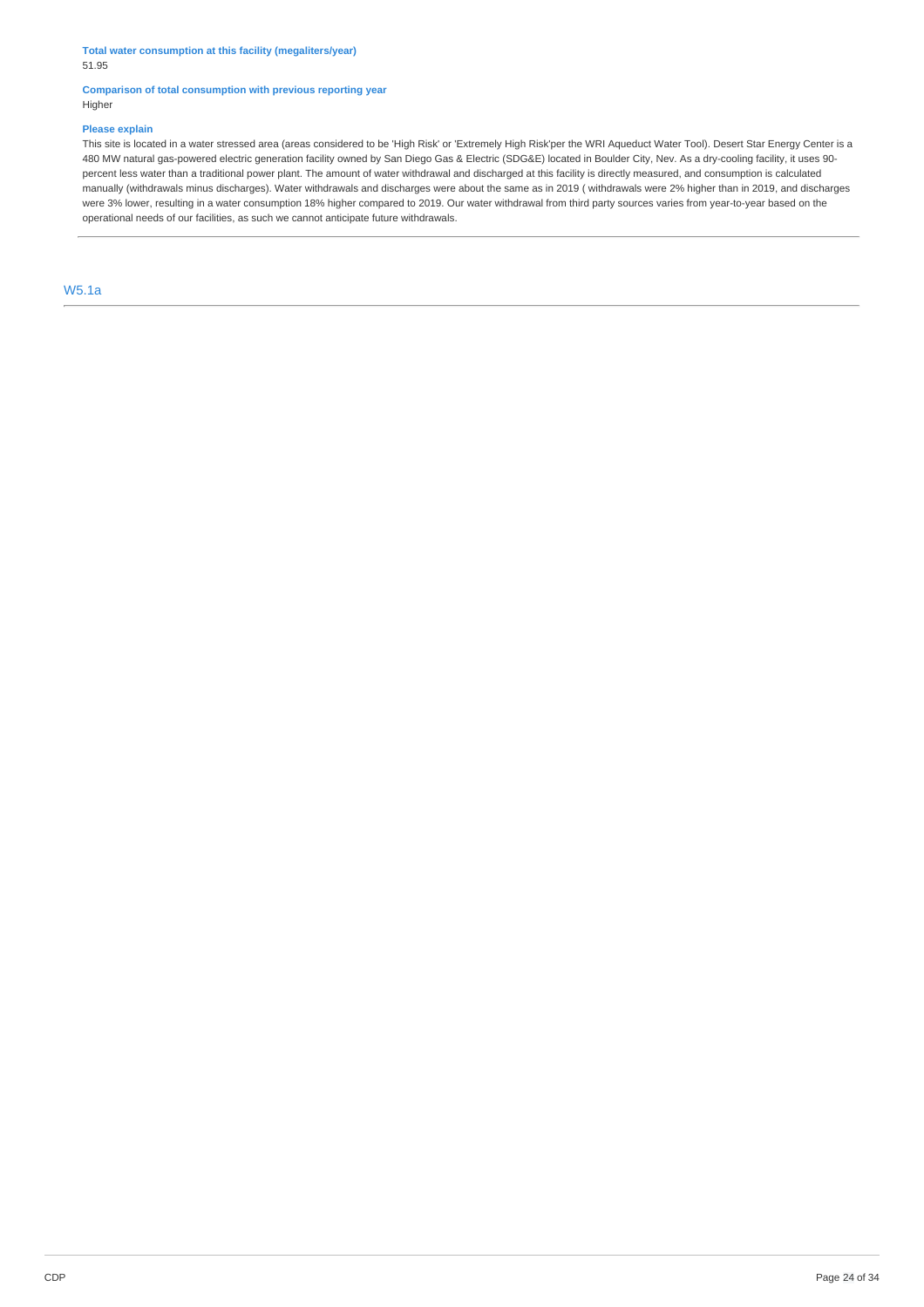### **Total water consumption at this facility (megaliters/year)** 51.95

## **Comparison of total consumption with previous reporting year** Higher

## **Please explain**

This site is located in a water stressed area (areas considered to be 'High Risk' or 'Extremely High Risk'per the WRI Aqueduct Water Tool). Desert Star Energy Center is a 480 MW natural gas-powered electric generation facility owned by San Diego Gas & Electric (SDG&E) located in Boulder City, Nev. As a dry-cooling facility, it uses 90 percent less water than a traditional power plant. The amount of water withdrawal and discharged at this facility is directly measured, and consumption is calculated manually (withdrawals minus discharges). Water withdrawals and discharges were about the same as in 2019 ( withdrawals were 2% higher than in 2019, and discharges were 3% lower, resulting in a water consumption 18% higher compared to 2019. Our water withdrawal from third party sources varies from year-to-year based on the operational needs of our facilities, as such we cannot anticipate future withdrawals.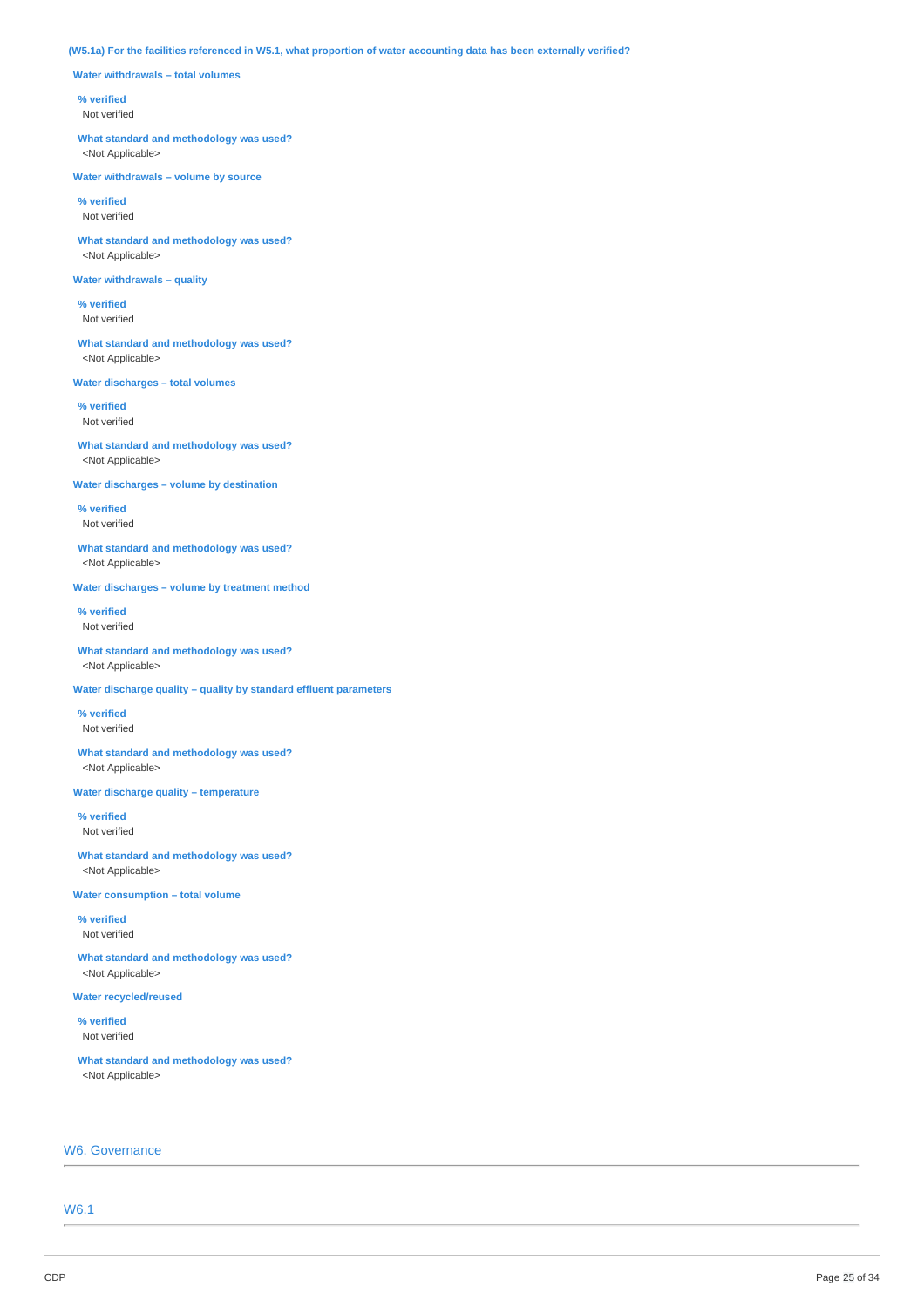## (W5.1a) For the facilities referenced in W5.1, what proportion of water accounting data has been externally verified?

**Water withdrawals – total volumes**

## **% verified**

Not verified

**What standard and methodology was used?** <Not Applicable>

**Water withdrawals – volume by source**

**% verified** Not verified

**What standard and methodology was used?** <Not Applicable>

## **Water withdrawals – quality**

**% verified** Not verified

**What standard and methodology was used?** <Not Applicable>

**Water discharges – total volumes**

**% verified** Not verified

**What standard and methodology was used?** <Not Applicable>

**Water discharges – volume by destination**

**% verified** Not verified

**What standard and methodology was used?** <Not Applicable>

**Water discharges – volume by treatment method**

**% verified** Not verified

**What standard and methodology was used?** <Not Applicable>

**Water discharge quality – quality by standard effluent parameters**

**% verified** Not verified

**What standard and methodology was used?** <Not Applicable>

**Water discharge quality – temperature**

**% verified** Not verified

**What standard and methodology was used?** <Not Applicable>

**Water consumption – total volume**

**% verified** Not verified

**What standard and methodology was used?** <Not Applicable>

**Water recycled/reused**

**% verified** Not verified

**What standard and methodology was used?** <Not Applicable>

# W6. Governance

W6.1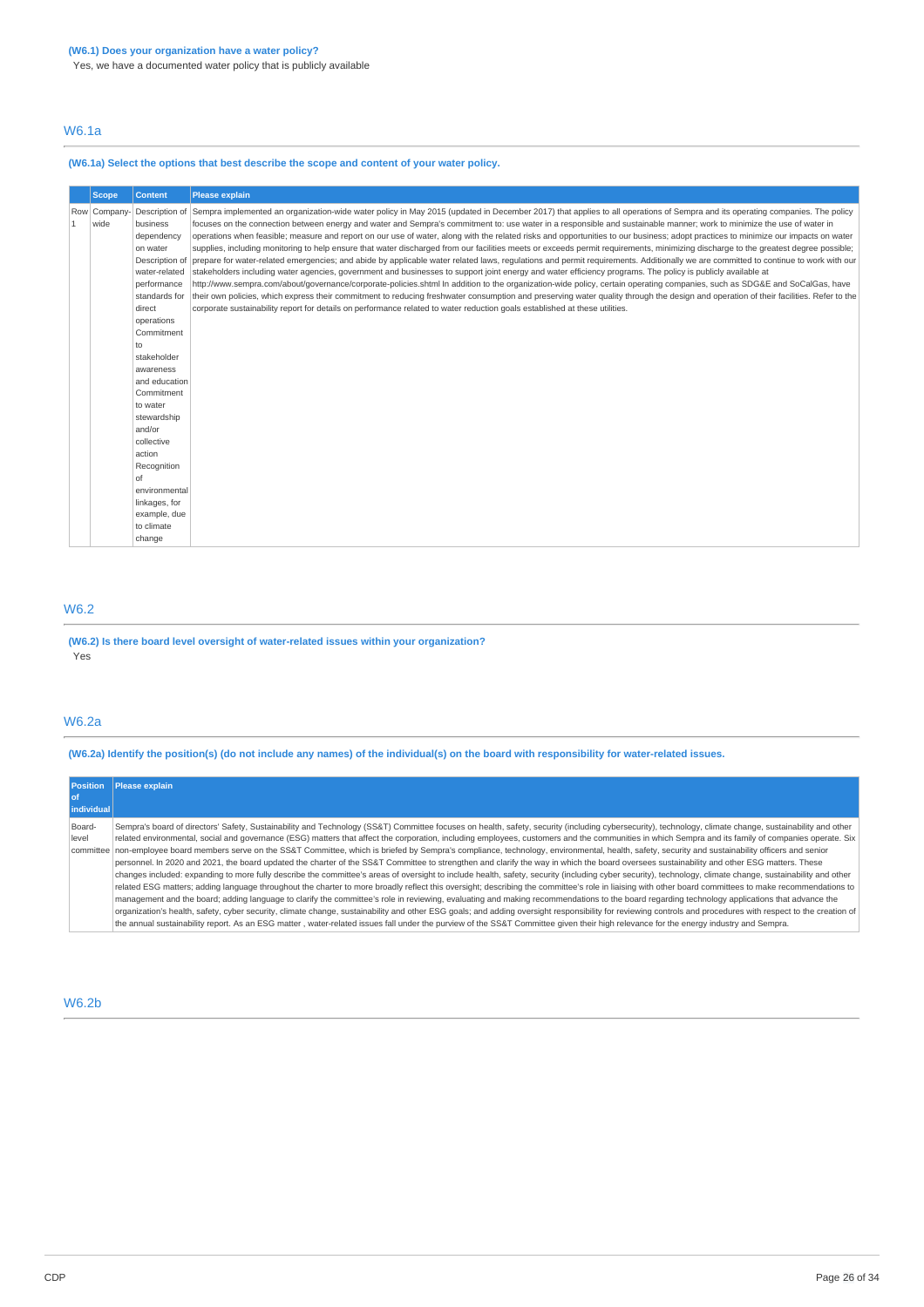Yes, we have a documented water policy that is publicly available

# W6.1a

# **(W6.1a) Select the options that best describe the scope and content of your water policy.**

|              | <b>Scope</b>         | <b>Content</b>                                                                                                                                                                                                                                                                                                                                                                             | <b>Please explain</b>                                                                                                                                                                                                                                                                                                                                                                                                                                                                                                                                                                                                                                                                                                                                                                                                                                                                                                                                                                                                                                                                                                                                                                                                                                                                                                                                                                                                                                                                                                                                                                          |
|--------------|----------------------|--------------------------------------------------------------------------------------------------------------------------------------------------------------------------------------------------------------------------------------------------------------------------------------------------------------------------------------------------------------------------------------------|------------------------------------------------------------------------------------------------------------------------------------------------------------------------------------------------------------------------------------------------------------------------------------------------------------------------------------------------------------------------------------------------------------------------------------------------------------------------------------------------------------------------------------------------------------------------------------------------------------------------------------------------------------------------------------------------------------------------------------------------------------------------------------------------------------------------------------------------------------------------------------------------------------------------------------------------------------------------------------------------------------------------------------------------------------------------------------------------------------------------------------------------------------------------------------------------------------------------------------------------------------------------------------------------------------------------------------------------------------------------------------------------------------------------------------------------------------------------------------------------------------------------------------------------------------------------------------------------|
| $\mathbf{1}$ | Row Company-<br>wide | Description of<br>business<br>dependency<br>on water<br>Description of<br>water-related<br>performance<br>standards for<br>direct<br>operations<br>Commitment<br>to<br>stakeholder<br>awareness<br>and education<br>Commitment<br>to water<br>stewardship<br>and/or<br>collective<br>action<br>Recognition<br>of<br>environmental<br>linkages, for<br>example, due<br>to climate<br>change | Sempra implemented an organization-wide water policy in May 2015 (updated in December 2017) that applies to all operations of Sempra and its operating companies. The policy<br>focuses on the connection between energy and water and Sempra's commitment to: use water in a responsible and sustainable manner; work to minimize the use of water in<br>operations when feasible; measure and report on our use of water, along with the related risks and opportunities to our business; adopt practices to minimize our impacts on water<br>supplies, including monitoring to help ensure that water discharged from our facilities meets or exceeds permit requirements, minimizing discharge to the greatest degree possible;<br>prepare for water-related emergencies; and abide by applicable water related laws, regulations and permit requirements. Additionally we are committed to continue to work with our<br>stakeholders including water agencies, government and businesses to support joint energy and water efficiency programs. The policy is publicly available at<br>http://www.sempra.com/about/qovernance/corporate-policies.shtml In addition to the organization-wide policy, certain operating companies, such as SDG&E and SoCalGas, have<br>their own policies, which express their commitment to reducing freshwater consumption and preserving water quality through the design and operation of their facilities. Refer to the<br>corporate sustainability report for details on performance related to water reduction goals established at these utilities. |
|              |                      |                                                                                                                                                                                                                                                                                                                                                                                            |                                                                                                                                                                                                                                                                                                                                                                                                                                                                                                                                                                                                                                                                                                                                                                                                                                                                                                                                                                                                                                                                                                                                                                                                                                                                                                                                                                                                                                                                                                                                                                                                |

# W6.2

**(W6.2) Is there board level oversight of water-related issues within your organization?** Yes

# W6.2a

(W6.2a) Identify the position(s) (do not include any names) of the individual(s) on the board with responsibility for water-related issues.

| <b>Position</b><br>l of<br>individual | Please explain                                                                                                                                                                                                                                                                                                                                                                                                                                                                                                                                                                                                                                                                                                                                                                                                                                                                                                                                                                                                                                                                                                                                                                                                                                                                                                                                                                                                                                                                                                                                                                                                                                                                                                                                                                                                                                           |
|---------------------------------------|----------------------------------------------------------------------------------------------------------------------------------------------------------------------------------------------------------------------------------------------------------------------------------------------------------------------------------------------------------------------------------------------------------------------------------------------------------------------------------------------------------------------------------------------------------------------------------------------------------------------------------------------------------------------------------------------------------------------------------------------------------------------------------------------------------------------------------------------------------------------------------------------------------------------------------------------------------------------------------------------------------------------------------------------------------------------------------------------------------------------------------------------------------------------------------------------------------------------------------------------------------------------------------------------------------------------------------------------------------------------------------------------------------------------------------------------------------------------------------------------------------------------------------------------------------------------------------------------------------------------------------------------------------------------------------------------------------------------------------------------------------------------------------------------------------------------------------------------------------|
| Board-<br>level                       | Sempra's board of directors' Safety, Sustainability and Technology (SS&T) Committee focuses on health, safety, security (including cybersecurity), technology, climate change, sustainability and other<br>related environmental, social and governance (ESG) matters that affect the corporation, including employees, customers and the communities in which Sempra and its family of companies operate. Six<br>committee   non-employee board members serve on the SS&T Committee, which is briefed by Sempra's compliance, technology, environmental, health, safety, security and sustainability officers and senior<br>personnel. In 2020 and 2021, the board updated the charter of the SS&T Committee to strengthen and clarify the way in which the board oversees sustainability and other ESG matters. These<br>changes included: expanding to more fully describe the committee's areas of oversight to include health, safety, security (including cyber security), technology, climate change, sustainability and other<br>related ESG matters; adding language throughout the charter to more broadly reflect this oversight; describing the committee's role in liaising with other board committees to make recommendations to<br>management and the board; adding language to clarify the committee's role in reviewing, evaluating and making recommendations to the board regarding technology applications that advance the<br>organization's health, safety, cyber security, climate change, sustainability and other ESG goals; and adding oversight responsibility for reviewing controls and procedures with respect to the creation of<br>the annual sustainability report. As an ESG matter, water-related issues fall under the purview of the SS&T Committee given their high relevance for the energy industry and Sempra. |

# W6.2b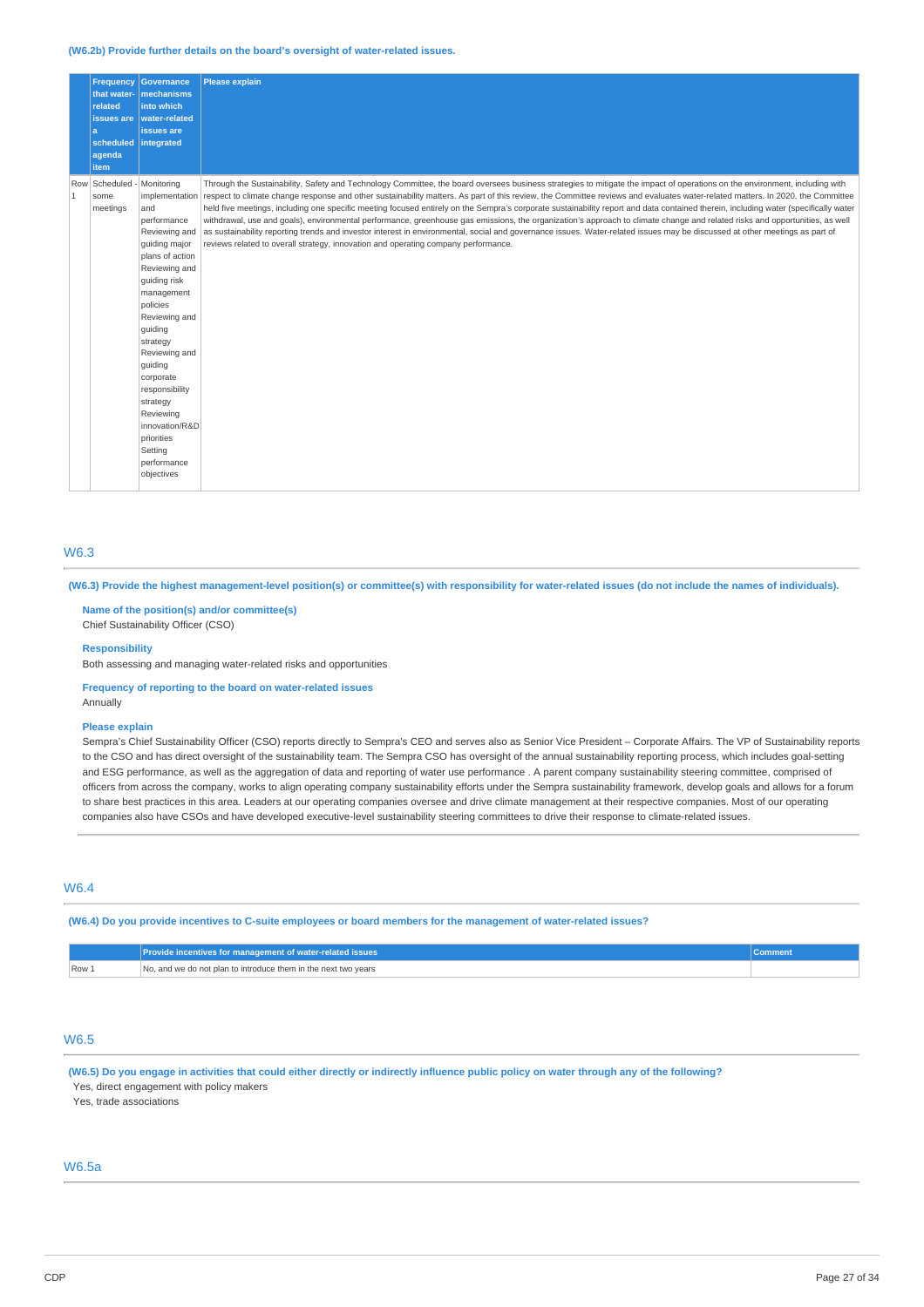### **(W6.2b) Provide further details on the board's oversight of water-related issues.**

|   | <b>Frequency</b><br>that water-<br>related<br>issues are<br>scheduled<br>agenda<br>item | <b>Governance</b><br>mechanisms<br>into which<br><b>water-related</b><br>issues are<br>integrated                                                                                                                                                                                                                                      | <b>Please explain</b>                                                                                                                                                                                                                                                                                                                                                                                                                                                                                                                                                                                                                                                                                                                                                                                                                                                                                                                                                                                                   |
|---|-----------------------------------------------------------------------------------------|----------------------------------------------------------------------------------------------------------------------------------------------------------------------------------------------------------------------------------------------------------------------------------------------------------------------------------------|-------------------------------------------------------------------------------------------------------------------------------------------------------------------------------------------------------------------------------------------------------------------------------------------------------------------------------------------------------------------------------------------------------------------------------------------------------------------------------------------------------------------------------------------------------------------------------------------------------------------------------------------------------------------------------------------------------------------------------------------------------------------------------------------------------------------------------------------------------------------------------------------------------------------------------------------------------------------------------------------------------------------------|
| 1 | Row Scheduled - Monitoring<br>some<br>meetings                                          | and<br>performance<br>Reviewing and<br>quiding major<br>plans of action<br>Reviewing and<br>quiding risk<br>management<br>policies<br>Reviewing and<br>guiding<br>strategy<br>Reviewing and<br>quiding<br>corporate<br>responsibility<br>strategy<br>Reviewing<br>innovation/R&D<br>priorities<br>Setting<br>performance<br>objectives | Through the Sustainability, Safety and Technology Committee, the board oversees business strategies to mitigate the impact of operations on the environment, including with<br>implementation respect to climate change response and other sustainability matters. As part of this review, the Committee reviews and evaluates water-related matters. In 2020, the Committee<br>held five meetings, including one specific meeting focused entirely on the Sempra's corporate sustainability report and data contained therein, including water (specifically water<br>withdrawal, use and goals), environmental performance, greenhouse gas emissions, the organization's approach to climate change and related risks and opportunities, as well<br>as sustainability reporting trends and investor interest in environmental, social and governance issues. Water-related issues may be discussed at other meetings as part of<br>reviews related to overall strategy, innovation and operating company performance. |

## W6.3

(W6.3) Provide the highest management-level position(s) or committee(s) with responsibility for water-related issues (do not include the names of individuals).

## **Name of the position(s) and/or committee(s)** Chief Sustainability Officer (CSO)

**Responsibility**

Both assessing and managing water-related risks and opportunities

**Frequency of reporting to the board on water-related issues** Annually

### **Please explain**

Sempra's Chief Sustainability Officer (CSO) reports directly to Sempra's CEO and serves also as Senior Vice President – Corporate Affairs. The VP of Sustainability reports to the CSO and has direct oversight of the sustainability team. The Sempra CSO has oversight of the annual sustainability reporting process, which includes goal-setting and ESG performance, as well as the aggregation of data and reporting of water use performance . A parent company sustainability steering committee, comprised of officers from across the company, works to align operating company sustainability efforts under the Sempra sustainability framework, develop goals and allows for a forum to share best practices in this area. Leaders at our operating companies oversee and drive climate management at their respective companies. Most of our operating companies also have CSOs and have developed executive-level sustainability steering committees to drive their response to climate-related issues.

### W6.4

(W6.4) Do you provide incentives to C-suite employees or board members for the management of water-related issues?

|       | Provide incentives for management of water-related issues      |  |
|-------|----------------------------------------------------------------|--|
| Row 1 | No, and we do not plan to introduce them in the next two years |  |

## W6.5

(W6.5) Do you engage in activities that could either directly or indirectly influence public policy on water through any of the following? Yes, direct engagement with policy makers

Yes, trade associations

# W6.5a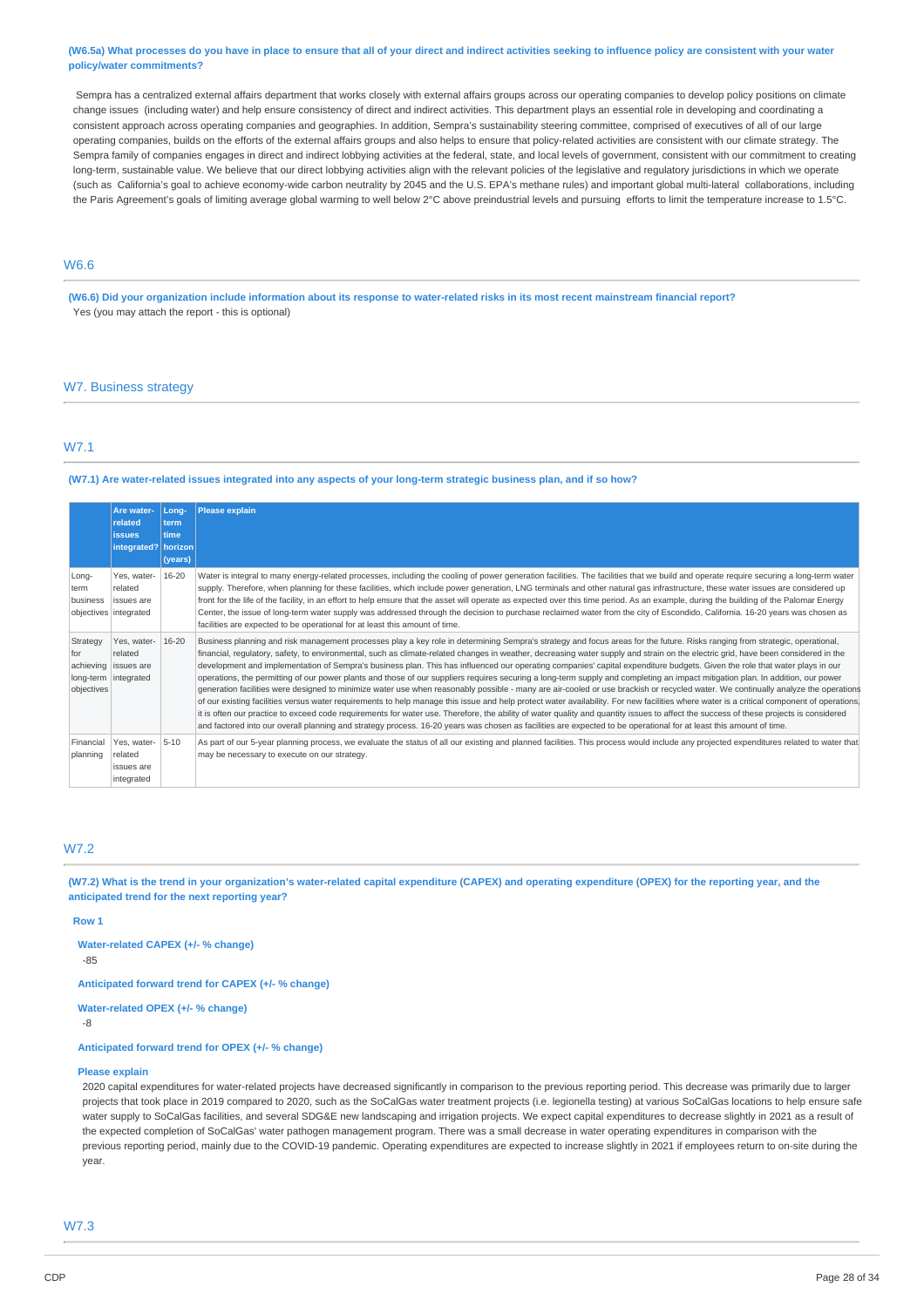### (W6.5a) What processes do you have in place to ensure that all of your direct and indirect activities seeking to influence policy are consistent with your water **policy/water commitments?**

Sempra has a centralized external affairs department that works closely with external affairs groups across our operating companies to develop policy positions on climate change issues (including water) and help ensure consistency of direct and indirect activities. This department plays an essential role in developing and coordinating a consistent approach across operating companies and geographies. In addition, Sempra's sustainability steering committee, comprised of executives of all of our large operating companies, builds on the efforts of the external affairs groups and also helps to ensure that policy-related activities are consistent with our climate strategy. The Sempra family of companies engages in direct and indirect lobbying activities at the federal, state, and local levels of government, consistent with our commitment to creating long-term, sustainable value. We believe that our direct lobbying activities align with the relevant policies of the legislative and regulatory jurisdictions in which we operate (such as California's goal to achieve economy-wide carbon neutrality by 2045 and the U.S. EPA's methane rules) and important global multi-lateral collaborations, including the Paris Agreement's goals of limiting average global warming to well below 2°C above preindustrial levels and pursuing efforts to limit the temperature increase to 1.5°C.

# W6.6

(W6.6) Did your organization include information about its response to water-related risks in its most recent mainstream financial report? Yes (you may attach the report - this is optional)

## W7. Business strategy

## W7.1

### (W7.1) Are water-related issues integrated into any aspects of your long-term strategic business plan, and if so how?

|                                                       | Are water-<br>related<br><b>issues</b><br>integrated? horizon | Long-<br>term<br>time<br>(years) | <b>Please explain</b>                                                                                                                                                                                                                                                                                                                                                                                                                                                                                                                                                                                                                                                                                                                                                                                                                                                                                                                                                                                                                                                                                                                                                                                                                                                                                                                                                                                                                                                              |
|-------------------------------------------------------|---------------------------------------------------------------|----------------------------------|------------------------------------------------------------------------------------------------------------------------------------------------------------------------------------------------------------------------------------------------------------------------------------------------------------------------------------------------------------------------------------------------------------------------------------------------------------------------------------------------------------------------------------------------------------------------------------------------------------------------------------------------------------------------------------------------------------------------------------------------------------------------------------------------------------------------------------------------------------------------------------------------------------------------------------------------------------------------------------------------------------------------------------------------------------------------------------------------------------------------------------------------------------------------------------------------------------------------------------------------------------------------------------------------------------------------------------------------------------------------------------------------------------------------------------------------------------------------------------|
| Long-<br>term<br>business<br>objectives integrated    | Yes, water-<br>related<br>issues are                          | 16-20                            | Water is integral to many energy-related processes, including the cooling of power generation facilities. The facilities that we build and operate require securing a long-term water<br>supply. Therefore, when planning for these facilities, which include power generation, LNG terminals and other natural gas infrastructure, these water issues are considered up<br>front for the life of the facility, in an effort to help ensure that the asset will operate as expected over this time period. As an example, during the building of the Palomar Energy<br>Center, the issue of long-term water supply was addressed through the decision to purchase reclaimed water from the city of Escondido, California. 16-20 years was chosen as<br>facilities are expected to be operational for at least this amount of time.                                                                                                                                                                                                                                                                                                                                                                                                                                                                                                                                                                                                                                                 |
| Strategy<br>for<br>long-term integrated<br>objectives | Yes, water-<br>related<br>achieving issues are                | 16-20                            | Business planning and risk management processes play a key role in determining Sempra's strategy and focus areas for the future. Risks ranging from strategic, operational,<br>financial, requlatory, safety, to environmental, such as climate-related changes in weather, decreasing water supply and strain on the electric grid, have been considered in the<br>development and implementation of Sempra's business plan. This has influenced our operating companies' capital expenditure budgets. Given the role that water plays in our<br>operations, the permitting of our power plants and those of our suppliers requires securing a long-term supply and completing an impact mitigation plan. In addition, our power<br>generation facilities were designed to minimize water use when reasonably possible - many are air-cooled or use brackish or recycled water. We continually analyze the operations<br>of our existing facilities versus water requirements to help manage this issue and help protect water availability. For new facilities where water is a critical component of operations.<br>it is often our practice to exceed code requirements for water use. Therefore, the ability of water quality and quantity issues to affect the success of these projects is considered<br>and factored into our overall planning and strategy process. 16-20 years was chosen as facilities are expected to be operational for at least this amount of time. |
| Financial<br>planning                                 | Yes, water- $ 5-10 $<br>related<br>issues are<br>integrated   |                                  | As part of our 5-year planning process, we evaluate the status of all our existing and planned facilities. This process would include any projected expenditures related to water that<br>may be necessary to execute on our strategy.                                                                                                                                                                                                                                                                                                                                                                                                                                                                                                                                                                                                                                                                                                                                                                                                                                                                                                                                                                                                                                                                                                                                                                                                                                             |

## W7.2

(W7.2) What is the trend in your organization's water-related capital expenditure (CAPEX) and operating expenditure (OPEX) for the reporting year, and the **anticipated trend for the next reporting year?**

### **Row 1**

**Water-related CAPEX (+/- % change)**

-85

**Anticipated forward trend for CAPEX (+/- % change)**

**Water-related OPEX (+/- % change)**

-8

## **Anticipated forward trend for OPEX (+/- % change)**

## **Please explain**

2020 capital expenditures for water-related projects have decreased significantly in comparison to the previous reporting period. This decrease was primarily due to larger projects that took place in 2019 compared to 2020, such as the SoCalGas water treatment projects (i.e. legionella testing) at various SoCalGas locations to help ensure safe water supply to SoCalGas facilities, and several SDG&E new landscaping and irrigation projects. We expect capital expenditures to decrease slightly in 2021 as a result of the expected completion of SoCalGas' water pathogen management program. There was a small decrease in water operating expenditures in comparison with the previous reporting period, mainly due to the COVID-19 pandemic. Operating expenditures are expected to increase slightly in 2021 if employees return to on-site during the year.

W7.3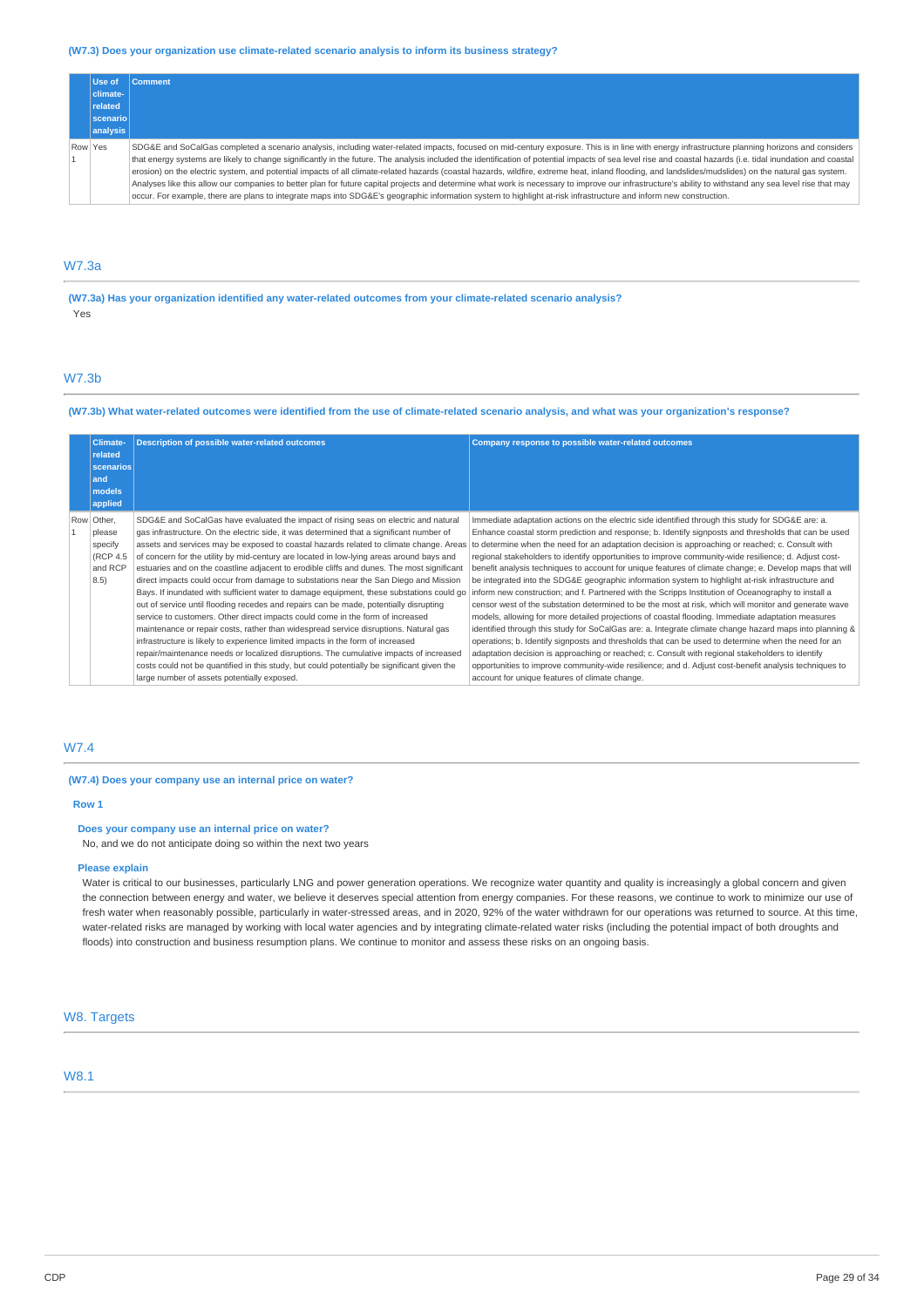### **(W7.3) Does your organization use climate-related scenario analysis to inform its business strategy?**

| Use of          | <b>Comment</b>                                                                                                                                                                                               |  |  |
|-----------------|--------------------------------------------------------------------------------------------------------------------------------------------------------------------------------------------------------------|--|--|
| climate-        |                                                                                                                                                                                                              |  |  |
| <b>related</b>  |                                                                                                                                                                                                              |  |  |
| <b>Scenario</b> |                                                                                                                                                                                                              |  |  |
| analysis        |                                                                                                                                                                                                              |  |  |
| Row Yes         | SDG&E and SoCalGas completed a scenario analysis, including water-related impacts, focused on mid-century exposure. This is in line with energy infrastructure planning horizons and considers               |  |  |
|                 | that energy systems are likely to change significantly in the future. The analysis included the identification of potential impacts of sea level rise and coastal hazards (i.e. tidal inundation and coastal |  |  |
|                 | erosion) on the electric system, and potential impacts of all climate-related hazards (coastal hazards, wildfire, extreme heat, inland flooding, and landslides/mudslides) on the natural gas system.        |  |  |
|                 | Analyses like this allow our companies to better plan for future capital projects and determine what work is necessary to improve our infrastructure's ability to withstand any sea level rise that may      |  |  |
|                 | occur. For example, there are plans to integrate maps into SDG&E's geographic information system to highlight at-risk infrastructure and inform new construction.                                            |  |  |

# W7.3a

**(W7.3a) Has your organization identified any water-related outcomes from your climate-related scenario analysis?** Yes

## W7.3b

(W7.3b) What water-related outcomes were identified from the use of climate-related scenario analysis, and what was your organization's response?

| Climate-         | <b>Description of possible water-related outcomes</b>                                       | Company response to possible water-related outcomes                                                     |
|------------------|---------------------------------------------------------------------------------------------|---------------------------------------------------------------------------------------------------------|
| related          |                                                                                             |                                                                                                         |
| scenarios<br>and |                                                                                             |                                                                                                         |
| models           |                                                                                             |                                                                                                         |
| applied          |                                                                                             |                                                                                                         |
| Row Other,       | SDG&E and SoCalGas have evaluated the impact of rising seas on electric and natural         | Immediate adaptation actions on the electric side identified through this study for SDG&E are: a.       |
| please           | gas infrastructure. On the electric side, it was determined that a significant number of    | Enhance coastal storm prediction and response; b. Identify signposts and thresholds that can be used    |
| specify          | assets and services may be exposed to coastal hazards related to climate change. Areas      | to determine when the need for an adaptation decision is approaching or reached; c. Consult with        |
| (RCP 4.5)        | of concern for the utility by mid-century are located in low-lying areas around bays and    | regional stakeholders to identify opportunities to improve community-wide resilience; d. Adjust cost-   |
| and RCP          | estuaries and on the coastline adjacent to erodible cliffs and dunes. The most significant  | benefit analysis techniques to account for unique features of climate change; e. Develop maps that will |
| 8.5)             | direct impacts could occur from damage to substations near the San Diego and Mission        | be integrated into the SDG&E geographic information system to highlight at-risk infrastructure and      |
|                  | Bays. If inundated with sufficient water to damage equipment, these substations could go    | inform new construction; and f. Partnered with the Scripps Institution of Oceanography to install a     |
|                  | out of service until flooding recedes and repairs can be made, potentially disrupting       | censor west of the substation determined to be the most at risk, which will monitor and generate wave   |
|                  | service to customers. Other direct impacts could come in the form of increased              | models, allowing for more detailed projections of coastal flooding. Immediate adaptation measures       |
|                  | maintenance or repair costs, rather than widespread service disruptions. Natural gas        | identified through this study for SoCalGas are: a. Integrate climate change hazard maps into planning & |
|                  | infrastructure is likely to experience limited impacts in the form of increased             | operations; b. Identify signposts and thresholds that can be used to determine when the need for an     |
|                  | repair/maintenance needs or localized disruptions. The cumulative impacts of increased      | adaptation decision is approaching or reached; c. Consult with regional stakeholders to identify        |
|                  | costs could not be quantified in this study, but could potentially be significant given the | opportunities to improve community-wide resilience; and d. Adjust cost-benefit analysis techniques to   |
|                  | large number of assets potentially exposed.                                                 | account for unique features of climate change.                                                          |

# W7.4

**(W7.4) Does your company use an internal price on water?**

#### **Row 1**

### **Does your company use an internal price on water?**

No, and we do not anticipate doing so within the next two years

## **Please explain**

Water is critical to our businesses, particularly LNG and power generation operations. We recognize water quantity and quality is increasingly a global concern and given the connection between energy and water, we believe it deserves special attention from energy companies. For these reasons, we continue to work to minimize our use of fresh water when reasonably possible, particularly in water-stressed areas, and in 2020, 92% of the water withdrawn for our operations was returned to source. At this time, water-related risks are managed by working with local water agencies and by integrating climate-related water risks (including the potential impact of both droughts and floods) into construction and business resumption plans. We continue to monitor and assess these risks on an ongoing basis.

# W8. Targets

W8.1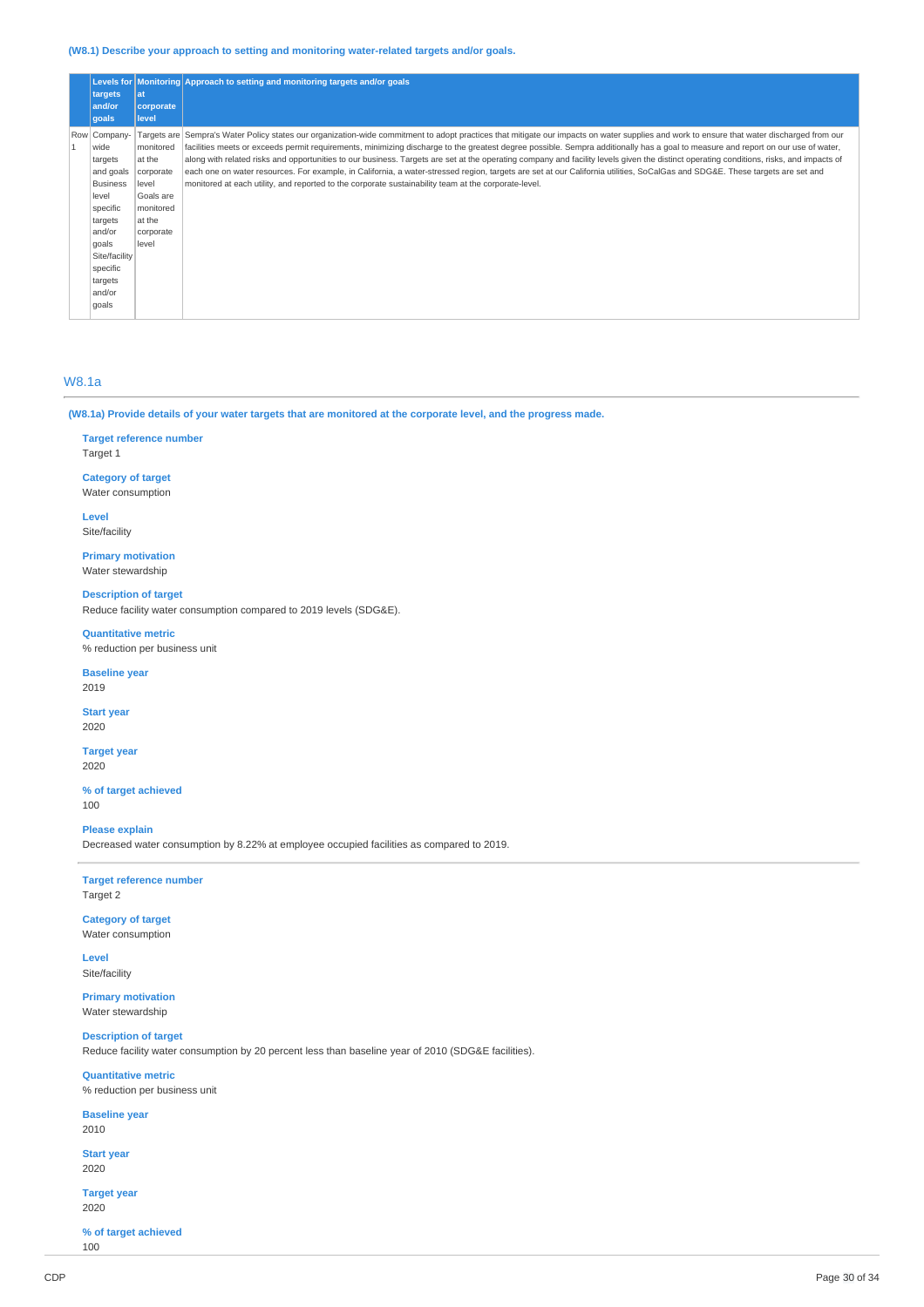## **(W8.1) Describe your approach to setting and monitoring water-related targets and/or goals.**

| targets<br>and/or<br>qoals                                                                                                                                                    | lat<br>corporate<br>level                                                                                          | Levels for Monitoring Approach to setting and monitoring targets and/or goals                                                                                                                                                                                                                                                                                                                                                                                                                                                                                                                                                                                                                                                                                                                                                                         |
|-------------------------------------------------------------------------------------------------------------------------------------------------------------------------------|--------------------------------------------------------------------------------------------------------------------|-------------------------------------------------------------------------------------------------------------------------------------------------------------------------------------------------------------------------------------------------------------------------------------------------------------------------------------------------------------------------------------------------------------------------------------------------------------------------------------------------------------------------------------------------------------------------------------------------------------------------------------------------------------------------------------------------------------------------------------------------------------------------------------------------------------------------------------------------------|
| Row Company-<br>wide<br>targets<br>and goals<br><b>Business</b><br>level<br>specific<br>targets<br>and/or<br>qoals<br>Site/facility<br>specific<br>targets<br>and/or<br>goals | Targets are<br>monitored<br>at the<br>corporate<br>level<br>Goals are<br>monitored<br>at the<br>corporate<br>level | Sempra's Water Policy states our organization-wide commitment to adopt practices that mitigate our impacts on water supplies and work to ensure that water discharged from our<br>facilities meets or exceeds permit requirements, minimizing discharge to the greatest degree possible. Sempra additionally has a goal to measure and report on our use of water,<br>along with related risks and opportunities to our business. Targets are set at the operating company and facility levels given the distinct operating conditions, risks, and impacts of<br>each one on water resources. For example, in California, a water-stressed region, targets are set at our California utilities, SoCalGas and SDG&E. These targets are set and<br>monitored at each utility, and reported to the corporate sustainability team at the corporate-level. |

# W8.1a

(W8.1a) Provide details of your water targets that are monitored at the corporate level, and the progress made.

# **Target reference number**

Target 1

# **Category of target**

Water consumption

## **Level** Site/facility

**Primary motivation** Water stewardship

### **Description of target**

Reduce facility water consumption compared to 2019 levels (SDG&E).

# **Quantitative metric**

% reduction per business unit

# **Baseline year**

2019

**Start year** 2020

## **Target year**

2020

**% of target achieved** 100

# **Please explain**

Decreased water consumption by 8.22% at employee occupied facilities as compared to 2019.

### **Target reference number** Target 2

**Category of target** Water consumption

**Level** Site/facility

## **Primary motivation** Water stewardship

**Description of target** Reduce facility water consumption by 20 percent less than baseline year of 2010 (SDG&E facilities).

## **Quantitative metric** % reduction per business unit

**Baseline year** 2010

**Start year** 2020

**Target year** 2020

**% of target achieved** 100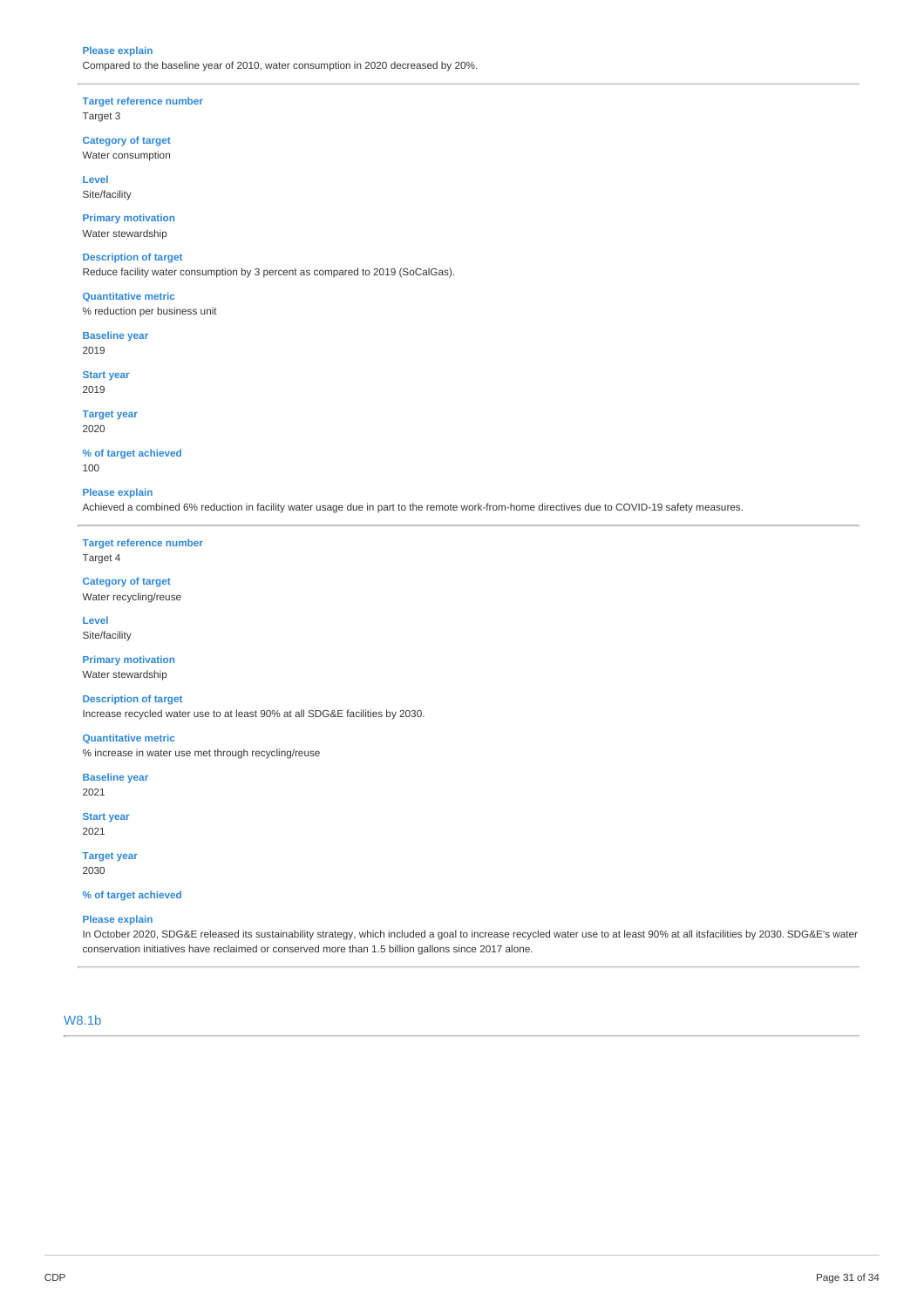## **Please explain**

Compared to the baseline year of 2010, water consumption in 2020 decreased by 20%.

**Target reference number** Target 3

**Category of target** Water consumption

**Level** Site/facility

**Primary motivation** Water stewardship

**Description of target**

Reduce facility water consumption by 3 percent as compared to 2019 (SoCalGas).

**Quantitative metric** % reduction per business unit

**Baseline year** 2019

**Start year** 2019

**Target year** 2020

**% of target achieved** 100

### **Please explain**

Achieved a combined 6% reduction in facility water usage due in part to the remote work-from-home directives due to COVID-19 safety measures.

**Target reference number** Target 4

**Category of target** Water recycling/reuse

**Level** Site/facility

**Primary motivation** Water stewardship

### **Description of target**

Increase recycled water use to at least 90% at all SDG&E facilities by 2030.

## **Quantitative metric**

% increase in water use met through recycling/reuse

**Baseline year**

2021

**Start year** 2021

**Target year**

2030

**% of target achieved**

## **Please explain**

In October 2020, SDG&E released its sustainability strategy, which included a goal to increase recycled water use to at least 90% at all itsfacilities by 2030. SDG&E's water conservation initiatives have reclaimed or conserved more than 1.5 billion gallons since 2017 alone.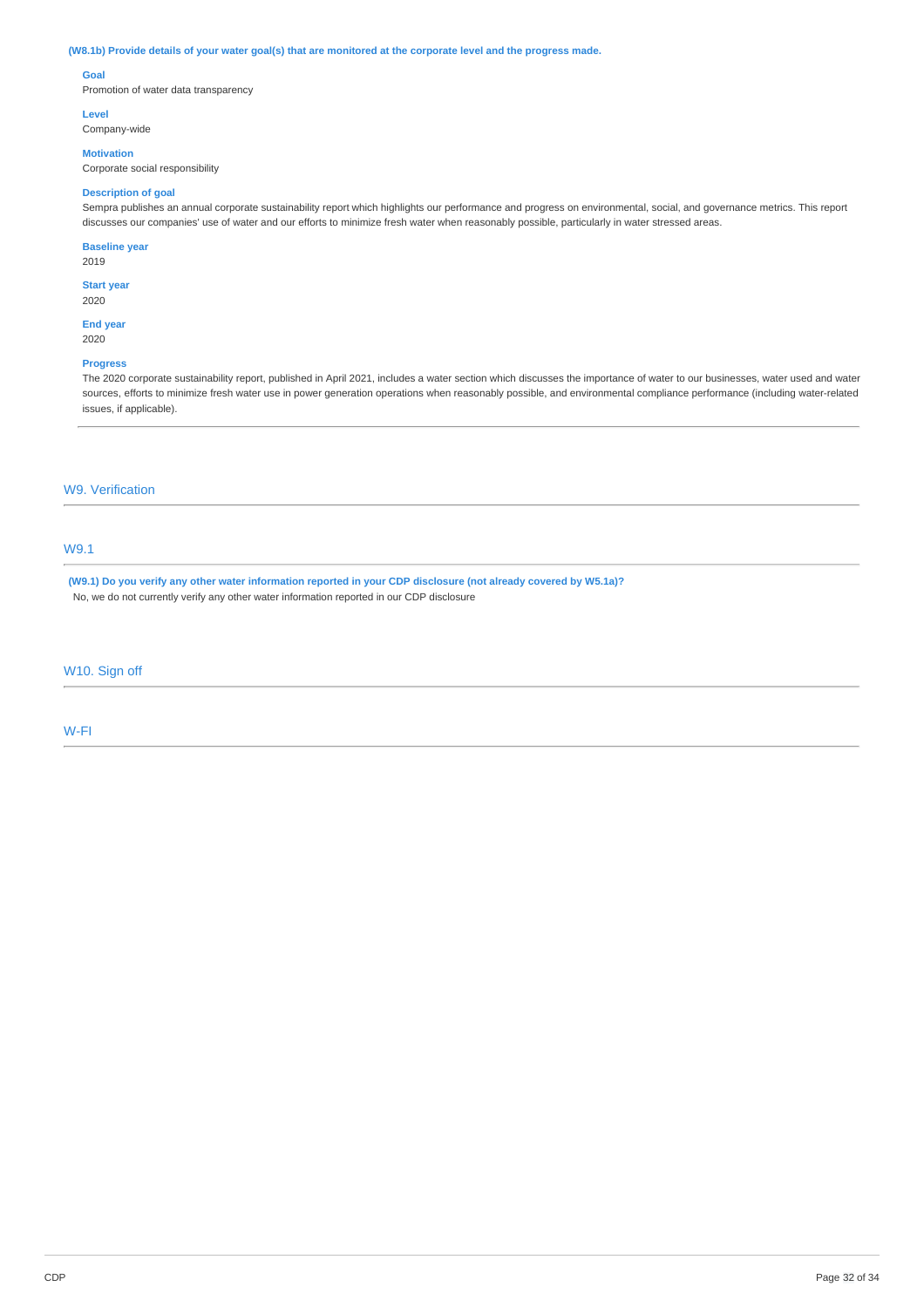## (W8.1b) Provide details of your water goal(s) that are monitored at the corporate level and the progress made.

### **Goal**

Promotion of water data transparency

### **Level**

Company-wide

### **Motivation**

Corporate social responsibility

### **Description of goal**

Sempra publishes an annual corporate sustainability report which highlights our performance and progress on environmental, social, and governance metrics. This report discusses our companies' use of water and our efforts to minimize fresh water when reasonably possible, particularly in water stressed areas.

# **Baseline year**

2019

### **Start year**

2020

**End year** 2020

### **Progress**

The 2020 corporate sustainability report, published in April 2021, includes a water section which discusses the importance of water to our businesses, water used and water sources, efforts to minimize fresh water use in power generation operations when reasonably possible, and environmental compliance performance (including water-related issues, if applicable).

# W9. Verification

## W9.1

(W9.1) Do you verify any other water information reported in your CDP disclosure (not already covered by W5.1a)? No, we do not currently verify any other water information reported in our CDP disclosure

# W10. Sign off

W-FI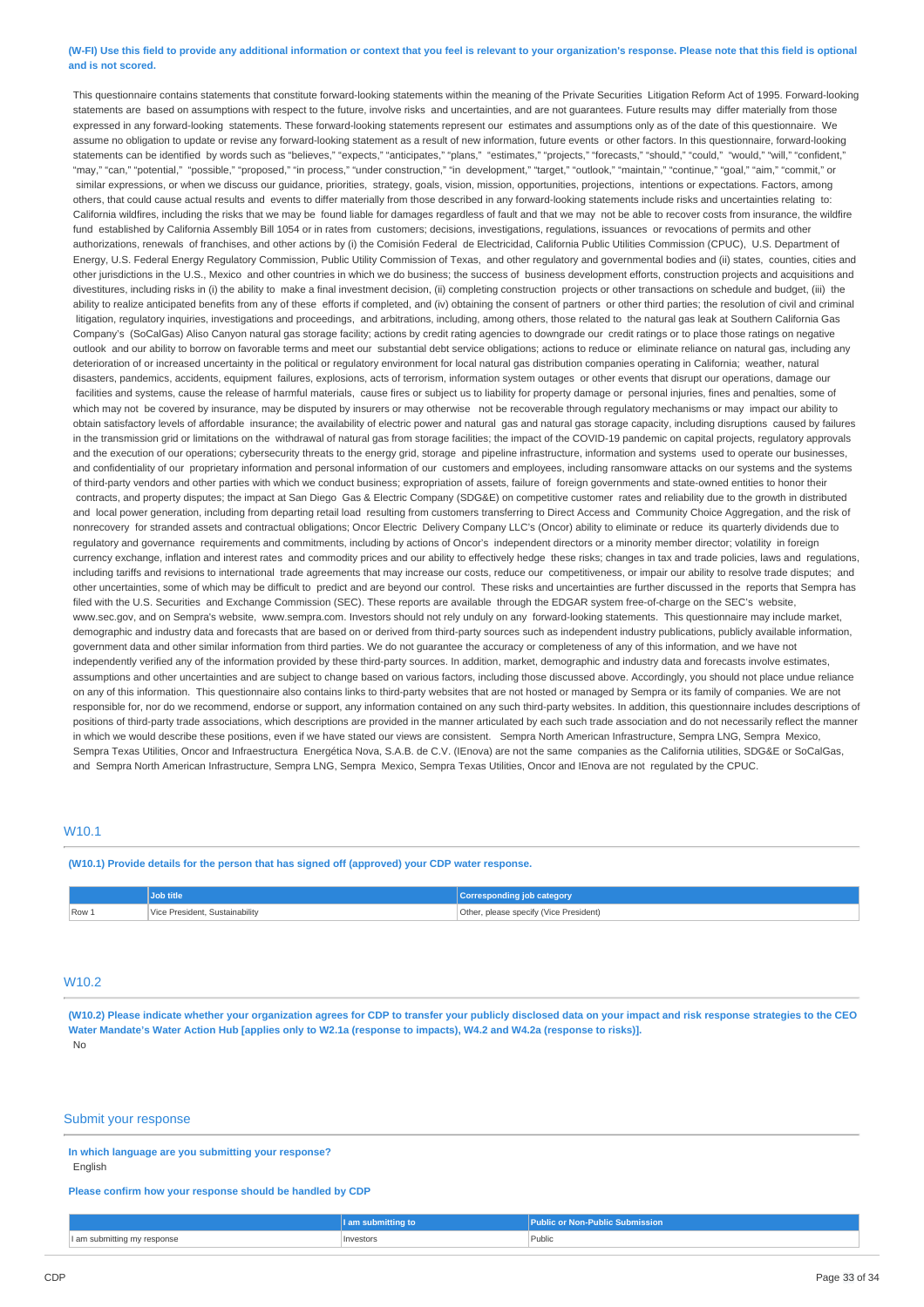### (W-FI) Use this field to provide any additional information or context that you feel is relevant to your organization's response. Please note that this field is optional **and is not scored.**

This questionnaire contains statements that constitute forward-looking statements within the meaning of the Private Securities Litigation Reform Act of 1995. Forward-looking statements are based on assumptions with respect to the future, involve risks and uncertainties, and are not quarantees. Future results may differ materially from those expressed in any forward-looking statements. These forward-looking statements represent our estimates and assumptions only as of the date of this questionnaire. We assume no obligation to update or revise any forward-looking statement as a result of new information, future events or other factors. In this questionnaire, forward-looking statements can be identified by words such as "believes," "expects," "anticipates," "plans," "estimates," "projects," "forecasts," "should," "could," "would," "would," "confident," "may," "can," "potential," "possible," "proposed," "in process," "under construction," "in development," "target," "outlook," "maintain," "continue," "goal," "aim," "commit," or similar expressions, or when we discuss our quidance, priorities, strategy, goals, vision, mission, opportunities, projections, intentions or expectations. Factors, among others, that could cause actual results and events to differ materially from those described in any forward-looking statements include risks and uncertainties relating to: California wildfires, including the risks that we may be found liable for damages regardless of fault and that we may not be able to recover costs from insurance, the wildfire fund established by California Assembly Bill 1054 or in rates from customers; decisions, investigations, regulations, issuances or revocations of permits and other authorizations, renewals of franchises, and other actions by (i) the Comisión Federal de Electricidad, California Public Utilities Commission (CPUC), U.S. Department of Energy, U.S. Federal Energy Regulatory Commission, Public Utility Commission of Texas, and other regulatory and governmental bodies and (ii) states, counties, cities and other jurisdictions in the U.S., Mexico and other countries in which we do business; the success of business development efforts, construction projects and acquisitions and divestitures, including risks in (i) the ability to make a final investment decision, (ii) completing construction projects or other transactions on schedule and budget, (iii) the ability to realize anticipated benefits from any of these efforts if completed, and (iv) obtaining the consent of partners or other third parties; the resolution of civil and criminal litigation, regulatory inquiries, investigations and proceedings, and arbitrations, including, among others, those related to the natural gas leak at Southern California Gas Company's (SoCalGas) Aliso Canyon natural gas storage facility; actions by credit rating agencies to downgrade our credit ratings or to place those ratings on negative outlook and our ability to borrow on favorable terms and meet our substantial debt service obligations; actions to reduce or eliminate reliance on natural gas, including any deterioration of or increased uncertainty in the political or regulatory environment for local natural gas distribution companies operating in California; weather, natural disasters, pandemics, accidents, equipment failures, explosions, acts of terrorism, information system outages or other events that disrupt our operations, damage our facilities and systems, cause the release of harmful materials, cause fires or subject us to liability for property damage or personal injuries, fines and penalties, some of which may not be covered by insurance, may be disputed by insurers or may otherwise not be recoverable through regulatory mechanisms or may impact our ability to obtain satisfactory levels of affordable insurance; the availability of electric power and natural gas and natural gas storage capacity, including disruptions caused by failures in the transmission grid or limitations on the withdrawal of natural gas from storage facilities; the impact of the COVID-19 pandemic on capital projects, regulatory approvals and the execution of our operations; cybersecurity threats to the energy grid, storage and pipeline infrastructure, information and systems used to operate our businesses, and confidentiality of our proprietary information and personal information of our customers and employees, including ransomware attacks on our systems and the systems of third-party vendors and other parties with which we conduct business; expropriation of assets, failure of foreign governments and state-owned entities to honor their contracts, and property disputes; the impact at San Diego Gas & Electric Company (SDG&E) on competitive customer rates and reliability due to the growth in distributed and local power generation, including from departing retail load resulting from customers transferring to Direct Access and Community Choice Aggregation, and the risk of nonrecovery for stranded assets and contractual obligations; Oncor Electric Delivery Company LLC's (Oncor) ability to eliminate or reduce its quarterly dividends due to regulatory and governance requirements and commitments, including by actions of Oncor's independent directors or a minority member director; volatility in foreign currency exchange, inflation and interest rates and commodity prices and our ability to effectively hedge these risks; changes in tax and trade policies, laws and regulations, including tariffs and revisions to international trade agreements that may increase our costs, reduce our competitiveness, or impair our ability to resolve trade disputes; and other uncertainties, some of which may be difficult to predict and are beyond our control. These risks and uncertainties are further discussed in the reports that Sempra has filed with the U.S. Securities and Exchange Commission (SEC). These reports are available through the EDGAR system free-of-charge on the SEC's website. www.sec.gov, and on Sempra's website, www.sempra.com. Investors should not rely unduly on any forward-looking statements. This questionnaire may include market, demographic and industry data and forecasts that are based on or derived from third-party sources such as independent industry publications, publicly available information, government data and other similar information from third parties. We do not guarantee the accuracy or completeness of any of this information, and we have not independently verified any of the information provided by these third-party sources. In addition, market, demographic and industry data and forecasts involve estimates, assumptions and other uncertainties and are subject to change based on various factors, including those discussed above. Accordingly, you should not place undue reliance on any of this information. This questionnaire also contains links to third-party websites that are not hosted or managed by Sempra or its family of companies. We are not responsible for, nor do we recommend, endorse or support, any information contained on any such third-party websites. In addition, this questionnaire includes descriptions of positions of third-party trade associations, which descriptions are provided in the manner articulated by each such trade association and do not necessarily reflect the manner in which we would describe these positions, even if we have stated our views are consistent. Sempra North American Infrastructure, Sempra LNG, Sempra Mexico, Sempra Texas Utilities, Oncor and Infraestructura Energética Nova, S.A.B. de C.V. (IEnova) are not the same companies as the California utilities, SDG&E or SoCalGas, and Sempra North American Infrastructure, Sempra LNG, Sempra Mexico, Sempra Texas Utilities, Oncor and IEnova are not regulated by the CPUC.

## W10.1

#### **(W10.1) Provide details for the person that has signed off (approved) your CDP water response.**

|       | <b>Job title</b>               | Corresponding job category             |
|-------|--------------------------------|----------------------------------------|
| Row + | Vice President, Sustainability | Other, please specify (Vice President) |

## **W10.2**

(W10.2) Please indicate whether your organization agrees for CDP to transfer your publicly disclosed data on your impact and risk response strategies to the CEO Water Mandate's Water Action Hub [applies only to W2.1a (response to impacts), W4.2 and W4.2a (response to risks)]. No

## Submit your response

### **In which language are you submitting your response?**

English

# **Please confirm how your response should be handled by CDP**

|                                         |                | ubmission<br>$-11111 - 11$ |
|-----------------------------------------|----------------|----------------------------|
| ' am submit<br>mitting my response<br>. | Investors<br>. | Public<br>.                |